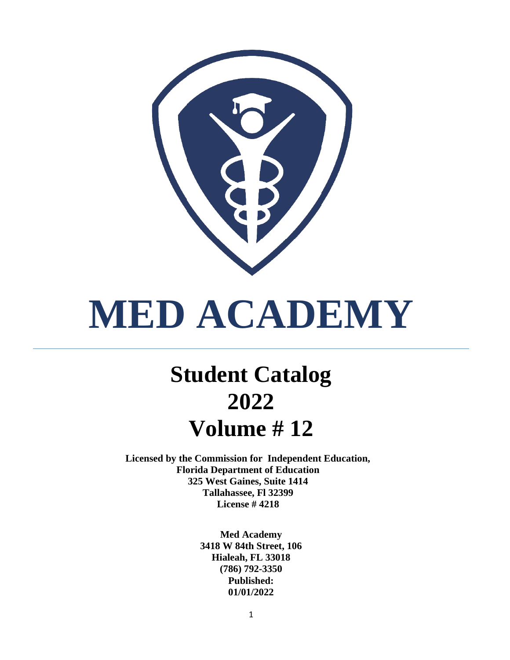

# **MED ACADEMY**

## **Student Catalog 2022 Volume # 12**

**Licensed by the Commission for Independent Education, Florida Department of Education 325 West Gaines, Suite 1414 Tallahassee, Fl 32399 License # 4218**

> **Med Academy 3418 W 84th Street, 106 Hialeah, FL 33018 (786) 792-3350 Published: 01/01/2022**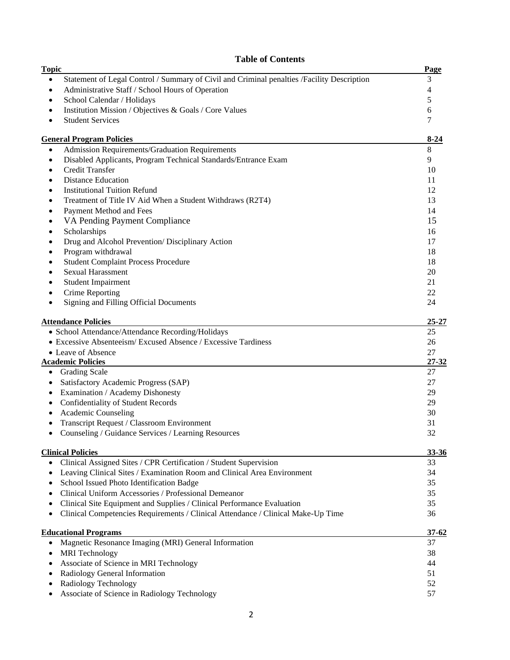| <b>Topic</b> | radie or Contents                                                                          | Page      |
|--------------|--------------------------------------------------------------------------------------------|-----------|
| $\bullet$    | Statement of Legal Control / Summary of Civil and Criminal penalties /Facility Description | 3         |
| $\bullet$    | Administrative Staff / School Hours of Operation                                           | 4         |
| ٠            | School Calendar / Holidays                                                                 | 5         |
|              | Institution Mission / Objectives & Goals / Core Values                                     | 6         |
|              | <b>Student Services</b>                                                                    | 7         |
|              | <b>General Program Policies</b>                                                            | $8-24$    |
| $\bullet$    | Admission Requirements/Graduation Requirements                                             | $\,8\,$   |
| $\bullet$    | Disabled Applicants, Program Technical Standards/Entrance Exam                             | 9         |
| $\bullet$    | Credit Transfer                                                                            | 10        |
|              | <b>Distance Education</b>                                                                  | 11        |
|              | <b>Institutional Tuition Refund</b>                                                        | 12        |
| ٠            | Treatment of Title IV Aid When a Student Withdraws (R2T4)                                  | 13        |
| $\bullet$    | Payment Method and Fees                                                                    | 14        |
| $\bullet$    | VA Pending Payment Compliance                                                              | 15        |
|              | Scholarships                                                                               | 16        |
|              | Drug and Alcohol Prevention/Disciplinary Action                                            | 17        |
|              | Program withdrawal                                                                         | 18        |
|              | <b>Student Complaint Process Procedure</b>                                                 | 18        |
|              | Sexual Harassment                                                                          | 20        |
|              | <b>Student Impairment</b>                                                                  | 21        |
|              | Crime Reporting                                                                            | 22        |
|              | Signing and Filling Official Documents                                                     | 24        |
|              | <b>Attendance Policies</b>                                                                 | $25 - 27$ |
|              | • School Attendance/Attendance Recording/Holidays                                          | 25        |
|              | • Excessive Absenteeism/Excused Absence / Excessive Tardiness                              | 26        |
|              | • Leave of Absence                                                                         | 27        |
|              | <b>Academic Policies</b>                                                                   | $27 - 32$ |
| $\bullet$    | <b>Grading Scale</b>                                                                       | 27        |
| $\bullet$    | Satisfactory Academic Progress (SAP)                                                       | 27        |
| $\bullet$    | Examination / Academy Dishonesty                                                           | 29        |
|              | Confidentiality of Student Records                                                         | 29        |
|              | Academic Counseling                                                                        | 30        |
|              | Transcript Request / Classroom Environment                                                 | 31        |
|              | Counseling / Guidance Services / Learning Resources                                        | 32        |
|              | <b>Clinical Policies</b>                                                                   | 33-36     |
|              | Clinical Assigned Sites / CPR Certification / Student Supervision                          | 33        |
| $\bullet$    | Leaving Clinical Sites / Examination Room and Clinical Area Environment                    | 34        |
| $\bullet$    | School Issued Photo Identification Badge                                                   | 35        |
| ٠            | Clinical Uniform Accessories / Professional Demeanor                                       | 35        |
| ٠            | Clinical Site Equipment and Supplies / Clinical Performance Evaluation                     | 35        |
| ٠            | Clinical Competencies Requirements / Clinical Attendance / Clinical Make-Up Time           | 36        |
|              | <b>Educational Programs</b>                                                                | $37 - 62$ |
| ٠            | Magnetic Resonance Imaging (MRI) General Information                                       | 37        |
| $\bullet$    | <b>MRI</b> Technology                                                                      | 38        |
| ٠            | Associate of Science in MRI Technology                                                     | 44        |
| ٠            | Radiology General Information                                                              | 51        |
| ٠            | Radiology Technology                                                                       | 52        |
|              | Associate of Science in Radiology Technology                                               | 57        |

#### **Table of Contents**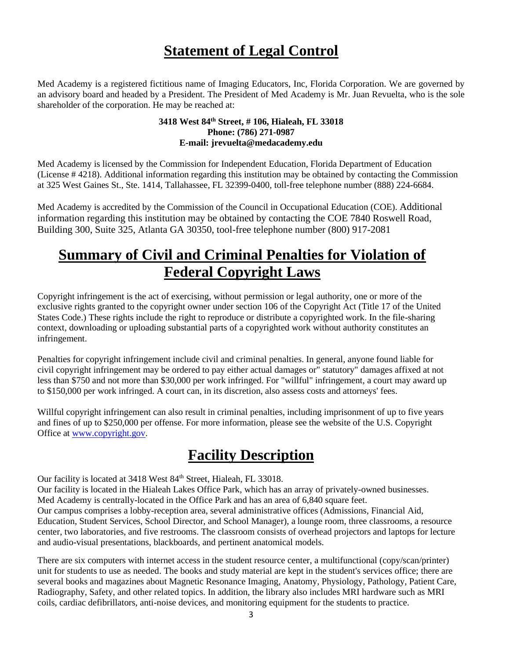## **Statement of Legal Control**

Med Academy is a registered fictitious name of Imaging Educators, Inc, Florida Corporation. We are governed by an advisory board and headed by a President. The President of Med Academy is Mr. Juan Revuelta, who is the sole shareholder of the corporation. He may be reached at:

#### **3418 West 84th Street, # 106, Hialeah, FL 33018 Phone: (786) 271-0987 E-mail: jrevuelta@medacademy.edu**

Med Academy is licensed by the Commission for Independent Education, Florida Department of Education (License # 4218). Additional information regarding this institution may be obtained by contacting the Commission at 325 West Gaines St., Ste. 1414, Tallahassee, FL 32399-0400, toll-free telephone number (888) 224-6684.

Med Academy is accredited by the Commission of the Council in Occupational Education (COE). Additional information regarding this institution may be obtained by contacting the COE 7840 Roswell Road, Building 300, Suite 325, Atlanta GA 30350, tool-free telephone number (800) 917-2081

## **Summary of Civil and Criminal Penalties for Violation of Federal Copyright Laws**

Copyright infringement is the act of exercising, without permission or legal authority, one or more of the exclusive rights granted to the copyright owner under section 106 of the Copyright Act (Title 17 of the United States Code.) These rights include the right to reproduce or distribute a copyrighted work. In the file-sharing context, downloading or uploading substantial parts of a copyrighted work without authority constitutes an infringement.

Penalties for copyright infringement include civil and criminal penalties. In general, anyone found liable for civil copyright infringement may be ordered to pay either actual damages or" statutory" damages affixed at not less than \$750 and not more than \$30,000 per work infringed. For "willful" infringement, a court may award up to \$150,000 per work infringed. A court can, in its discretion, also assess costs and attorneys' fees.

Willful copyright infringement can also result in criminal penalties, including imprisonment of up to five years and fines of up to \$250,000 per offense. For more information, please see the website of the U.S. Copyright Office at [www.copyright.gov.](http://www.copyrigh.gov/)

## **Facility Description**

Our facility is located at 3418 West 84<sup>th</sup> Street, Hialeah, FL 33018.

Our facility is located in the Hialeah Lakes Office Park, which has an array of privately-owned businesses. Med Academy is centrally-located in the Office Park and has an area of 6,840 square feet. Our campus comprises a lobby-reception area, several administrative offices (Admissions, Financial Aid, Education, Student Services, School Director, and School Manager), a lounge room, three classrooms, a resource center, two laboratories, and five restrooms. The classroom consists of overhead projectors and laptops for lecture and audio-visual presentations, blackboards, and pertinent anatomical models.

There are six computers with internet access in the student resource center, a multifunctional (copy/scan/printer) unit for students to use as needed. The books and study material are kept in the student's services office; there are several books and magazines about Magnetic Resonance Imaging, Anatomy, Physiology, Pathology, Patient Care, Radiography, Safety, and other related topics. In addition, the library also includes MRI hardware such as MRI coils, cardiac defibrillators, anti-noise devices, and monitoring equipment for the students to practice.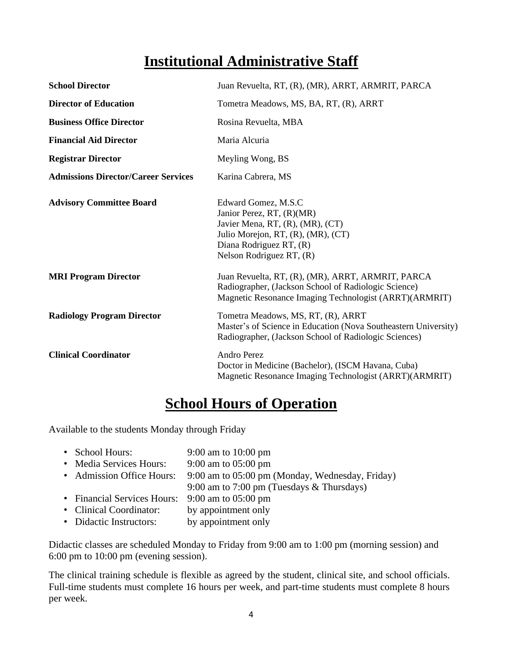## **Institutional Administrative Staff**

| <b>School Director</b>                     | Juan Revuelta, RT, (R), (MR), ARRT, ARMRIT, PARCA                                                                                                                                 |
|--------------------------------------------|-----------------------------------------------------------------------------------------------------------------------------------------------------------------------------------|
| <b>Director of Education</b>               | Tometra Meadows, MS, BA, RT, (R), ARRT                                                                                                                                            |
| <b>Business Office Director</b>            | Rosina Revuelta, MBA                                                                                                                                                              |
| <b>Financial Aid Director</b>              | Maria Alcuria                                                                                                                                                                     |
| <b>Registrar Director</b>                  | Meyling Wong, BS                                                                                                                                                                  |
| <b>Admissions Director/Career Services</b> | Karina Cabrera, MS                                                                                                                                                                |
| <b>Advisory Committee Board</b>            | Edward Gomez, M.S.C<br>Janior Perez, RT, (R)(MR)<br>Javier Mena, RT, (R), (MR), (CT)<br>Julio Morejon, RT, (R), (MR), (CT)<br>Diana Rodriguez RT, (R)<br>Nelson Rodriguez RT, (R) |
| <b>MRI Program Director</b>                | Juan Revuelta, RT, (R), (MR), ARRT, ARMRIT, PARCA<br>Radiographer, (Jackson School of Radiologic Science)<br>Magnetic Resonance Imaging Technologist (ARRT)(ARMRIT)               |
| <b>Radiology Program Director</b>          | Tometra Meadows, MS, RT, (R), ARRT<br>Master's of Science in Education (Nova Southeastern University)<br>Radiographer, (Jackson School of Radiologic Sciences)                    |
| <b>Clinical Coordinator</b>                | Andro Perez<br>Doctor in Medicine (Bachelor), (ISCM Havana, Cuba)<br>Magnetic Resonance Imaging Technologist (ARRT)(ARMRIT)                                                       |

## **School Hours of Operation**

Available to the students Monday through Friday

| • School Hours:                                 | 9:00 am to $10:00 \text{ pm}$                   |
|-------------------------------------------------|-------------------------------------------------|
| • Media Services Hours:                         | 9:00 am to $05:00$ pm                           |
| • Admission Office Hours:                       | 9:00 am to 05:00 pm (Monday, Wednesday, Friday) |
|                                                 | 9:00 am to 7:00 pm (Tuesdays & Thursdays)       |
| • Financial Services Hours: 9:00 am to 05:00 pm |                                                 |
| • Clinical Coordinator:                         | by appointment only                             |
| • Didactic Instructors:                         | by appointment only                             |

Didactic classes are scheduled Monday to Friday from 9:00 am to 1:00 pm (morning session) and 6:00 pm to 10:00 pm (evening session).

The clinical training schedule is flexible as agreed by the student, clinical site, and school officials. Full-time students must complete 16 hours per week, and part-time students must complete 8 hours per week.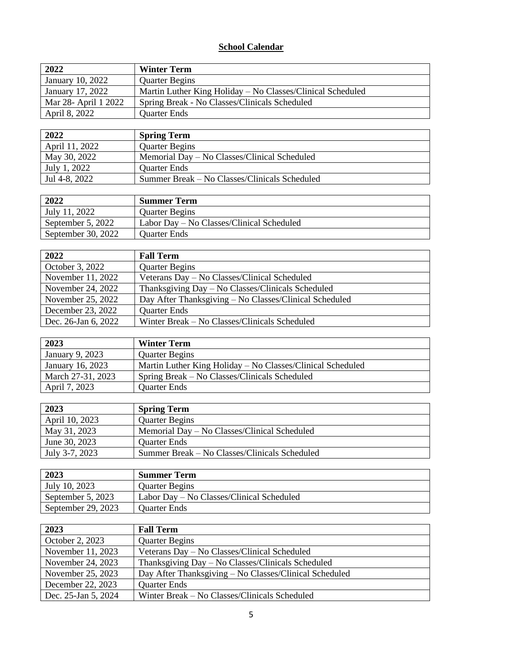#### **School Calendar**

| 2022                 | <b>Winter Term</b>                                         |
|----------------------|------------------------------------------------------------|
| January 10, 2022     | <b>Quarter Begins</b>                                      |
| January 17, 2022     | Martin Luther King Holiday – No Classes/Clinical Scheduled |
| Mar 28- April 1 2022 | Spring Break - No Classes/Clinicals Scheduled              |
| April 8, 2022        | <b>Quarter Ends</b>                                        |

| 2022           | <b>Spring Term</b>                            |
|----------------|-----------------------------------------------|
| April 11, 2022 | <b>Quarter Begins</b>                         |
| May 30, 2022   | Memorial Day – No Classes/Clinical Scheduled  |
| July 1, 2022   | <b>Ouarter Ends</b>                           |
| Jul 4-8, 2022  | Summer Break – No Classes/Clinicals Scheduled |

| 2022               | <b>Summer Term</b>                        |
|--------------------|-------------------------------------------|
| July 11, 2022      | <b>Quarter Begins</b>                     |
| September 5, 2022  | Labor Day – No Classes/Clinical Scheduled |
| September 30, 2022 | Quarter Ends                              |

| 2022                | <b>Fall Term</b>                                       |
|---------------------|--------------------------------------------------------|
| October 3, 2022     | <b>Quarter Begins</b>                                  |
| November 11, 2022   | Veterans Day - No Classes/Clinical Scheduled           |
| November 24, 2022   | Thanksgiving Day – No Classes/Clinicals Scheduled      |
| November 25, 2022   | Day After Thanksgiving - No Classes/Clinical Scheduled |
| December 23, 2022   | <b>Quarter Ends</b>                                    |
| Dec. 26-Jan 6, 2022 | Winter Break – No Classes/Clinicals Scheduled          |

| 2023              | <b>Winter Term</b>                                         |
|-------------------|------------------------------------------------------------|
| January 9, 2023   | <b>Quarter Begins</b>                                      |
| January 16, 2023  | Martin Luther King Holiday – No Classes/Clinical Scheduled |
| March 27-31, 2023 | Spring Break – No Classes/Clinicals Scheduled              |
| April 7, 2023     | <b>Quarter Ends</b>                                        |

| 2023           | <b>Spring Term</b>                            |
|----------------|-----------------------------------------------|
| April 10, 2023 | <b>Quarter Begins</b>                         |
| May 31, 2023   | Memorial Day – No Classes/Clinical Scheduled  |
| June 30, 2023  | Quarter Ends                                  |
| July 3-7, 2023 | Summer Break – No Classes/Clinicals Scheduled |

| 2023               | <b>Summer Term</b>                        |
|--------------------|-------------------------------------------|
| July 10, 2023      | <b>Quarter Begins</b>                     |
| September 5, 2023  | Labor Day – No Classes/Clinical Scheduled |
| September 29, 2023 | <b>Ouarter Ends</b>                       |

| 2023                | <b>Fall Term</b>                                       |
|---------------------|--------------------------------------------------------|
| October 2, 2023     | <b>Quarter Begins</b>                                  |
| November 11, 2023   | Veterans Day – No Classes/Clinical Scheduled           |
| November 24, 2023   | Thanksgiving $Day - No Classes/Clinicals Scheduled$    |
| November 25, 2023   | Day After Thanksgiving - No Classes/Clinical Scheduled |
| December 22, 2023   | <b>Quarter Ends</b>                                    |
| Dec. 25-Jan 5, 2024 | Winter Break – No Classes/Clinicals Scheduled          |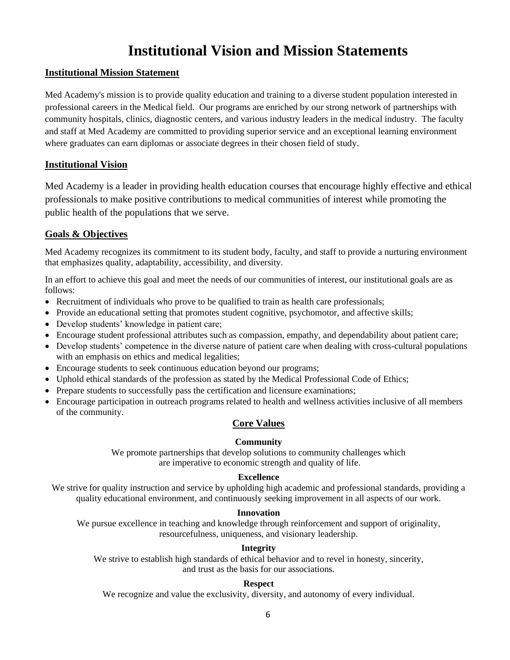## **Institutional Vision and Mission Statements**

#### **Institutional Mission Statement**

Med Academy's mission is to provide quality education and training to a diverse student population interested in professional careers in the Medical field. Our programs are enriched by our strong network of partnerships with community hospitals, clinics, diagnostic centers, and various industry leaders in the medical industry. The faculty and staff at Med Academy are committed to providing superior service and an exceptional learning environment where graduates can earn diplomas or associate degrees in their chosen field of study.

#### **Institutional Vision**

Med Academy is a leader in providing health education courses that encourage highly effective and ethical professionals to make positive contributions to medical communities of interest while promoting the public health of the populations that we serve.

#### **Goals & Objectives**

Med Academy recognizes its commitment to its student body, faculty, and staff to provide a nurturing environment that emphasizes quality, adaptability, accessibility, and diversity.

In an effort to achieve this goal and meet the needs of our communities of interest, our institutional goals are as follows:

- Recruitment of individuals who prove to be qualified to train as health care professionals;
- Provide an educational setting that promotes student cognitive, psychomotor, and affective skills;
- Develop students' knowledge in patient care;
- Encourage student professional attributes such as compassion, empathy, and dependability about patient care;
- Develop students' competence in the diverse nature of patient care when dealing with cross-cultural populations with an emphasis on ethics and medical legalities;
- Encourage students to seek continuous education beyond our programs;
- Uphold ethical standards of the profession as stated by the Medical Professional Code of Ethics;
- Prepare students to successfully pass the certification and licensure examinations;
- Encourage participation in outreach programs related to health and wellness activities inclusive of all members of the community.

#### **Core Values**

#### **Community**

We promote partnerships that develop solutions to community challenges which are imperative to economic strength and quality of life.

#### **Excellence**

We strive for quality instruction and service by upholding high academic and professional standards, providing a quality educational environment, and continuously seeking improvement in all aspects of our work.

#### **Innovation**

We pursue excellence in teaching and knowledge through reinforcement and support of originality, resourcefulness, uniqueness, and visionary leadership.

#### **Integrity**

We strive to establish high standards of ethical behavior and to revel in honesty, sincerity, and trust as the basis for our associations.

#### **Respect**

We recognize and value the exclusivity, diversity, and autonomy of every individual.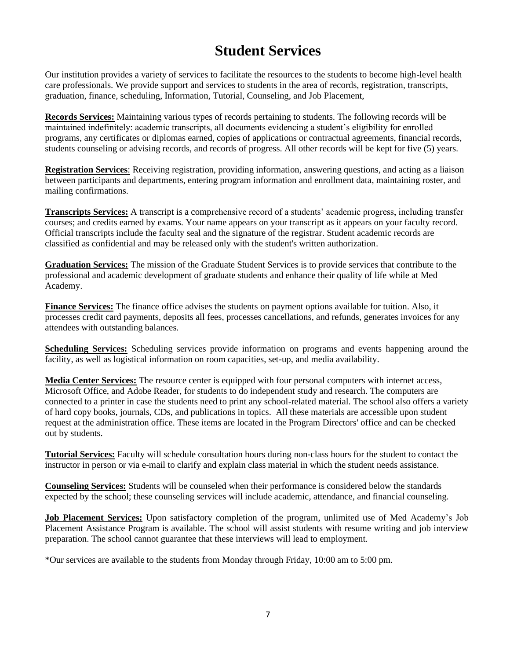## **Student Services**

Our institution provides a variety of services to facilitate the resources to the students to become high-level health care professionals. We provide support and services to students in the area of records, registration, transcripts, graduation, finance, scheduling, Information, Tutorial, Counseling, and Job Placement,

**Records Services:** Maintaining various types of records pertaining to students. The following records will be maintained indefinitely: academic transcripts, all documents evidencing a student's eligibility for enrolled programs, any certificates or diplomas earned, copies of applications or contractual agreements, financial records, students counseling or advising records, and records of progress. All other records will be kept for five (5) years.

**Registration Services**: Receiving registration, providing information, answering questions, and acting as a liaison between participants and departments, entering program information and enrollment data, maintaining roster, and mailing confirmations.

**Transcripts Services:** A transcript is a comprehensive record of a students' academic progress, including transfer courses; and credits earned by exams. Your name appears on your transcript as it appears on your faculty record. Official transcripts include the faculty seal and the signature of the registrar. Student academic records are classified as confidential and may be released only with the student's written authorization.

**Graduation Services:** The mission of the Graduate Student Services is to provide services that contribute to the professional and academic development of graduate students and enhance their quality of life while at Med Academy.

**Finance Services:** The finance office advises the students on payment options available for tuition. Also, it processes credit card payments, deposits all fees, processes cancellations, and refunds, generates invoices for any attendees with outstanding balances.

**Scheduling Services:** Scheduling services provide information on programs and events happening around the facility, as well as logistical information on room capacities, set-up, and media availability.

**Media Center Services:** The resource center is equipped with four personal computers with internet access, Microsoft Office, and Adobe Reader, for students to do independent study and research. The computers are connected to a printer in case the students need to print any school-related material. The school also offers a variety of hard copy books, journals, CDs, and publications in topics. All these materials are accessible upon student request at the administration office. These items are located in the Program Directors' office and can be checked out by students.

**Tutorial Services:** Faculty will schedule consultation hours during non-class hours for the student to contact the instructor in person or via e-mail to clarify and explain class material in which the student needs assistance.

**Counseling Services:** Students will be counseled when their performance is considered below the standards expected by the school; these counseling services will include academic, attendance, and financial counseling.

**Job Placement Services:** Upon satisfactory completion of the program, unlimited use of Med Academy's Job Placement Assistance Program is available. The school will assist students with resume writing and job interview preparation. The school cannot guarantee that these interviews will lead to employment.

\*Our services are available to the students from Monday through Friday, 10:00 am to 5:00 pm.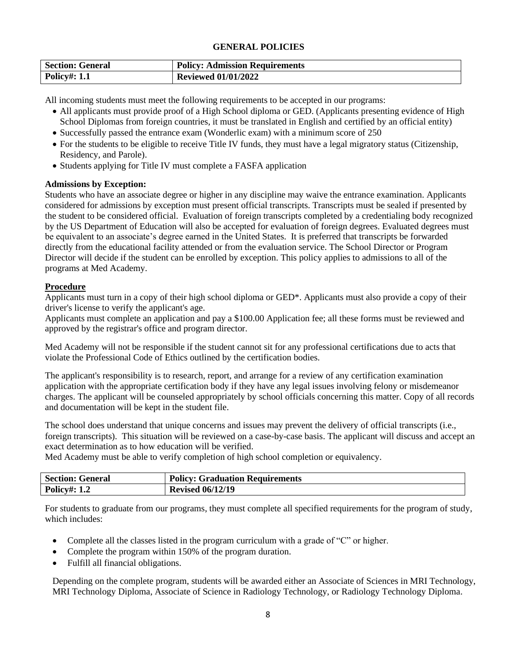#### **GENERAL POLICIES**

| <b>Section: General</b> | <b>Policy: Admission Requirements</b> |
|-------------------------|---------------------------------------|
| <b>Policy#: 1.1</b>     | <b>Reviewed 01/01/2022</b>            |

All incoming students must meet the following requirements to be accepted in our programs:

- All applicants must provide proof of a High School diploma or GED. (Applicants presenting evidence of High School Diplomas from foreign countries, it must be translated in English and certified by an official entity)
- Successfully passed the entrance exam (Wonderlic exam) with a minimum score of 250
- For the students to be eligible to receive Title IV funds, they must have a legal migratory status (Citizenship, Residency, and Parole).
- Students applying for Title IV must complete a FASFA application

#### **Admissions by Exception:**

Students who have an associate degree or higher in any discipline may waive the entrance examination. Applicants considered for admissions by exception must present official transcripts. Transcripts must be sealed if presented by the student to be considered official. Evaluation of foreign transcripts completed by a credentialing body recognized by the US Department of Education will also be accepted for evaluation of foreign degrees. Evaluated degrees must be equivalent to an associate's degree earned in the United States. It is preferred that transcripts be forwarded directly from the educational facility attended or from the evaluation service. The School Director or Program Director will decide if the student can be enrolled by exception. This policy applies to admissions to all of the programs at Med Academy.

#### **Procedure**

Applicants must turn in a copy of their high school diploma or GED\*. Applicants must also provide a copy of their driver's license to verify the applicant's age.

Applicants must complete an application and pay a \$100.00 Application fee; all these forms must be reviewed and approved by the registrar's office and program director.

Med Academy will not be responsible if the student cannot sit for any professional certifications due to acts that violate the Professional Code of Ethics outlined by the certification bodies.

The applicant's responsibility is to research, report, and arrange for a review of any certification examination application with the appropriate certification body if they have any legal issues involving felony or misdemeanor charges. The applicant will be counseled appropriately by school officials concerning this matter. Copy of all records and documentation will be kept in the student file.

The school does understand that unique concerns and issues may prevent the delivery of official transcripts (i.e., foreign transcripts). This situation will be reviewed on a case-by-case basis. The applicant will discuss and accept an exact determination as to how education will be verified.

Med Academy must be able to verify completion of high school completion or equivalency.

| <b>Section: General</b> | <b>Policy: Graduation Requirements</b> |
|-------------------------|----------------------------------------|
| <b>Policy#: 1.2</b>     | <b>Revised 06/12/19</b>                |

For students to graduate from our programs, they must complete all specified requirements for the program of study, which includes:

- Complete all the classes listed in the program curriculum with a grade of "C" or higher.
- Complete the program within 150% of the program duration.
- Fulfill all financial obligations.

Depending on the complete program, students will be awarded either an Associate of Sciences in MRI Technology, MRI Technology Diploma, Associate of Science in Radiology Technology, or Radiology Technology Diploma.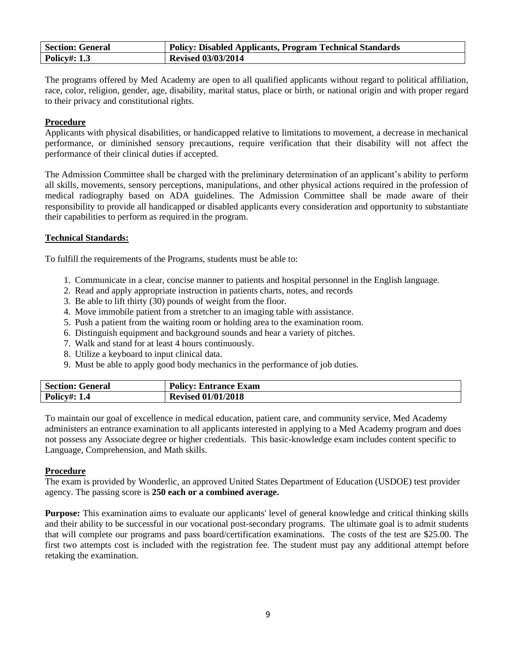| <b>Section: General</b> | Policy: Disabled Applicants, Program Technical Standards |
|-------------------------|----------------------------------------------------------|
| <b>Policy#: 1.3</b>     | <b>Revised 03/03/2014</b>                                |

The programs offered by Med Academy are open to all qualified applicants without regard to political affiliation, race, color, religion, gender, age, disability, marital status, place or birth, or national origin and with proper regard to their privacy and constitutional rights.

#### **Procedure**

Applicants with physical disabilities, or handicapped relative to limitations to movement, a decrease in mechanical performance, or diminished sensory precautions, require verification that their disability will not affect the performance of their clinical duties if accepted.

The Admission Committee shall be charged with the preliminary determination of an applicant's ability to perform all skills, movements, sensory perceptions, manipulations, and other physical actions required in the profession of medical radiography based on ADA guidelines. The Admission Committee shall be made aware of their responsibility to provide all handicapped or disabled applicants every consideration and opportunity to substantiate their capabilities to perform as required in the program.

#### **Technical Standards:**

To fulfill the requirements of the Programs, students must be able to:

- 1. Communicate in a clear, concise manner to patients and hospital personnel in the English language.
- 2. Read and apply appropriate instruction in patients charts, notes, and records
- 3. Be able to lift thirty (30) pounds of weight from the floor.
- 4. Move immobile patient from a stretcher to an imaging table with assistance.
- 5. Push a patient from the waiting room or holding area to the examination room.
- 6. Distinguish equipment and background sounds and hear a variety of pitches.
- 7. Walk and stand for at least 4 hours continuously.
- 8. Utilize a keyboard to input clinical data.
- 9. Must be able to apply good body mechanics in the performance of job duties.

| Section: | <b>Policy:</b>        |
|----------|-----------------------|
| General  | <b>Entrance Exam</b>  |
| Policy#: | 01/01/2018<br>Revised |

To maintain our goal of excellence in medical education, patient care, and community service, Med Academy administers an entrance examination to all applicants interested in applying to a Med Academy program and does not possess any Associate degree or higher credentials. This basic-knowledge exam includes content specific to Language, Comprehension, and Math skills.

#### **Procedure**

The exam is provided by Wonderlic, an approved United States Department of Education (USDOE) test provider agency. The passing score is **250 each or a combined average.**

**Purpose:** This examination aims to evaluate our applicants' level of general knowledge and critical thinking skills and their ability to be successful in our vocational post-secondary programs. The ultimate goal is to admit students that will complete our programs and pass board/certification examinations. The costs of the test are \$25.00. The first two attempts cost is included with the registration fee. The student must pay any additional attempt before retaking the examination.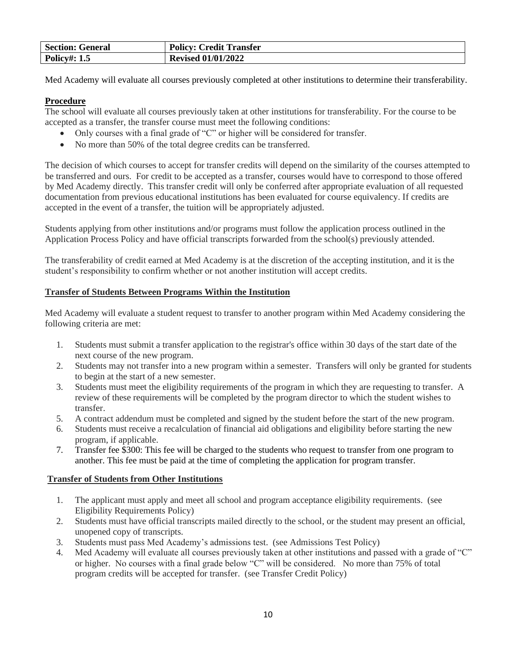| <b>Section: General</b> | <b>Policy: Credit Transfer</b> |
|-------------------------|--------------------------------|
| <b>Policy#: 1.5</b>     | <b>Revised 01/01/2022</b>      |

Med Academy will evaluate all courses previously completed at other institutions to determine their transferability.

#### **Procedure**

The school will evaluate all courses previously taken at other institutions for transferability. For the course to be accepted as a transfer, the transfer course must meet the following conditions:

- Only courses with a final grade of "C" or higher will be considered for transfer.
- No more than 50% of the total degree credits can be transferred.

The decision of which courses to accept for transfer credits will depend on the similarity of the courses attempted to be transferred and ours. For credit to be accepted as a transfer, courses would have to correspond to those offered by Med Academy directly. This transfer credit will only be conferred after appropriate evaluation of all requested documentation from previous educational institutions has been evaluated for course equivalency. If credits are accepted in the event of a transfer, the tuition will be appropriately adjusted.

Students applying from other institutions and/or programs must follow the application process outlined in the Application Process Policy and have official transcripts forwarded from the school(s) previously attended.

The transferability of credit earned at Med Academy is at the discretion of the accepting institution, and it is the student's responsibility to confirm whether or not another institution will accept credits.

#### **Transfer of Students Between Programs Within the Institution**

Med Academy will evaluate a student request to transfer to another program within Med Academy considering the following criteria are met:

- 1. Students must submit a transfer application to the registrar's office within 30 days of the start date of the next course of the new program.
- 2. Students may not transfer into a new program within a semester. Transfers will only be granted for students to begin at the start of a new semester.
- 3. Students must meet the eligibility requirements of the program in which they are requesting to transfer. A review of these requirements will be completed by the program director to which the student wishes to transfer.
- 5. A contract addendum must be completed and signed by the student before the start of the new program.
- 6. Students must receive a recalculation of financial aid obligations and eligibility before starting the new program, if applicable.
- 7. Transfer fee \$300: This fee will be charged to the students who request to transfer from one program to another. This fee must be paid at the time of completing the application for program transfer.

#### **Transfer of Students from Other Institutions**

- 1. The applicant must apply and meet all school and program acceptance eligibility requirements. (see Eligibility Requirements Policy)
- 2. Students must have official transcripts mailed directly to the school, or the student may present an official, unopened copy of transcripts.
- 3. Students must pass Med Academy's admissions test. (see Admissions Test Policy)
- 4. Med Academy will evaluate all courses previously taken at other institutions and passed with a grade of "C" or higher. No courses with a final grade below "C" will be considered. No more than 75% of total program credits will be accepted for transfer. (see Transfer Credit Policy)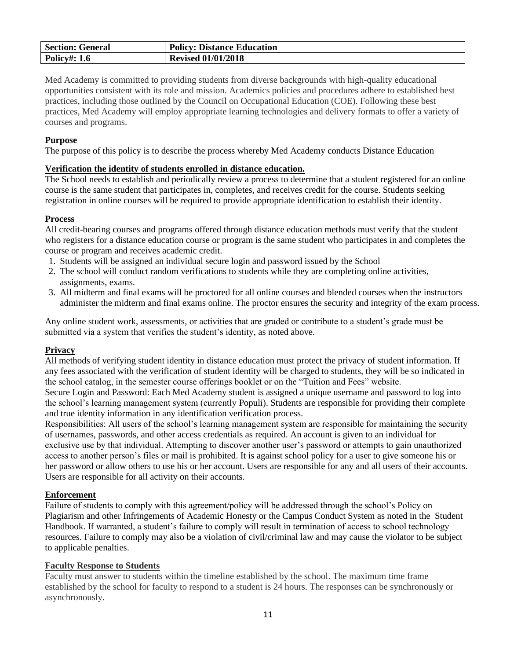| <b>Section: General</b> | <b>Policy: Distance Education</b> |
|-------------------------|-----------------------------------|
| <b>Policy#: 1.6</b>     | <b>Revised 01/01/2018</b>         |

Med Academy is committed to providing students from diverse backgrounds with high-quality educational opportunities consistent with its role and mission. Academics policies and procedures adhere to established best practices, including those outlined by the Council on Occupational Education (COE). Following these best practices, Med Academy will employ appropriate learning technologies and delivery formats to offer a variety of courses and programs.

#### **Purpose**

The purpose of this policy is to describe the process whereby Med Academy conducts Distance Education

#### **Verification the identity of students enrolled in distance education.**

The School needs to establish and periodically review a process to determine that a student registered for an online course is the same student that participates in, completes, and receives credit for the course. Students seeking registration in online courses will be required to provide appropriate identification to establish their identity.

#### **Process**

All credit-bearing courses and programs offered through distance education methods must verify that the student who registers for a distance education course or program is the same student who participates in and completes the course or program and receives academic credit.

- 1. Students will be assigned an individual secure login and password issued by the School
- 2. The school will conduct random verifications to students while they are completing online activities, assignments, exams.
- 3. All midterm and final exams will be proctored for all online courses and blended courses when the instructors administer the midterm and final exams online. The proctor ensures the security and integrity of the exam process.

Any online student work, assessments, or activities that are graded or contribute to a student's grade must be submitted via a system that verifies the student's identity, as noted above.

#### **Privacy**

All methods of verifying student identity in distance education must protect the privacy of student information. If any fees associated with the verification of student identity will be charged to students, they will be so indicated in the school catalog, in the semester course offerings booklet or on the "Tuition and Fees" website.

Secure Login and Password: Each Med Academy student is assigned a unique username and password to log into the school's learning management system (currently Populi). Students are responsible for providing their complete and true identity information in any identification verification process.

Responsibilities: All users of the school's learning management system are responsible for maintaining the security of usernames, passwords, and other access credentials as required. An account is given to an individual for exclusive use by that individual. Attempting to discover another user's password or attempts to gain unauthorized access to another person's files or mail is prohibited. It is against school policy for a user to give someone his or her password or allow others to use his or her account. Users are responsible for any and all users of their accounts. Users are responsible for all activity on their accounts.

#### **Enforcement**

Failure of students to comply with this agreement/policy will be addressed through the school's Policy on Plagiarism and other Infringements of Academic Honesty or the Campus Conduct System as noted in the Student Handbook. If warranted, a student's failure to comply will result in termination of access to school technology resources. Failure to comply may also be a violation of civil/criminal law and may cause the violator to be subject to applicable penalties.

#### **Faculty Response to Students**

Faculty must answer to students within the timeline established by the school. The maximum time frame established by the school for faculty to respond to a student is 24 hours. The responses can be synchronously or asynchronously.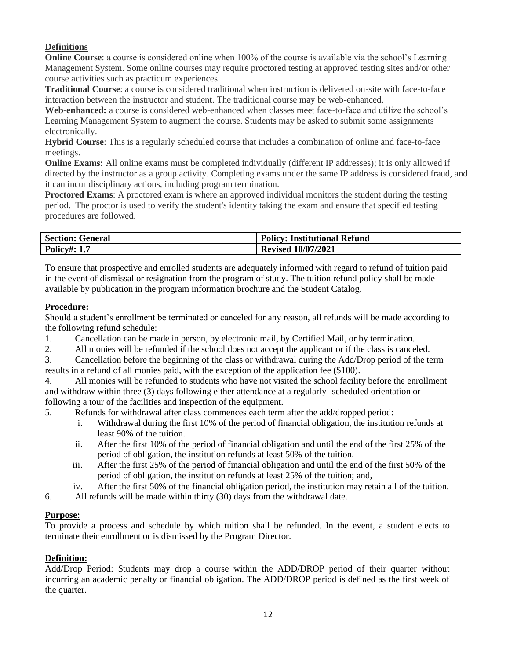#### **Definitions**

**Online Course**: a course is considered online when 100% of the course is available via the school's Learning Management System. Some online courses may require proctored testing at approved testing sites and/or other course activities such as practicum experiences.

**Traditional Course**: a course is considered traditional when instruction is delivered on-site with face-to-face interaction between the instructor and student. The traditional course may be web-enhanced.

Web-enhanced: a course is considered web-enhanced when classes meet face-to-face and utilize the school's Learning Management System to augment the course. Students may be asked to submit some assignments electronically.

**Hybrid Course**: This is a regularly scheduled course that includes a combination of online and face-to-face meetings.

**Online Exams:** All online exams must be completed individually (different IP addresses); it is only allowed if directed by the instructor as a group activity. Completing exams under the same IP address is considered fraud, and it can incur disciplinary actions, including program termination.

**Proctored Exams:** A proctored exam is where an approved individual monitors the student during the testing period. The proctor is used to verify the student's identity taking the exam and ensure that specified testing procedures are followed.

| <b>Section: General</b> | <b>Policy: Institutional Refund</b> |
|-------------------------|-------------------------------------|
| <b>Policy#: 1.7</b>     | <b>Revised 10/07/2021</b>           |

To ensure that prospective and enrolled students are adequately informed with regard to refund of tuition paid in the event of dismissal or resignation from the program of study. The tuition refund policy shall be made available by publication in the program information brochure and the Student Catalog.

#### **Procedure:**

Should a student's enrollment be terminated or canceled for any reason, all refunds will be made according to the following refund schedule:

- 1. Cancellation can be made in person, by electronic mail, by Certified Mail, or by termination.
- 2. All monies will be refunded if the school does not accept the applicant or if the class is canceled.
- 3. Cancellation before the beginning of the class or withdrawal during the Add/Drop period of the term results in a refund of all monies paid, with the exception of the application fee (\$100).
- 4. All monies will be refunded to students who have not visited the school facility before the enrollment and withdraw within three (3) days following either attendance at a regularly- scheduled orientation or following a tour of the facilities and inspection of the equipment.

5. Refunds for withdrawal after class commences each term after the add/dropped period:

- i. Withdrawal during the first 10% of the period of financial obligation, the institution refunds at least 90% of the tuition.
- ii. After the first 10% of the period of financial obligation and until the end of the first 25% of the period of obligation, the institution refunds at least 50% of the tuition.
- iii. After the first 25% of the period of financial obligation and until the end of the first 50% of the period of obligation, the institution refunds at least 25% of the tuition; and,
- iv. After the first 50% of the financial obligation period, the institution may retain all of the tuition.
- 6. All refunds will be made within thirty (30) days from the withdrawal date.

#### **Purpose:**

To provide a process and schedule by which tuition shall be refunded. In the event, a student elects to terminate their enrollment or is dismissed by the Program Director.

#### **Definition:**

Add/Drop Period: Students may drop a course within the ADD/DROP period of their quarter without incurring an academic penalty or financial obligation. The ADD/DROP period is defined as the first week of the quarter.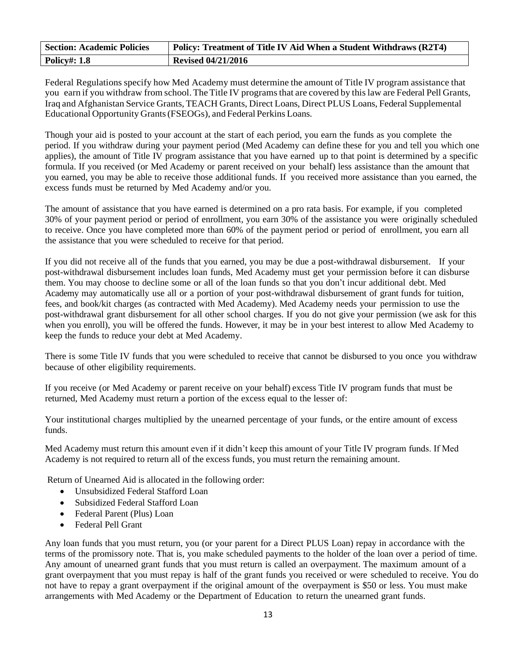| <b>Section: Academic Policies</b> | Policy: Treatment of Title IV Aid When a Student Withdraws (R2T4) |
|-----------------------------------|-------------------------------------------------------------------|
| <b>Policy#: 1.8</b>               | <b>Revised 04/21/2016</b>                                         |

Federal Regulations specify how Med Academy must determine the amount of Title IV program assistance that you earn if you withdraw from school. The Title IV programs that are covered by this law are Federal Pell Grants, Iraq and Afghanistan Service Grants, TEACH Grants, Direct Loans, Direct PLUS Loans, Federal Supplemental Educational Opportunity Grants(FSEOGs), and Federal Perkins Loans.

Though your aid is posted to your account at the start of each period, you earn the funds as you complete the period. If you withdraw during your payment period (Med Academy can define these for you and tell you which one applies), the amount of Title IV program assistance that you have earned up to that point is determined by a specific formula. If you received (or Med Academy or parent received on your behalf) less assistance than the amount that you earned, you may be able to receive those additional funds. If you received more assistance than you earned, the excess funds must be returned by Med Academy and/or you.

The amount of assistance that you have earned is determined on a pro rata basis. For example, if you completed 30% of your payment period or period of enrollment, you earn 30% of the assistance you were originally scheduled to receive. Once you have completed more than 60% of the payment period or period of enrollment, you earn all the assistance that you were scheduled to receive for that period.

If you did not receive all of the funds that you earned, you may be due a post-withdrawal disbursement. If your post-withdrawal disbursement includes loan funds, Med Academy must get your permission before it can disburse them. You may choose to decline some or all of the loan funds so that you don't incur additional debt. Med Academy may automatically use all or a portion of your post-withdrawal disbursement of grant funds for tuition, fees, and book/kit charges (as contracted with Med Academy). Med Academy needs your permission to use the post-withdrawal grant disbursement for all other school charges. If you do not give your permission (we ask for this when you enroll), you will be offered the funds. However, it may be in your best interest to allow Med Academy to keep the funds to reduce your debt at Med Academy.

There is some Title IV funds that you were scheduled to receive that cannot be disbursed to you once you withdraw because of other eligibility requirements.

If you receive (or Med Academy or parent receive on your behalf) excess Title IV program funds that must be returned, Med Academy must return a portion of the excess equal to the lesser of:

Your institutional charges multiplied by the unearned percentage of your funds, or the entire amount of excess funds.

Med Academy must return this amount even if it didn't keep this amount of your Title IV program funds. If Med Academy is not required to return all of the excess funds, you must return the remaining amount.

Return of Unearned Aid is allocated in the following order:

- Unsubsidized Federal Stafford Loan
- Subsidized Federal Stafford Loan
- Federal Parent (Plus) Loan
- Federal Pell Grant

Any loan funds that you must return, you (or your parent for a Direct PLUS Loan) repay in accordance with the terms of the promissory note. That is, you make scheduled payments to the holder of the loan over a period of time. Any amount of unearned grant funds that you must return is called an overpayment. The maximum amount of a grant overpayment that you must repay is half of the grant funds you received or were scheduled to receive. You do not have to repay a grant overpayment if the original amount of the overpayment is \$50 or less. You must make arrangements with Med Academy or the Department of Education to return the unearned grant funds.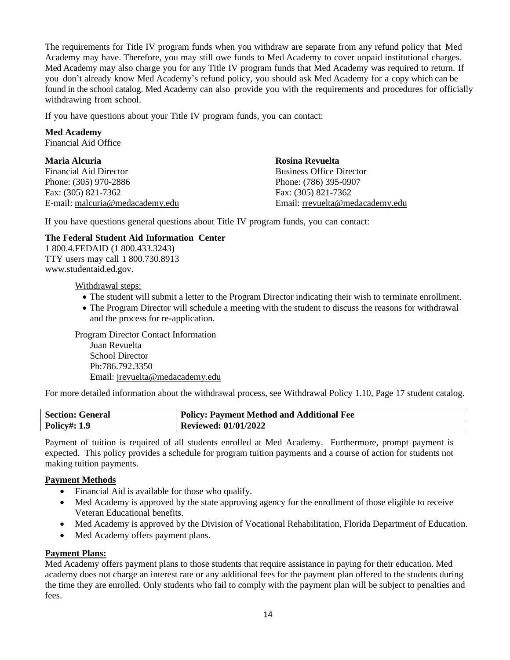The requirements for Title IV program funds when you withdraw are separate from any refund policy that Med Academy may have. Therefore, you may still owe funds to Med Academy to cover unpaid institutional charges. Med Academy may also charge you for any Title IV program funds that Med Academy was required to return. If you don't already know Med Academy's refund policy, you should ask Med Academy for a copy which can be found in the school catalog. Med Academy can also provide you with the requirements and procedures for officially withdrawing from school.

If you have questions about your Title IV program funds, you can contact:

#### **Med Academy**

Financial Aid Office

| <b>Maria Alcuria</b>            | Rosina Revuelta                 |
|---------------------------------|---------------------------------|
| <b>Financial Aid Director</b>   | <b>Business Office Director</b> |
| Phone: (305) 970-2886           | Phone: (786) 395-0907           |
| Fax: (305) 821-7362             | Fax: (305) 821-7362             |
| E-mail: malcuria@medacademy.edu | Email: rrevuelta@medacademy.edu |

If you have questions general questions about Title IV program funds, you can contact:

#### **The Federal Student Aid Information Center**

1 800.4.FEDAID (1 800.433.3243) TTY users may call 1 800.730.8913 [www.studentaid.ed.gov.](http://www.studentaid.ed.gov/)

Withdrawal steps:

- The student will submit a letter to the Program Director indicating their wish to terminate enrollment.
- The Program Director will schedule a meeting with the student to discuss the reasons for withdrawal and the process for re-application.

Program Director Contact Information Juan Revuelta School Director Ph:786.792.3350 Email: jrevuelta@medacademy.edu

For more detailed information about the withdrawal process, see Withdrawal Policy 1.10, Page 17 student catalog.

| <b>Section: General</b> | Policy: Payment Method and Additional Fee |
|-------------------------|-------------------------------------------|
| <b>Policy#: 1.9</b>     | <b>Reviewed: 01/01/2022</b>               |

Payment of tuition is required of all students enrolled at Med Academy. Furthermore, prompt payment is expected. This policy provides a schedule for program tuition payments and a course of action for students not making tuition payments.

#### **Payment Methods**

- Financial Aid is available for those who qualify.
- Med Academy is approved by the state approving agency for the enrollment of those eligible to receive Veteran Educational benefits.
- Med Academy is approved by the Division of Vocational Rehabilitation, Florida Department of Education.
- Med Academy offers payment plans.

#### **Payment Plans:**

Med Academy offers payment plans to those students that require assistance in paying for their education. Med academy does not charge an interest rate or any additional fees for the payment plan offered to the students during the time they are enrolled. Only students who fail to comply with the payment plan will be subject to penalties and fees.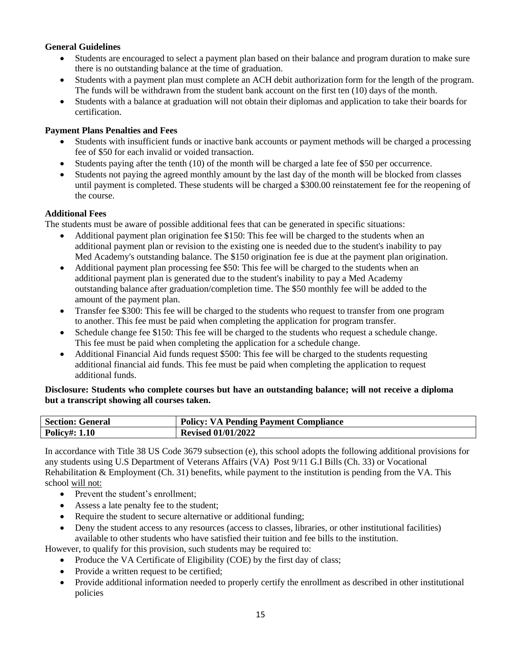#### **General Guidelines**

- Students are encouraged to select a payment plan based on their balance and program duration to make sure there is no outstanding balance at the time of graduation.
- Students with a payment plan must complete an ACH debit authorization form for the length of the program. The funds will be withdrawn from the student bank account on the first ten (10) days of the month.
- Students with a balance at graduation will not obtain their diplomas and application to take their boards for certification.

#### **Payment Plans Penalties and Fees**

- Students with insufficient funds or inactive bank accounts or payment methods will be charged a processing fee of \$50 for each invalid or voided transaction.
- Students paying after the tenth (10) of the month will be charged a late fee of \$50 per occurrence.
- Students not paying the agreed monthly amount by the last day of the month will be blocked from classes until payment is completed. These students will be charged a \$300.00 reinstatement fee for the reopening of the course.

#### **Additional Fees**

The students must be aware of possible additional fees that can be generated in specific situations:

- Additional payment plan origination fee \$150: This fee will be charged to the students when an additional payment plan or revision to the existing one is needed due to the student's inability to pay Med Academy's outstanding balance. The \$150 origination fee is due at the payment plan origination.
- Additional payment plan processing fee \$50: This fee will be charged to the students when an additional payment plan is generated due to the student's inability to pay a Med Academy outstanding balance after graduation/completion time. The \$50 monthly fee will be added to the amount of the payment plan.
- Transfer fee \$300: This fee will be charged to the students who request to transfer from one program to another. This fee must be paid when completing the application for program transfer.
- Schedule change fee \$150: This fee will be charged to the students who request a schedule change. This fee must be paid when completing the application for a schedule change.
- Additional Financial Aid funds request \$500: This fee will be charged to the students requesting additional financial aid funds. This fee must be paid when completing the application to request additional funds.

#### **Disclosure: Students who complete courses but have an outstanding balance; will not receive a diploma but a transcript showing all courses taken.**

| <b>Section: General</b> | <b>Policy: VA Pending Payment Compliance</b> |
|-------------------------|----------------------------------------------|
| <b>Policy#: 1.10</b>    | <b>Revised 01/01/2022</b>                    |

In accordance with Title 38 US Code 3679 subsection (e), this school adopts the following additional provisions for any students using U.S Department of Veterans Affairs (VA) Post 9/11 G.I Bills (Ch. 33) or Vocational Rehabilitation  $\&$  Employment (Ch. 31) benefits, while payment to the institution is pending from the VA. This school will not:

- Prevent the student's enrollment;
- Assess a late penalty fee to the student;
- Require the student to secure alternative or additional funding;
- Deny the student access to any resources (access to classes, libraries, or other institutional facilities) available to other students who have satisfied their tuition and fee bills to the institution.
- However, to qualify for this provision, such students may be required to:
	- Produce the VA Certificate of Eligibility (COE) by the first day of class;
	- Provide a written request to be certified;
	- Provide additional information needed to properly certify the enrollment as described in other institutional policies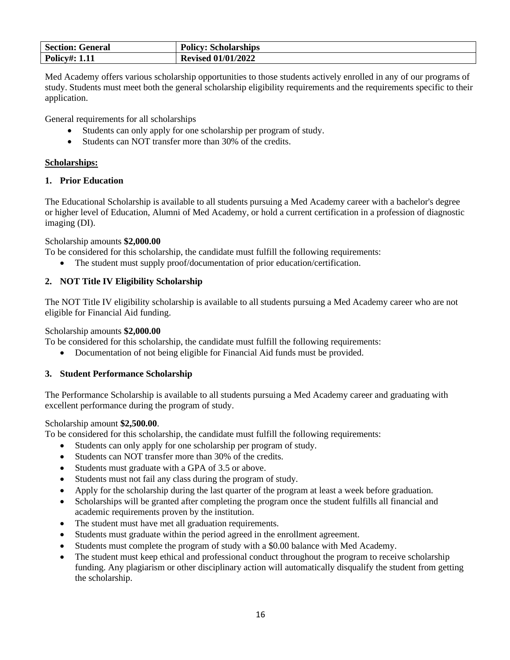| <b>Section: General</b> | <b>Policy: Scholarships</b> |
|-------------------------|-----------------------------|
| <b>Policy#: 1.11</b>    | <b>Revised 01/01/2022</b>   |

Med Academy offers various scholarship opportunities to those students actively enrolled in any of our programs of study. Students must meet both the general scholarship eligibility requirements and the requirements specific to their application.

General requirements for all scholarships

- Students can only apply for one scholarship per program of study.
- Students can NOT transfer more than 30% of the credits.

#### **Scholarships:**

#### **1. Prior Education**

The Educational Scholarship is available to all students pursuing a Med Academy career with a bachelor's degree or higher level of Education, Alumni of Med Academy, or hold a current certification in a profession of diagnostic imaging (DI).

#### Scholarship amounts **\$2,000.00**

To be considered for this scholarship, the candidate must fulfill the following requirements:

The student must supply proof/documentation of prior education/certification.

#### **2. NOT Title IV Eligibility Scholarship**

The NOT Title IV eligibility scholarship is available to all students pursuing a Med Academy career who are not eligible for Financial Aid funding.

Scholarship amounts **\$2,000.00**

To be considered for this scholarship, the candidate must fulfill the following requirements:

• Documentation of not being eligible for Financial Aid funds must be provided.

#### **3. Student Performance Scholarship**

The Performance Scholarship is available to all students pursuing a Med Academy career and graduating with excellent performance during the program of study.

#### Scholarship amount **\$2,500.00**.

To be considered for this scholarship, the candidate must fulfill the following requirements:

- Students can only apply for one scholarship per program of study.
- Students can NOT transfer more than 30% of the credits.
- Students must graduate with a GPA of 3.5 or above.
- Students must not fail any class during the program of study.
- Apply for the scholarship during the last quarter of the program at least a week before graduation.
- Scholarships will be granted after completing the program once the student fulfills all financial and academic requirements proven by the institution.
- The student must have met all graduation requirements.
- Students must graduate within the period agreed in the enrollment agreement.
- Students must complete the program of study with a \$0.00 balance with Med Academy.
- The student must keep ethical and professional conduct throughout the program to receive scholarship funding. Any plagiarism or other disciplinary action will automatically disqualify the student from getting the scholarship.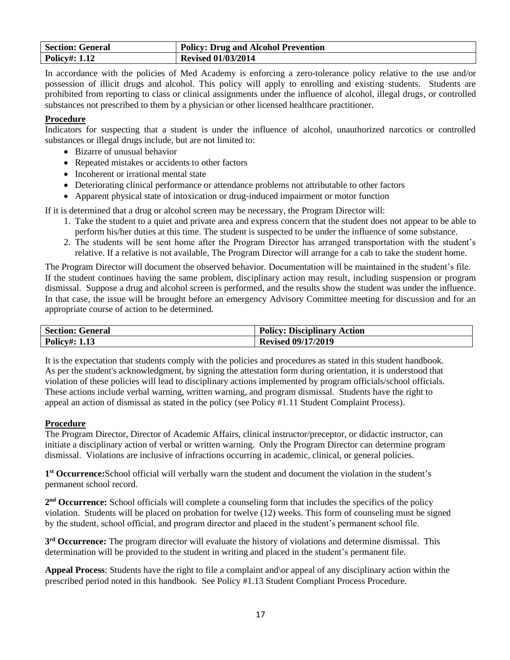| <b>Section: General</b> | <b>Policy: Drug and Alcohol Prevention</b> |
|-------------------------|--------------------------------------------|
| <b>Policy#: 1.12</b>    | <b>Revised 01/03/2014</b>                  |

In accordance with the policies of Med Academy is enforcing a zero-tolerance policy relative to the use and/or possession of illicit drugs and alcohol. This policy will apply to enrolling and existing students. Students are prohibited from reporting to class or clinical assignments under the influence of alcohol, illegal drugs, or controlled substances not prescribed to them by a physician or other licensed healthcare practitioner.

#### **Procedure**

Indicators for suspecting that a student is under the influence of alcohol, unauthorized narcotics or controlled substances or illegal drugs include, but are not limited to:

- Bizarre of unusual behavior
- Repeated mistakes or accidents to other factors
- Incoherent or irrational mental state
- Deteriorating clinical performance or attendance problems not attributable to other factors
- Apparent physical state of intoxication or drug-induced impairment or motor function

If it is determined that a drug or alcohol screen may be necessary, the Program Director will:

- 1. Take the student to a quiet and private area and express concern that the student does not appear to be able to perform his/her duties at this time. The student is suspected to be under the influence of some substance.
- 2. The students will be sent home after the Program Director has arranged transportation with the student's relative. If a relative is not available, The Program Director will arrange for a cab to take the student home.

The Program Director will document the observed behavior. Documentation will be maintained in the student's file. If the student continues having the same problem, disciplinary action may result, including suspension or program dismissal. Suppose a drug and alcohol screen is performed, and the results show the student was under the influence. In that case, the issue will be brought before an emergency Advisory Committee meeting for discussion and for an appropriate course of action to be determined.

| <b>Section: General</b> | <b>Disciplinary Action</b><br>Policy: |
|-------------------------|---------------------------------------|
| Policy#:                | <b>Revised 09/17/2019</b>             |

It is the expectation that students comply with the policies and procedures as stated in this student handbook. As per the student's acknowledgment, by signing the attestation form during orientation, it is understood that violation of these policies will lead to disciplinary actions implemented by program officials/school officials. These actions include verbal warning, written warning, and program dismissal. Students have the right to appeal an action of dismissal as stated in the policy (see Policy #1.11 Student Complaint Process).

#### **Procedure**

The Program Director, Director of Academic Affairs, clinical instructor/preceptor, or didactic instructor, can initiate a disciplinary action of verbal or written warning. Only the Program Director can determine program dismissal. Violations are inclusive of infractions occurring in academic, clinical, or general policies.

1<sup>st</sup> Occurrence: School official will verbally warn the student and document the violation in the student's permanent school record.

2<sup>nd</sup> Occurrence: School officials will complete a counseling form that includes the specifics of the policy violation. Students will be placed on probation for twelve (12) weeks. This form of counseling must be signed by the student, school official, and program director and placed in the student's permanent school file.

**3 rd Occurrence:** The program director will evaluate the history of violations and determine dismissal. This determination will be provided to the student in writing and placed in the student's permanent file.

**Appeal Process**: Students have the right to file a complaint and\or appeal of any disciplinary action within the prescribed period noted in this handbook. See Policy #1.13 Student Compliant Process Procedure.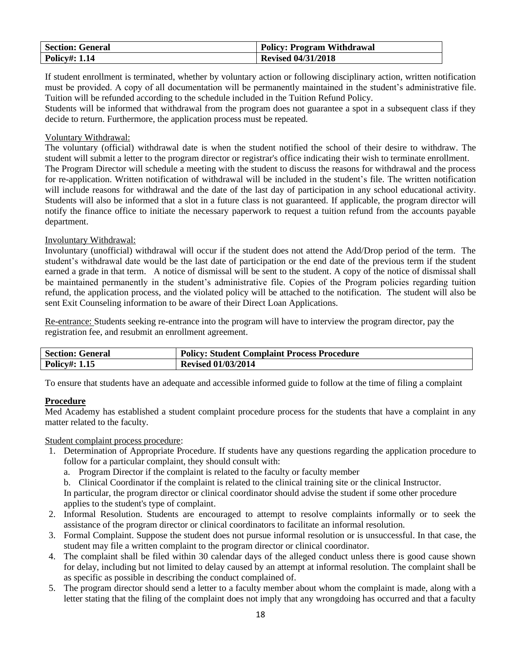| <b>Section: General</b> | <b>Policy: Program Withdrawal</b> |
|-------------------------|-----------------------------------|
| <b>Policy#: 1.14</b>    | <b>Revised 04/31/2018</b>         |

If student enrollment is terminated, whether by voluntary action or following disciplinary action, written notification must be provided. A copy of all documentation will be permanently maintained in the student's administrative file. Tuition will be refunded according to the schedule included in the Tuition Refund Policy.

Students will be informed that withdrawal from the program does not guarantee a spot in a subsequent class if they decide to return. Furthermore, the application process must be repeated.

#### Voluntary Withdrawal:

The voluntary (official) withdrawal date is when the student notified the school of their desire to withdraw. The student will submit a letter to the program director or registrar's office indicating their wish to terminate enrollment. The Program Director will schedule a meeting with the student to discuss the reasons for withdrawal and the process for re-application. Written notification of withdrawal will be included in the student's file. The written notification will include reasons for withdrawal and the date of the last day of participation in any school educational activity. Students will also be informed that a slot in a future class is not guaranteed. If applicable, the program director will notify the finance office to initiate the necessary paperwork to request a tuition refund from the accounts payable department.

#### Involuntary Withdrawal:

Involuntary (unofficial) withdrawal will occur if the student does not attend the Add/Drop period of the term. The student's withdrawal date would be the last date of participation or the end date of the previous term if the student earned a grade in that term. A notice of dismissal will be sent to the student. A copy of the notice of dismissal shall be maintained permanently in the student's administrative file. Copies of the Program policies regarding tuition refund, the application process, and the violated policy will be attached to the notification. The student will also be sent Exit Counseling information to be aware of their Direct Loan Applications.

Re-entrance: Students seeking re-entrance into the program will have to interview the program director, pay the registration fee, and resubmit an enrollment agreement.

| <b>Section: General</b> | <b>Policy: Student Complaint Process Procedure</b> |
|-------------------------|----------------------------------------------------|
| <b>Policy#: 1.15</b>    | <b>Revised 01/03/2014</b>                          |

To ensure that students have an adequate and accessible informed guide to follow at the time of filing a complaint

#### **Procedure**

Med Academy has established a student complaint procedure process for the students that have a complaint in any matter related to the faculty.

#### Student complaint process procedure:

- 1. Determination of Appropriate Procedure. If students have any questions regarding the application procedure to follow for a particular complaint, they should consult with:
	- a. Program Director if the complaint is related to the faculty or faculty member
	- b. Clinical Coordinator if the complaint is related to the clinical training site or the clinical Instructor.

In particular, the program director or clinical coordinator should advise the student if some other procedure applies to the student's type of complaint.

- 2. Informal Resolution. Students are encouraged to attempt to resolve complaints informally or to seek the assistance of the program director or clinical coordinators to facilitate an informal resolution.
- 3. Formal Complaint. Suppose the student does not pursue informal resolution or is unsuccessful. In that case, the student may file a written complaint to the program director or clinical coordinator.
- 4. The complaint shall be filed within 30 calendar days of the alleged conduct unless there is good cause shown for delay, including but not limited to delay caused by an attempt at informal resolution. The complaint shall be as specific as possible in describing the conduct complained of.
- 5. The program director should send a letter to a faculty member about whom the complaint is made, along with a letter stating that the filing of the complaint does not imply that any wrongdoing has occurred and that a faculty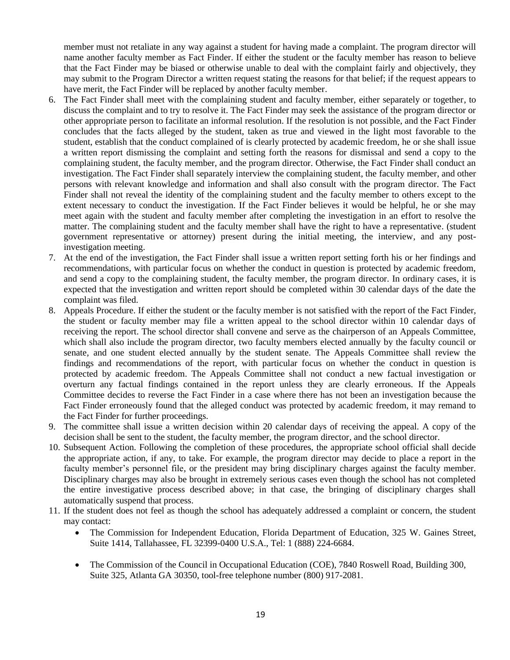member must not retaliate in any way against a student for having made a complaint. The program director will name another faculty member as Fact Finder. If either the student or the faculty member has reason to believe that the Fact Finder may be biased or otherwise unable to deal with the complaint fairly and objectively, they may submit to the Program Director a written request stating the reasons for that belief; if the request appears to have merit, the Fact Finder will be replaced by another faculty member.

- 6. The Fact Finder shall meet with the complaining student and faculty member, either separately or together, to discuss the complaint and to try to resolve it. The Fact Finder may seek the assistance of the program director or other appropriate person to facilitate an informal resolution. If the resolution is not possible, and the Fact Finder concludes that the facts alleged by the student, taken as true and viewed in the light most favorable to the student, establish that the conduct complained of is clearly protected by academic freedom, he or she shall issue a written report dismissing the complaint and setting forth the reasons for dismissal and send a copy to the complaining student, the faculty member, and the program director. Otherwise, the Fact Finder shall conduct an investigation. The Fact Finder shall separately interview the complaining student, the faculty member, and other persons with relevant knowledge and information and shall also consult with the program director. The Fact Finder shall not reveal the identity of the complaining student and the faculty member to others except to the extent necessary to conduct the investigation. If the Fact Finder believes it would be helpful, he or she may meet again with the student and faculty member after completing the investigation in an effort to resolve the matter. The complaining student and the faculty member shall have the right to have a representative. (student government representative or attorney) present during the initial meeting, the interview, and any postinvestigation meeting.
- 7. At the end of the investigation, the Fact Finder shall issue a written report setting forth his or her findings and recommendations, with particular focus on whether the conduct in question is protected by academic freedom, and send a copy to the complaining student, the faculty member, the program director. In ordinary cases, it is expected that the investigation and written report should be completed within 30 calendar days of the date the complaint was filed.
- 8. Appeals Procedure. If either the student or the faculty member is not satisfied with the report of the Fact Finder, the student or faculty member may file a written appeal to the school director within 10 calendar days of receiving the report. The school director shall convene and serve as the chairperson of an Appeals Committee, which shall also include the program director, two faculty members elected annually by the faculty council or senate, and one student elected annually by the student senate. The Appeals Committee shall review the findings and recommendations of the report, with particular focus on whether the conduct in question is protected by academic freedom. The Appeals Committee shall not conduct a new factual investigation or overturn any factual findings contained in the report unless they are clearly erroneous. If the Appeals Committee decides to reverse the Fact Finder in a case where there has not been an investigation because the Fact Finder erroneously found that the alleged conduct was protected by academic freedom, it may remand to the Fact Finder for further proceedings.
- 9. The committee shall issue a written decision within 20 calendar days of receiving the appeal. A copy of the decision shall be sent to the student, the faculty member, the program director, and the school director.
- 10. Subsequent Action. Following the completion of these procedures, the appropriate school official shall decide the appropriate action, if any, to take. For example, the program director may decide to place a report in the faculty member's personnel file, or the president may bring disciplinary charges against the faculty member. Disciplinary charges may also be brought in extremely serious cases even though the school has not completed the entire investigative process described above; in that case, the bringing of disciplinary charges shall automatically suspend that process.
- 11. If the student does not feel as though the school has adequately addressed a complaint or concern, the student may contact:
	- The Commission for Independent Education, Florida Department of Education, 325 W. Gaines Street, Suite 1414, Tallahassee, FL 32399-0400 U.S.A., Tel: 1 (888) 224-6684.
	- The Commission of the Council in Occupational Education (COE), 7840 Roswell Road, Building 300, Suite 325, Atlanta GA 30350, tool-free telephone number (800) 917-2081.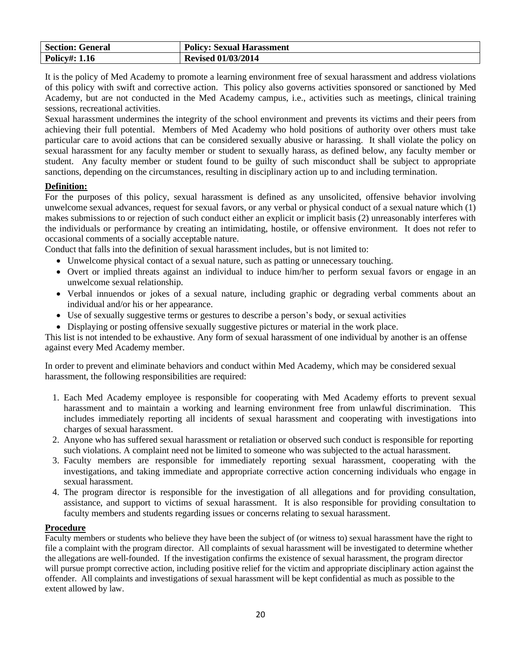| <b>Section: General</b> | <b>Policy: Sexual Harassment</b> |
|-------------------------|----------------------------------|
| <b>Policy#: 1.16</b>    | <b>Revised 01/03/2014</b>        |

It is the policy of Med Academy to promote a learning environment free of sexual harassment and address violations of this policy with swift and corrective action. This policy also governs activities sponsored or sanctioned by Med Academy, but are not conducted in the Med Academy campus, i.e., activities such as meetings, clinical training sessions, recreational activities.

Sexual harassment undermines the integrity of the school environment and prevents its victims and their peers from achieving their full potential. Members of Med Academy who hold positions of authority over others must take particular care to avoid actions that can be considered sexually abusive or harassing. It shall violate the policy on sexual harassment for any faculty member or student to sexually harass, as defined below, any faculty member or student. Any faculty member or student found to be guilty of such misconduct shall be subject to appropriate sanctions, depending on the circumstances, resulting in disciplinary action up to and including termination.

#### **Definition:**

For the purposes of this policy, sexual harassment is defined as any unsolicited, offensive behavior involving unwelcome sexual advances, request for sexual favors, or any verbal or physical conduct of a sexual nature which (1) makes submissions to or rejection of such conduct either an explicit or implicit basis (2) unreasonably interferes with the individuals or performance by creating an intimidating, hostile, or offensive environment. It does not refer to occasional comments of a socially acceptable nature.

Conduct that falls into the definition of sexual harassment includes, but is not limited to:

- Unwelcome physical contact of a sexual nature, such as patting or unnecessary touching.
- Overt or implied threats against an individual to induce him/her to perform sexual favors or engage in an unwelcome sexual relationship.
- Verbal innuendos or jokes of a sexual nature, including graphic or degrading verbal comments about an individual and/or his or her appearance.
- Use of sexually suggestive terms or gestures to describe a person's body, or sexual activities
- Displaying or posting offensive sexually suggestive pictures or material in the work place.

This list is not intended to be exhaustive. Any form of sexual harassment of one individual by another is an offense against every Med Academy member.

In order to prevent and eliminate behaviors and conduct within Med Academy, which may be considered sexual harassment, the following responsibilities are required:

- 1. Each Med Academy employee is responsible for cooperating with Med Academy efforts to prevent sexual harassment and to maintain a working and learning environment free from unlawful discrimination. This includes immediately reporting all incidents of sexual harassment and cooperating with investigations into charges of sexual harassment.
- 2. Anyone who has suffered sexual harassment or retaliation or observed such conduct is responsible for reporting such violations. A complaint need not be limited to someone who was subjected to the actual harassment.
- 3. Faculty members are responsible for immediately reporting sexual harassment, cooperating with the investigations, and taking immediate and appropriate corrective action concerning individuals who engage in sexual harassment.
- 4. The program director is responsible for the investigation of all allegations and for providing consultation, assistance, and support to victims of sexual harassment. It is also responsible for providing consultation to faculty members and students regarding issues or concerns relating to sexual harassment.

#### **Procedure**

Faculty members or students who believe they have been the subject of (or witness to) sexual harassment have the right to file a complaint with the program director. All complaints of sexual harassment will be investigated to determine whether the allegations are well-founded. If the investigation confirms the existence of sexual harassment, the program director will pursue prompt corrective action, including positive relief for the victim and appropriate disciplinary action against the offender. All complaints and investigations of sexual harassment will be kept confidential as much as possible to the extent allowed by law.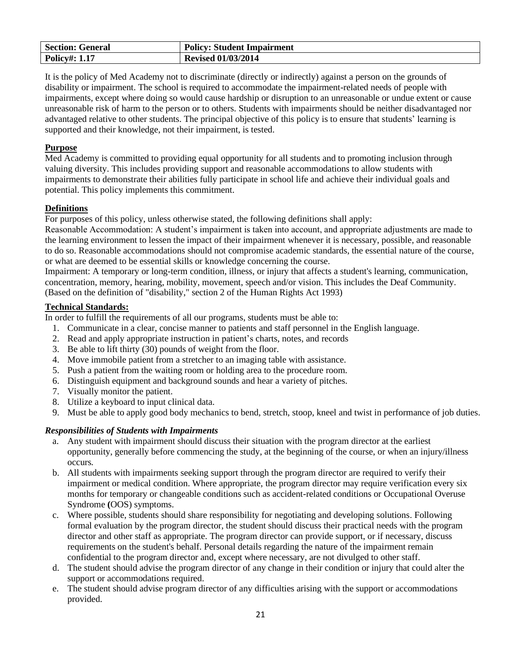| <b>Section: General</b> | <b>Policy: Student Impairment</b> |
|-------------------------|-----------------------------------|
| <b>Policy#: 1.17</b>    | <b>Revised 01/03/2014</b>         |

It is the policy of Med Academy not to discriminate (directly or indirectly) against a person on the grounds of disability or impairment. The school is required to accommodate the impairment-related needs of people with impairments, except where doing so would cause hardship or disruption to an unreasonable or undue extent or cause unreasonable risk of harm to the person or to others. Students with impairments should be neither disadvantaged nor advantaged relative to other students. The principal objective of this policy is to ensure that students' learning is supported and their knowledge, not their impairment, is tested.

#### **Purpose**

Med Academy is committed to providing equal opportunity for all students and to promoting inclusion through valuing diversity. This includes providing support and reasonable accommodations to allow students with impairments to demonstrate their abilities fully participate in school life and achieve their individual goals and potential. This policy implements this commitment.

#### **Definitions**

For purposes of this policy, unless otherwise stated, the following definitions shall apply:

Reasonable Accommodation: A student's impairment is taken into account, and appropriate adjustments are made to the learning environment to lessen the impact of their impairment whenever it is necessary, possible, and reasonable to do so. Reasonable accommodations should not compromise academic standards, the essential nature of the course, or what are deemed to be essential skills or knowledge concerning the course.

Impairment: A temporary or long-term condition, illness, or injury that affects a student's learning, communication, concentration, memory, hearing, mobility, movement, speech and/or vision. This includes the Deaf Community. (Based on the definition of "disability," section 2 of the Human Rights Act 1993)

#### **Technical Standards:**

In order to fulfill the requirements of all our programs, students must be able to:

- 1. Communicate in a clear, concise manner to patients and staff personnel in the English language.
- 2. Read and apply appropriate instruction in patient's charts, notes, and records
- 3. Be able to lift thirty (30) pounds of weight from the floor.
- 4. Move immobile patient from a stretcher to an imaging table with assistance.
- 5. Push a patient from the waiting room or holding area to the procedure room.
- 6. Distinguish equipment and background sounds and hear a variety of pitches.
- 7. Visually monitor the patient.
- 8. Utilize a keyboard to input clinical data.
- 9. Must be able to apply good body mechanics to bend, stretch, stoop, kneel and twist in performance of job duties.

#### *Responsibilities of Students with Impairments*

- a. Any student with impairment should discuss their situation with the program director at the earliest opportunity, generally before commencing the study, at the beginning of the course, or when an injury/illness occurs*.*
- b. All students with impairments seeking support through the program director are required to verify their impairment or medical condition. Where appropriate, the program director may require verification every six months for temporary or changeable conditions such as accident-related conditions or Occupational Overuse Syndrome **(**OOS) symptoms.
- c. Where possible, students should share responsibility for negotiating and developing solutions. Following formal evaluation by the program director, the student should discuss their practical needs with the program director and other staff as appropriate. The program director can provide support, or if necessary, discuss requirements on the student's behalf. Personal details regarding the nature of the impairment remain confidential to the program director and, except where necessary, are not divulged to other staff.
- d. The student should advise the program director of any change in their condition or injury that could alter the support or accommodations required.
- e. The student should advise program director of any difficulties arising with the support or accommodations provided.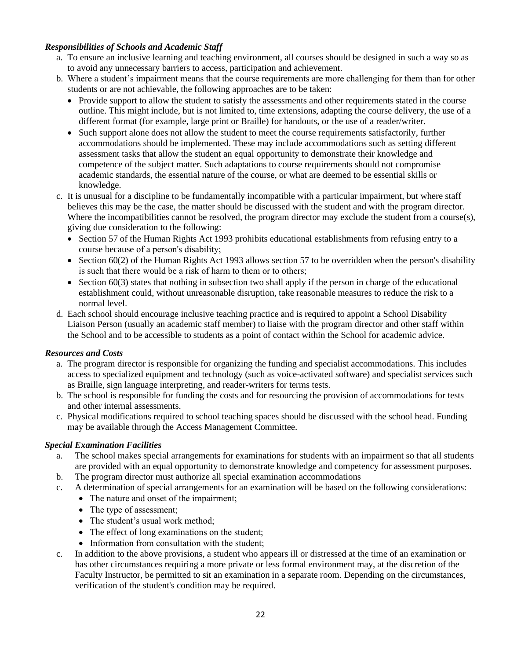#### *Responsibilities of Schools and Academic Staff*

- a. To ensure an inclusive learning and teaching environment, all courses should be designed in such a way so as to avoid any unnecessary barriers to access, participation and achievement.
- b. Where a student's impairment means that the course requirements are more challenging for them than for other students or are not achievable, the following approaches are to be taken:
	- Provide support to allow the student to satisfy the assessments and other requirements stated in the course outline. This might include, but is not limited to, time extensions, adapting the course delivery, the use of a different format (for example, large print or Braille) for handouts, or the use of a reader/writer.
	- Such support alone does not allow the student to meet the course requirements satisfactorily, further accommodations should be implemented. These may include accommodations such as setting different assessment tasks that allow the student an equal opportunity to demonstrate their knowledge and competence of the subject matter. Such adaptations to course requirements should not compromise academic standards, the essential nature of the course, or what are deemed to be essential skills or knowledge.
- c. It is unusual for a discipline to be fundamentally incompatible with a particular impairment, but where staff believes this may be the case, the matter should be discussed with the student and with the program director. Where the incompatibilities cannot be resolved, the program director may exclude the student from a course(s), giving due consideration to the following:
	- Section 57 of the Human Rights Act 1993 prohibits educational establishments from refusing entry to a course because of a person's disability;
	- Section 60(2) of the Human Rights Act 1993 allows section 57 to be overridden when the person's disability is such that there would be a risk of harm to them or to others;
	- Section 60(3) states that nothing in subsection two shall apply if the person in charge of the educational establishment could, without unreasonable disruption, take reasonable measures to reduce the risk to a normal level.
- d. Each school should encourage inclusive teaching practice and is required to appoint a School Disability Liaison Person (usually an academic staff member) to liaise with the program director and other staff within the School and to be accessible to students as a point of contact within the School for academic advice.

#### *Resources and Costs*

- a. The program director is responsible for organizing the funding and specialist accommodations. This includes access to specialized equipment and technology (such as voice-activated software) and specialist services such as Braille, sign language interpreting, and reader-writers for terms tests.
- b. The school is responsible for funding the costs and for resourcing the provision of accommodations for tests and other internal assessments.
- c. Physical modifications required to school teaching spaces should be discussed with the school head. Funding may be available through the Access Management Committee.

#### *Special Examination Facilities*

- a. The school makes special arrangements for examinations for students with an impairment so that all students are provided with an equal opportunity to demonstrate knowledge and competency for assessment purposes.
- b. The program director must authorize all special examination accommodations
- c. A determination of special arrangements for an examination will be based on the following considerations:
	- The nature and onset of the impairment;
	- The type of assessment;
	- The student's usual work method;
	- The effect of long examinations on the student;
	- Information from consultation with the student;
- c. In addition to the above provisions, a student who appears ill or distressed at the time of an examination or has other circumstances requiring a more private or less formal environment may, at the discretion of the Faculty Instructor, be permitted to sit an examination in a separate room. Depending on the circumstances, verification of the student's condition may be required.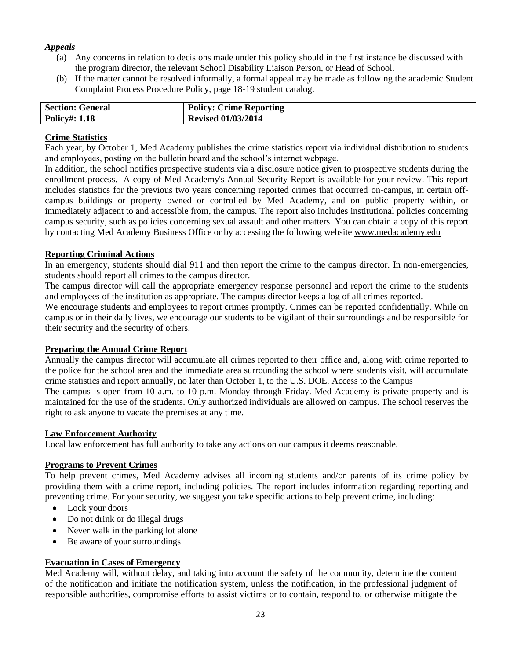#### *Appeals*

- (a) Any concerns in relation to decisions made under this policy should in the first instance be discussed with the program director, the relevant School Disability Liaison Person, or Head of School.
- (b) If the matter cannot be resolved informally, a formal appeal may be made as following the academic Student Complaint Process Procedure Policy, page 18-19 student catalog.

| <b>Section: General</b> | Policy: $C$<br><b>Crime Reporting</b> |
|-------------------------|---------------------------------------|
| <b>Policy#: 1.18</b>    | <b>Revised 01/03/2014</b>             |

#### **Crime Statistics**

Each year, by October 1, Med Academy publishes the crime statistics report via individual distribution to students and employees, posting on the bulletin board and the school's internet webpage.

In addition, the school notifies prospective students via a disclosure notice given to prospective students during the enrollment process. A copy of Med Academy's Annual Security Report is available for your review. This report includes statistics for the previous two years concerning reported crimes that occurred on-campus, in certain offcampus buildings or property owned or controlled by Med Academy, and on public property within, or immediately adjacent to and accessible from, the campus. The report also includes institutional policies concerning campus security, such as policies concerning sexual assault and other matters. You can obtain a copy of this report by contacting Med Academy Business Office or by accessing the following website www.medacademy.edu

#### **Reporting Criminal Actions**

In an emergency, students should dial 911 and then report the crime to the campus director. In non-emergencies, students should report all crimes to the campus director.

The campus director will call the appropriate emergency response personnel and report the crime to the students and employees of the institution as appropriate. The campus director keeps a log of all crimes reported.

We encourage students and employees to report crimes promptly. Crimes can be reported confidentially. While on campus or in their daily lives, we encourage our students to be vigilant of their surroundings and be responsible for their security and the security of others.

#### **Preparing the Annual Crime Report**

Annually the campus director will accumulate all crimes reported to their office and, along with crime reported to the police for the school area and the immediate area surrounding the school where students visit, will accumulate crime statistics and report annually, no later than October 1, to the U.S. DOE. Access to the Campus

The campus is open from 10 a.m. to 10 p.m. Monday through Friday. Med Academy is private property and is maintained for the use of the students. Only authorized individuals are allowed on campus. The school reserves the right to ask anyone to vacate the premises at any time.

#### **Law Enforcement Authority**

Local law enforcement has full authority to take any actions on our campus it deems reasonable.

#### **Programs to Prevent Crimes**

To help prevent crimes, Med Academy advises all incoming students and/or parents of its crime policy by providing them with a crime report, including policies. The report includes information regarding reporting and preventing crime. For your security, we suggest you take specific actions to help prevent crime, including:

- Lock your doors
- Do not drink or do illegal drugs
- Never walk in the parking lot alone
- Be aware of your surroundings

#### **Evacuation in Cases of Emergency**

Med Academy will, without delay, and taking into account the safety of the community, determine the content of the notification and initiate the notification system, unless the notification, in the professional judgment of responsible authorities, compromise efforts to assist victims or to contain, respond to, or otherwise mitigate the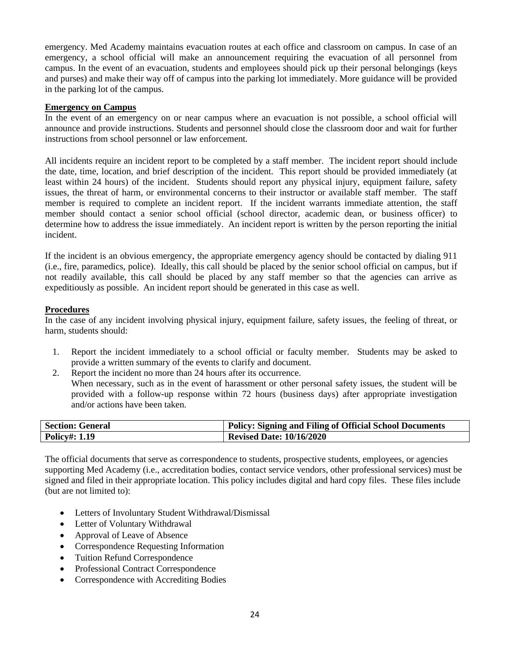emergency. Med Academy maintains evacuation routes at each office and classroom on campus. In case of an emergency, a school official will make an announcement requiring the evacuation of all personnel from campus. In the event of an evacuation, students and employees should pick up their personal belongings (keys and purses) and make their way off of campus into the parking lot immediately. More guidance will be provided in the parking lot of the campus.

#### **Emergency on Campus**

In the event of an emergency on or near campus where an evacuation is not possible, a school official will announce and provide instructions. Students and personnel should close the classroom door and wait for further instructions from school personnel or law enforcement.

All incidents require an incident report to be completed by a staff member. The incident report should include the date, time, location, and brief description of the incident. This report should be provided immediately (at least within 24 hours) of the incident. Students should report any physical injury, equipment failure, safety issues, the threat of harm, or environmental concerns to their instructor or available staff member. The staff member is required to complete an incident report. If the incident warrants immediate attention, the staff member should contact a senior school official (school director, academic dean, or business officer) to determine how to address the issue immediately. An incident report is written by the person reporting the initial incident.

If the incident is an obvious emergency, the appropriate emergency agency should be contacted by dialing 911 (i.e., fire, paramedics, police). Ideally, this call should be placed by the senior school official on campus, but if not readily available, this call should be placed by any staff member so that the agencies can arrive as expeditiously as possible. An incident report should be generated in this case as well.

#### **Procedures**

In the case of any incident involving physical injury, equipment failure, safety issues, the feeling of threat, or harm, students should:

- 1. Report the incident immediately to a school official or faculty member. Students may be asked to provide a written summary of the events to clarify and document.
- 2. Report the incident no more than 24 hours after its occurrence. When necessary, such as in the event of harassment or other personal safety issues, the student will be provided with a follow-up response within 72 hours (business days) after appropriate investigation and/or actions have been taken.

| <b>Section: General</b> | <b>Policy: Signing and Filing of Official School Documents</b> |
|-------------------------|----------------------------------------------------------------|
| <b>Policy#: 1.19</b>    | <b>Revised Date: 10/16/2020</b>                                |

The official documents that serve as correspondence to students, prospective students, employees, or agencies supporting Med Academy (i.e., accreditation bodies, contact service vendors, other professional services) must be signed and filed in their appropriate location. This policy includes digital and hard copy files. These files include (but are not limited to):

- Letters of Involuntary Student Withdrawal/Dismissal
- Letter of Voluntary Withdrawal
- Approval of Leave of Absence
- Correspondence Requesting Information
- Tuition Refund Correspondence
- Professional Contract Correspondence
- Correspondence with Accrediting Bodies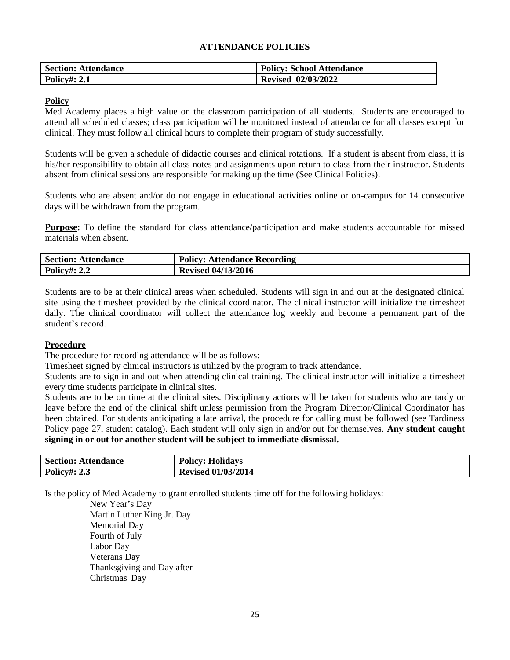#### **ATTENDANCE POLICIES**

| <b>Section: Attendance</b> | <b>Policy: School Attendance</b> |
|----------------------------|----------------------------------|
| <b>Policy#: 2.1</b>        | <b>Revised 02/03/2022</b>        |

#### **Policy**

Med Academy places a high value on the classroom participation of all students. Students are encouraged to attend all scheduled classes; class participation will be monitored instead of attendance for all classes except for clinical. They must follow all clinical hours to complete their program of study successfully.

Students will be given a schedule of didactic courses and clinical rotations. If a student is absent from class, it is his/her responsibility to obtain all class notes and assignments upon return to class from their instructor. Students absent from clinical sessions are responsible for making up the time (See Clinical Policies).

Students who are absent and/or do not engage in educational activities online or on-campus for 14 consecutive days will be withdrawn from the program.

**Purpose:** To define the standard for class attendance/participation and make students accountable for missed materials when absent.

| <b>Section: Attendance</b> | <b>Policy: Attendance Recording</b> |
|----------------------------|-------------------------------------|
| <b>Policy#: 2.2</b>        | <b>Revised 04/13/2016</b>           |

Students are to be at their clinical areas when scheduled. Students will sign in and out at the designated clinical site using the timesheet provided by the clinical coordinator. The clinical instructor will initialize the timesheet daily. The clinical coordinator will collect the attendance log weekly and become a permanent part of the student's record.

#### **Procedure**

The procedure for recording attendance will be as follows:

Timesheet signed by clinical instructors is utilized by the program to track attendance.

Students are to sign in and out when attending clinical training. The clinical instructor will initialize a timesheet every time students participate in clinical sites.

Students are to be on time at the clinical sites. Disciplinary actions will be taken for students who are tardy or leave before the end of the clinical shift unless permission from the Program Director/Clinical Coordinator has been obtained. For students anticipating a late arrival, the procedure for calling must be followed (see Tardiness Policy page 27, student catalog). Each student will only sign in and/or out for themselves. **Any student caught signing in or out for another student will be subject to immediate dismissal.** 

| <b>Section: Attendance</b> | <b>Policy: Holidays</b>   |
|----------------------------|---------------------------|
| <b>Policy#: 2.3</b>        | <b>Revised 01/03/2014</b> |

Is the policy of Med Academy to grant enrolled students time off for the following holidays:

New Year's Day Martin Luther King Jr. Day Memorial Day Fourth of July Labor Day Veterans Day Thanksgiving and Day after Christmas Day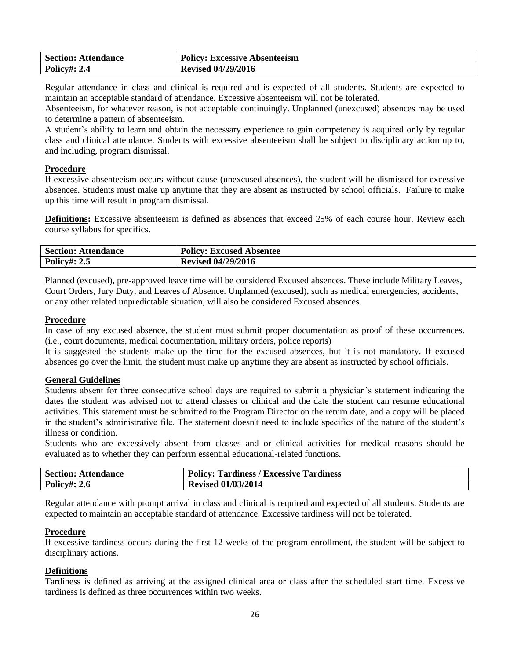| <b>Section: Attendance</b> | <b>Policy: Excessive Absenteeism</b> |
|----------------------------|--------------------------------------|
| <b>Policy#: 2.4</b>        | <b>Revised 04/29/2016</b>            |

Regular attendance in class and clinical is required and is expected of all students. Students are expected to maintain an acceptable standard of attendance. Excessive absenteeism will not be tolerated.

Absenteeism, for whatever reason, is not acceptable continuingly. Unplanned (unexcused) absences may be used to determine a pattern of absenteeism.

A student's ability to learn and obtain the necessary experience to gain competency is acquired only by regular class and clinical attendance. Students with excessive absenteeism shall be subject to disciplinary action up to, and including, program dismissal.

#### **Procedure**

If excessive absenteeism occurs without cause (unexcused absences), the student will be dismissed for excessive absences. Students must make up anytime that they are absent as instructed by school officials. Failure to make up this time will result in program dismissal.

**Definitions:** Excessive absenteeism is defined as absences that exceed 25% of each course hour. Review each course syllabus for specifics.

| <b>Section: Attendance</b> | <b>Policy: Excused Absentee</b> |
|----------------------------|---------------------------------|
| <b>Policy#: 2.5</b>        | <b>Revised 04/29/2016</b>       |

Planned (excused), pre-approved leave time will be considered Excused absences. These include Military Leaves, Court Orders, Jury Duty, and Leaves of Absence. Unplanned (excused), such as medical emergencies, accidents, or any other related unpredictable situation, will also be considered Excused absences.

#### **Procedure**

In case of any excused absence, the student must submit proper documentation as proof of these occurrences. (i.e., court documents, medical documentation, military orders, police reports)

It is suggested the students make up the time for the excused absences, but it is not mandatory. If excused absences go over the limit, the student must make up anytime they are absent as instructed by school officials.

#### **General Guidelines**

Students absent for three consecutive school days are required to submit a physician's statement indicating the dates the student was advised not to attend classes or clinical and the date the student can resume educational activities. This statement must be submitted to the Program Director on the return date, and a copy will be placed in the student's administrative file. The statement doesn't need to include specifics of the nature of the student's illness or condition.

Students who are excessively absent from classes and or clinical activities for medical reasons should be evaluated as to whether they can perform essential educational-related functions.

| <b>Section: Attendance</b> | <b>Policy: Tardiness / Excessive Tardiness</b> |
|----------------------------|------------------------------------------------|
| <b>Policy#: 2.6</b>        | <b>Revised 01/03/2014</b>                      |

Regular attendance with prompt arrival in class and clinical is required and expected of all students. Students are expected to maintain an acceptable standard of attendance. Excessive tardiness will not be tolerated.

#### **Procedure**

If excessive tardiness occurs during the first 12-weeks of the program enrollment, the student will be subject to disciplinary actions.

#### **Definitions**

Tardiness is defined as arriving at the assigned clinical area or class after the scheduled start time. Excessive tardiness is defined as three occurrences within two weeks.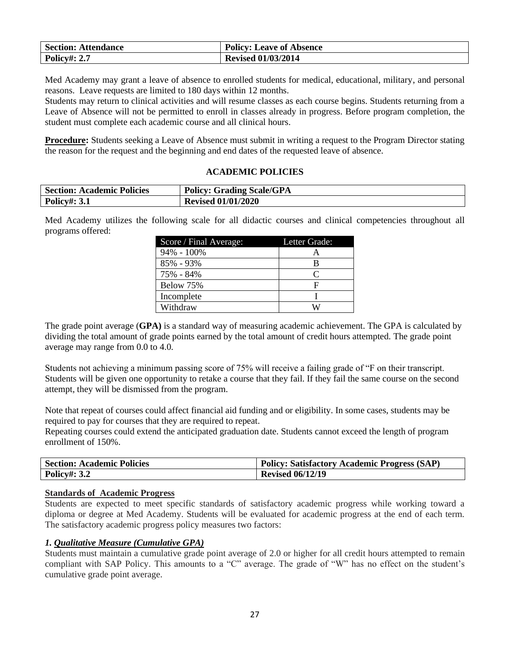| <b>Section: Attendance</b> | <b>Policy: Leave of Absence</b> |
|----------------------------|---------------------------------|
| <b>Policy#: 2.7</b>        | <b>Revised 01/03/2014</b>       |

Med Academy may grant a leave of absence to enrolled students for medical, educational, military, and personal reasons. Leave requests are limited to 180 days within 12 months.

Students may return to clinical activities and will resume classes as each course begins. Students returning from a Leave of Absence will not be permitted to enroll in classes already in progress. Before program completion, the student must complete each academic course and all clinical hours.

**Procedure:** Students seeking a Leave of Absence must submit in writing a request to the Program Director stating the reason for the request and the beginning and end dates of the requested leave of absence.

#### **ACADEMIC POLICIES**

| <b>Section: Academic Policies</b> | <b>Policy: Grading Scale/GPA</b> |
|-----------------------------------|----------------------------------|
| <b>Policy#: 3.1</b>               | <b>Revised 01/01/2020</b>        |

Med Academy utilizes the following scale for all didactic courses and clinical competencies throughout all programs offered:

| Score / Final Average: | Letter Grade: |
|------------------------|---------------|
| $94\% - 100\%$         |               |
| $85\% - 93\%$          | В             |
| 75% - 84%              |               |
| Below 75%              | F             |
| Incomplete             |               |
| Withdraw               |               |

The grade point average (**GPA)** is a standard way of measuring academic achievement. The GPA is calculated by dividing the total amount of grade points earned by the total amount of credit hours attempted. The grade point average may range from 0.0 to 4.0.

Students not achieving a minimum passing score of 75% will receive a failing grade of "F on their transcript. Students will be given one opportunity to retake a course that they fail. If they fail the same course on the second attempt, they will be dismissed from the program.

Note that repeat of courses could affect financial aid funding and or eligibility. In some cases, students may be required to pay for courses that they are required to repeat.

Repeating courses could extend the anticipated graduation date. Students cannot exceed the length of program enrollment of 150%.

| <b>Section: Academic Policies</b> | <b>Policy: Satisfactory Academic Progress (SAP)</b> |
|-----------------------------------|-----------------------------------------------------|
| <b>Policy#: 3.2</b>               | <b>Revised 06/12/19</b>                             |

#### **Standards of Academic Progress**

Students are expected to meet specific standards of satisfactory academic progress while working toward a diploma or degree at Med Academy. Students will be evaluated for academic progress at the end of each term. The satisfactory academic progress policy measures two factors:

#### *1. Qualitative Measure (Cumulative GPA)*

Students must maintain a cumulative grade point average of 2.0 or higher for all credit hours attempted to remain compliant with SAP Policy. This amounts to a "C" average. The grade of "W" has no effect on the student's cumulative grade point average.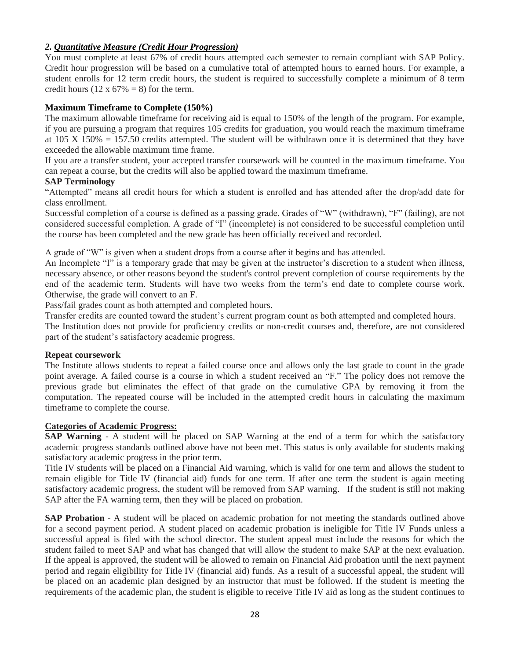#### *2. Quantitative Measure (Credit Hour Progression)*

You must complete at least 67% of credit hours attempted each semester to remain compliant with SAP Policy. Credit hour progression will be based on a cumulative total of attempted hours to earned hours. For example, a student enrolls for 12 term credit hours, the student is required to successfully complete a minimum of 8 term credit hours (12 x  $67\% = 8$ ) for the term.

#### **Maximum Timeframe to Complete (150%)**

The maximum allowable timeframe for receiving aid is equal to 150% of the length of the program. For example, if you are pursuing a program that requires 105 credits for graduation, you would reach the maximum timeframe at  $105 \text{ X } 150\% = 157.50$  credits attempted. The student will be withdrawn once it is determined that they have exceeded the allowable maximum time frame.

If you are a transfer student, your accepted transfer coursework will be counted in the maximum timeframe. You can repeat a course, but the credits will also be applied toward the maximum timeframe.

#### **SAP Terminology**

"Attempted" means all credit hours for which a student is enrolled and has attended after the drop/add date for class enrollment.

Successful completion of a course is defined as a passing grade. Grades of "W" (withdrawn), "F" (failing), are not considered successful completion. A grade of "I" (incomplete) is not considered to be successful completion until the course has been completed and the new grade has been officially received and recorded.

A grade of "W" is given when a student drops from a course after it begins and has attended.

An Incomplete "I" is a temporary grade that may be given at the instructor's discretion to a student when illness, necessary absence, or other reasons beyond the student's control prevent completion of course requirements by the end of the academic term. Students will have two weeks from the term's end date to complete course work. Otherwise, the grade will convert to an F.

Pass/fail grades count as both attempted and completed hours.

Transfer credits are counted toward the student's current program count as both attempted and completed hours. The Institution does not provide for proficiency credits or non-credit courses and, therefore, are not considered part of the student's satisfactory academic progress.

#### **Repeat coursework**

The Institute allows students to repeat a failed course once and allows only the last grade to count in the grade point average. A failed course is a course in which a student received an "F." The policy does not remove the previous grade but eliminates the effect of that grade on the cumulative GPA by removing it from the computation. The repeated course will be included in the attempted credit hours in calculating the maximum timeframe to complete the course.

#### **Categories of Academic Progress:**

**SAP Warning** - A student will be placed on SAP Warning at the end of a term for which the satisfactory academic progress standards outlined above have not been met. This status is only available for students making satisfactory academic progress in the prior term.

Title IV students will be placed on a Financial Aid warning, which is valid for one term and allows the student to remain eligible for Title IV (financial aid) funds for one term. If after one term the student is again meeting satisfactory academic progress, the student will be removed from SAP warning. If the student is still not making SAP after the FA warning term, then they will be placed on probation.

**SAP Probation** - A student will be placed on academic probation for not meeting the standards outlined above for a second payment period. A student placed on academic probation is ineligible for Title IV Funds unless a successful appeal is filed with the school director. The student appeal must include the reasons for which the student failed to meet SAP and what has changed that will allow the student to make SAP at the next evaluation. If the appeal is approved, the student will be allowed to remain on Financial Aid probation until the next payment period and regain eligibility for Title IV (financial aid) funds. As a result of a successful appeal, the student will be placed on an academic plan designed by an instructor that must be followed. If the student is meeting the requirements of the academic plan, the student is eligible to receive Title IV aid as long as the student continues to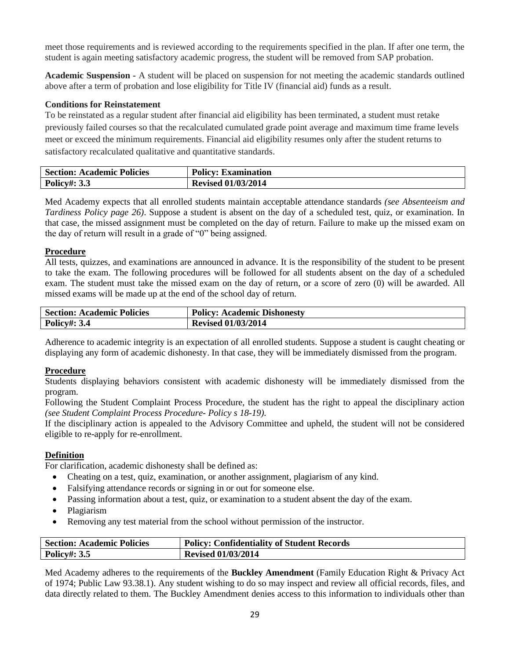meet those requirements and is reviewed according to the requirements specified in the plan. If after one term, the student is again meeting satisfactory academic progress, the student will be removed from SAP probation.

**Academic Suspension -** A student will be placed on suspension for not meeting the academic standards outlined above after a term of probation and lose eligibility for Title IV (financial aid) funds as a result.

#### **Conditions for Reinstatement**

To be reinstated as a regular student after financial aid eligibility has been terminated, a student must retake previously failed courses so that the recalculated cumulated grade point average and maximum time frame levels meet or exceed the minimum requirements. Financial aid eligibility resumes only after the student returns to satisfactory recalculated qualitative and quantitative standards.

| <b>Section: Academic Policies</b> | <b>Policy: Examination</b> |
|-----------------------------------|----------------------------|
| <b>Policy#: 3.3</b>               | <b>Revised 01/03/2014</b>  |

Med Academy expects that all enrolled students maintain acceptable attendance standards *(see Absenteeism and Tardiness Policy page 26)*. Suppose a student is absent on the day of a scheduled test, quiz, or examination. In that case, the missed assignment must be completed on the day of return. Failure to make up the missed exam on the day of return will result in a grade of "0" being assigned.

#### **Procedure**

All tests, quizzes, and examinations are announced in advance. It is the responsibility of the student to be present to take the exam. The following procedures will be followed for all students absent on the day of a scheduled exam. The student must take the missed exam on the day of return, or a score of zero (0) will be awarded. All missed exams will be made up at the end of the school day of return.

| <b>Section: Academic Policies</b> | <b>Policy: Academic Dishonesty</b> |
|-----------------------------------|------------------------------------|
| <b>Policy#: 3.4</b>               | <b>Revised 01/03/2014</b>          |

Adherence to academic integrity is an expectation of all enrolled students. Suppose a student is caught cheating or displaying any form of academic dishonesty. In that case, they will be immediately dismissed from the program.

#### **Procedure**

Students displaying behaviors consistent with academic dishonesty will be immediately dismissed from the program.

Following the Student Complaint Process Procedure, the student has the right to appeal the disciplinary action *(see Student Complaint Process Procedure- Policy s 18-19).*

If the disciplinary action is appealed to the Advisory Committee and upheld, the student will not be considered eligible to re-apply for re-enrollment.

#### **Definition**

For clarification, academic dishonesty shall be defined as:

- Cheating on a test, quiz, examination, or another assignment, plagiarism of any kind.
- Falsifying attendance records or signing in or out for someone else.
- Passing information about a test, quiz, or examination to a student absent the day of the exam.
- Plagiarism
- Removing any test material from the school without permission of the instructor.

| <b>Section: Academic Policies</b> | <b>Policy: Confidentiality of Student Records</b> |
|-----------------------------------|---------------------------------------------------|
| <b>Policy#: 3.5</b>               | <b>Revised 01/03/2014</b>                         |

Med Academy adheres to the requirements of the **Buckley Amendment** (Family Education Right & Privacy Act of 1974; Public Law 93.38.1). Any student wishing to do so may inspect and review all official records, files, and data directly related to them. The Buckley Amendment denies access to this information to individuals other than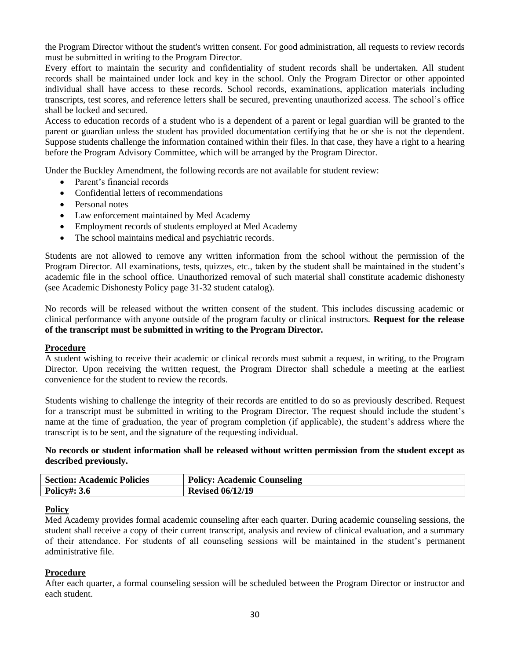the Program Director without the student's written consent. For good administration, all requests to review records must be submitted in writing to the Program Director.

Every effort to maintain the security and confidentiality of student records shall be undertaken. All student records shall be maintained under lock and key in the school. Only the Program Director or other appointed individual shall have access to these records. School records, examinations, application materials including transcripts, test scores, and reference letters shall be secured, preventing unauthorized access. The school's office shall be locked and secured.

Access to education records of a student who is a dependent of a parent or legal guardian will be granted to the parent or guardian unless the student has provided documentation certifying that he or she is not the dependent. Suppose students challenge the information contained within their files. In that case, they have a right to a hearing before the Program Advisory Committee, which will be arranged by the Program Director.

Under the Buckley Amendment, the following records are not available for student review:

- Parent's financial records
- Confidential letters of recommendations
- Personal notes
- Law enforcement maintained by Med Academy
- Employment records of students employed at Med Academy
- The school maintains medical and psychiatric records.

Students are not allowed to remove any written information from the school without the permission of the Program Director. All examinations, tests, quizzes, etc., taken by the student shall be maintained in the student's academic file in the school office. Unauthorized removal of such material shall constitute academic dishonesty (see Academic Dishonesty Policy page 31-32 student catalog).

No records will be released without the written consent of the student. This includes discussing academic or clinical performance with anyone outside of the program faculty or clinical instructors. **Request for the release of the transcript must be submitted in writing to the Program Director.**

#### **Procedure**

A student wishing to receive their academic or clinical records must submit a request, in writing, to the Program Director. Upon receiving the written request, the Program Director shall schedule a meeting at the earliest convenience for the student to review the records.

Students wishing to challenge the integrity of their records are entitled to do so as previously described. Request for a transcript must be submitted in writing to the Program Director. The request should include the student's name at the time of graduation, the year of program completion (if applicable), the student's address where the transcript is to be sent, and the signature of the requesting individual.

#### **No records or student information shall be released without written permission from the student except as described previously.**

| <b>Section: Academic Policies</b> | <b>Policy: Academic Counseling</b> |
|-----------------------------------|------------------------------------|
| <b>Policy#: 3.6</b>               | <b>Revised 06/12/19</b>            |

#### **Policy**

Med Academy provides formal academic counseling after each quarter. During academic counseling sessions, the student shall receive a copy of their current transcript, analysis and review of clinical evaluation, and a summary of their attendance. For students of all counseling sessions will be maintained in the student's permanent administrative file.

#### **Procedure**

After each quarter, a formal counseling session will be scheduled between the Program Director or instructor and each student.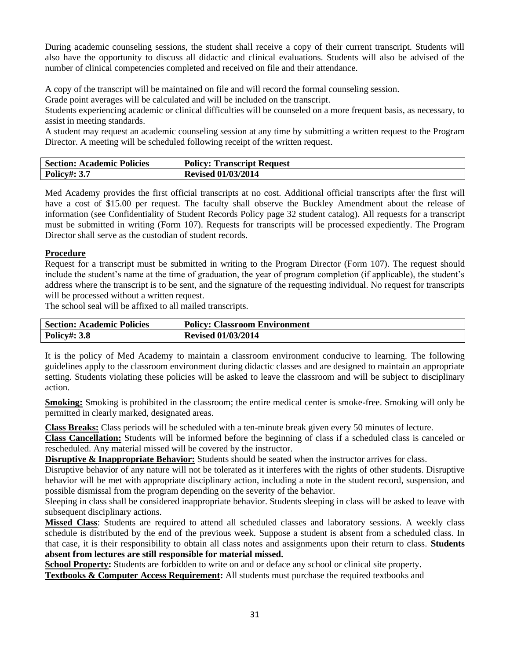During academic counseling sessions, the student shall receive a copy of their current transcript. Students will also have the opportunity to discuss all didactic and clinical evaluations. Students will also be advised of the number of clinical competencies completed and received on file and their attendance.

A copy of the transcript will be maintained on file and will record the formal counseling session.

Grade point averages will be calculated and will be included on the transcript.

Students experiencing academic or clinical difficulties will be counseled on a more frequent basis, as necessary, to assist in meeting standards.

A student may request an academic counseling session at any time by submitting a written request to the Program Director. A meeting will be scheduled following receipt of the written request.

| <b>Section: Academic Policies</b> | <b>Policy: Transcript Request</b> |
|-----------------------------------|-----------------------------------|
| <b>Policy#: 3.7</b>               | <b>Revised 01/03/2014</b>         |

Med Academy provides the first official transcripts at no cost. Additional official transcripts after the first will have a cost of \$15.00 per request. The faculty shall observe the Buckley Amendment about the release of information (see Confidentiality of Student Records Policy page 32 student catalog). All requests for a transcript must be submitted in writing (Form 107). Requests for transcripts will be processed expediently. The Program Director shall serve as the custodian of student records.

#### **Procedure**

Request for a transcript must be submitted in writing to the Program Director (Form 107). The request should include the student's name at the time of graduation, the year of program completion (if applicable), the student's address where the transcript is to be sent, and the signature of the requesting individual. No request for transcripts will be processed without a written request.

The school seal will be affixed to all mailed transcripts.

| <b>Section: Academic Policies</b> | <b>Policy: Classroom Environment</b> |
|-----------------------------------|--------------------------------------|
| <b>Policy#: 3.8</b>               | <b>Revised 01/03/2014</b>            |

It is the policy of Med Academy to maintain a classroom environment conducive to learning. The following guidelines apply to the classroom environment during didactic classes and are designed to maintain an appropriate setting. Students violating these policies will be asked to leave the classroom and will be subject to disciplinary action.

**Smoking:** Smoking is prohibited in the classroom; the entire medical center is smoke-free. Smoking will only be permitted in clearly marked, designated areas.

**Class Breaks:** Class periods will be scheduled with a ten-minute break given every 50 minutes of lecture.

**Class Cancellation:** Students will be informed before the beginning of class if a scheduled class is canceled or rescheduled. Any material missed will be covered by the instructor.

**Disruptive & Inappropriate Behavior:** Students should be seated when the instructor arrives for class.

Disruptive behavior of any nature will not be tolerated as it interferes with the rights of other students. Disruptive behavior will be met with appropriate disciplinary action, including a note in the student record, suspension, and possible dismissal from the program depending on the severity of the behavior.

Sleeping in class shall be considered inappropriate behavior. Students sleeping in class will be asked to leave with subsequent disciplinary actions.

**Missed Class**: Students are required to attend all scheduled classes and laboratory sessions. A weekly class schedule is distributed by the end of the previous week. Suppose a student is absent from a scheduled class. In that case, it is their responsibility to obtain all class notes and assignments upon their return to class. **Students absent from lectures are still responsible for material missed.**

**School Property:** Students are forbidden to write on and or deface any school or clinical site property.

**Textbooks & Computer Access Requirement:** All students must purchase the required textbooks and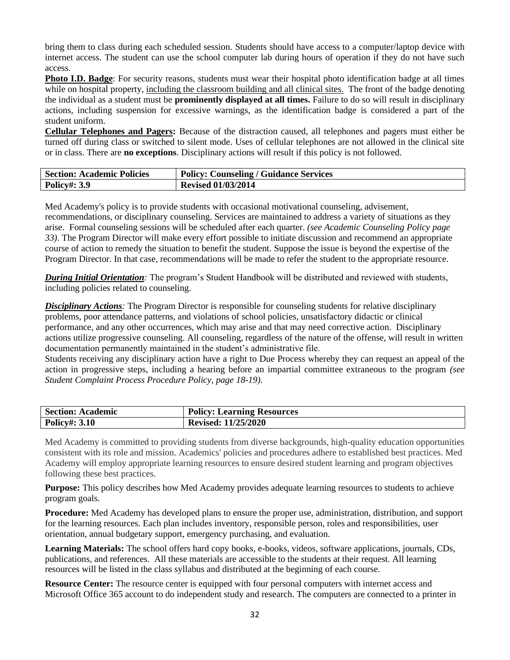bring them to class during each scheduled session. Students should have access to a computer/laptop device with internet access. The student can use the school computer lab during hours of operation if they do not have such access.

**Photo I.D. Badge**: For security reasons, students must wear their hospital photo identification badge at all times while on hospital property, including the classroom building and all clinical sites. The front of the badge denoting the individual as a student must be **prominently displayed at all times.** Failure to do so will result in disciplinary actions, including suspension for excessive warnings, as the identification badge is considered a part of the student uniform.

**Cellular Telephones and Pagers:** Because of the distraction caused, all telephones and pagers must either be turned off during class or switched to silent mode. Uses of cellular telephones are not allowed in the clinical site or in class. There are **no exceptions**. Disciplinary actions will result if this policy is not followed.

| <b>Section: Academic Policies</b> | Policy: Counseling / Guidance Services |
|-----------------------------------|----------------------------------------|
| <b>Policy#: 3.9</b>               | <b>Revised 01/03/2014</b>              |

Med Academy's policy is to provide students with occasional motivational counseling, advisement, recommendations, or disciplinary counseling. Services are maintained to address a variety of situations as they arise. Formal counseling sessions will be scheduled after each quarter. *(see Academic Counseling Policy page 33).* The Program Director will make every effort possible to initiate discussion and recommend an appropriate course of action to remedy the situation to benefit the student. Suppose the issue is beyond the expertise of the Program Director. In that case, recommendations will be made to refer the student to the appropriate resource.

*During Initial Orientation:* The program's Student Handbook will be distributed and reviewed with students, including policies related to counseling.

*Disciplinary Actions:* The Program Director is responsible for counseling students for relative disciplinary problems, poor attendance patterns, and violations of school policies, unsatisfactory didactic or clinical performance, and any other occurrences, which may arise and that may need corrective action. Disciplinary actions utilize progressive counseling. All counseling, regardless of the nature of the offense, will result in written documentation permanently maintained in the student's administrative file.

Students receiving any disciplinary action have a right to Due Process whereby they can request an appeal of the action in progressive steps, including a hearing before an impartial committee extraneous to the program *(see Student Complaint Process Procedure Policy, page 18-19).*

| <b>Section: Academic</b> | <b>Policy: Learning Resources</b> |
|--------------------------|-----------------------------------|
| <b>Policy#: 3.10</b>     | <b>Revised: 11/25/2020</b>        |

Med Academy is committed to providing students from diverse backgrounds, high-quality education opportunities consistent with its role and mission. Academics' policies and procedures adhere to established best practices. Med Academy will employ appropriate learning resources to ensure desired student learning and program objectives following these best practices.

**Purpose:** This policy describes how Med Academy provides adequate learning resources to students to achieve program goals.

**Procedure:** Med Academy has developed plans to ensure the proper use, administration, distribution, and support for the learning resources. Each plan includes inventory, responsible person, roles and responsibilities, user orientation, annual budgetary support, emergency purchasing, and evaluation.

**Learning Materials:** The school offers hard copy books, e-books, videos, software applications, journals, CDs, publications, and references. All these materials are accessible to the students at their request. All learning resources will be listed in the class syllabus and distributed at the beginning of each course.

**Resource Center:** The resource center is equipped with four personal computers with internet access and Microsoft Office 365 account to do independent study and research. The computers are connected to a printer in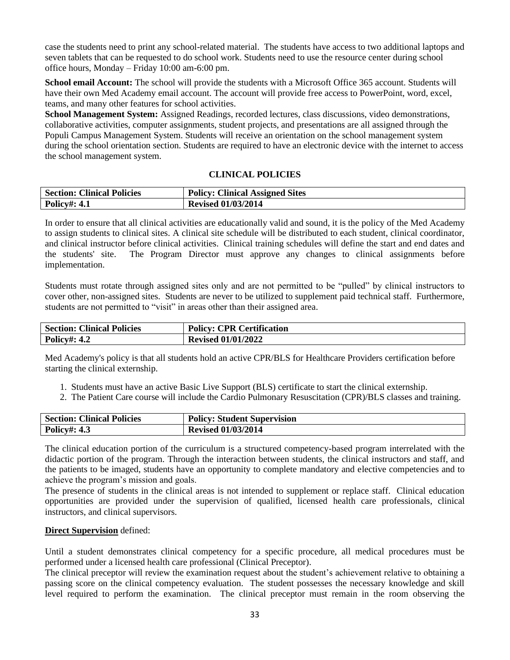case the students need to print any school-related material. The students have access to two additional laptops and seven tablets that can be requested to do school work. Students need to use the resource center during school office hours, Monday – Friday 10:00 am-6:00 pm.

**School email Account:** The school will provide the students with a Microsoft Office 365 account. Students will have their own Med Academy email account. The account will provide free access to PowerPoint, word, excel, teams, and many other features for school activities.

**School Management System:** Assigned Readings, recorded lectures, class discussions, video demonstrations, collaborative activities, computer assignments, student projects, and presentations are all assigned through the Populi Campus Management System. Students will receive an orientation on the school management system during the school orientation section. Students are required to have an electronic device with the internet to access the school management system.

#### **CLINICAL POLICIES**

| <b>Section: Clinical Policies</b> | <b>Policy: Clinical Assigned Sites</b> |
|-----------------------------------|----------------------------------------|
| <b>Policy#: 4.1</b>               | <b>Revised 01/03/2014</b>              |

In order to ensure that all clinical activities are educationally valid and sound, it is the policy of the Med Academy to assign students to clinical sites. A clinical site schedule will be distributed to each student, clinical coordinator, and clinical instructor before clinical activities. Clinical training schedules will define the start and end dates and the students' site. The Program Director must approve any changes to clinical assignments before implementation.

Students must rotate through assigned sites only and are not permitted to be "pulled" by clinical instructors to cover other, non-assigned sites. Students are never to be utilized to supplement paid technical staff. Furthermore, students are not permitted to "visit" in areas other than their assigned area.

| <b>Section: Clinical Policies</b> | <b>Policy: CPR Certification</b> |
|-----------------------------------|----------------------------------|
| <b>Policy#: 4.2</b>               | <b>Revised 01/01/2022</b>        |

Med Academy's policy is that all students hold an active CPR/BLS for Healthcare Providers certification before starting the clinical externship.

1. Students must have an active Basic Live Support (BLS) certificate to start the clinical externship.

2. The Patient Care course will include the Cardio Pulmonary Resuscitation (CPR)/BLS classes and training.

| <b>Section: Clinical Policies</b> | <b>Policy: Student Supervision</b> |
|-----------------------------------|------------------------------------|
| <b>Policy#: 4.3</b>               | <b>Revised 01/03/2014</b>          |

The clinical education portion of the curriculum is a structured competency-based program interrelated with the didactic portion of the program. Through the interaction between students, the clinical instructors and staff, and the patients to be imaged, students have an opportunity to complete mandatory and elective competencies and to achieve the program's mission and goals.

The presence of students in the clinical areas is not intended to supplement or replace staff. Clinical education opportunities are provided under the supervision of qualified, licensed health care professionals, clinical instructors, and clinical supervisors.

#### **Direct Supervision** defined:

Until a student demonstrates clinical competency for a specific procedure, all medical procedures must be performed under a licensed health care professional (Clinical Preceptor).

The clinical preceptor will review the examination request about the student's achievement relative to obtaining a passing score on the clinical competency evaluation. The student possesses the necessary knowledge and skill level required to perform the examination. The clinical preceptor must remain in the room observing the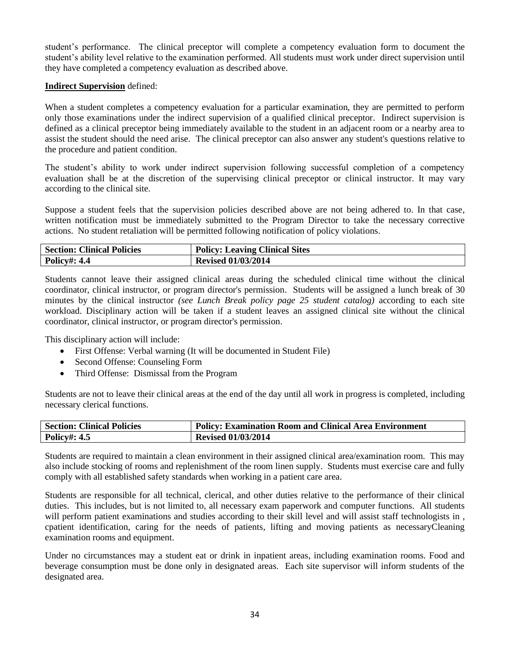student's performance. The clinical preceptor will complete a competency evaluation form to document the student's ability level relative to the examination performed. All students must work under direct supervision until they have completed a competency evaluation as described above.

#### **Indirect Supervision** defined:

When a student completes a competency evaluation for a particular examination, they are permitted to perform only those examinations under the indirect supervision of a qualified clinical preceptor. Indirect supervision is defined as a clinical preceptor being immediately available to the student in an adjacent room or a nearby area to assist the student should the need arise. The clinical preceptor can also answer any student's questions relative to the procedure and patient condition.

The student's ability to work under indirect supervision following successful completion of a competency evaluation shall be at the discretion of the supervising clinical preceptor or clinical instructor. It may vary according to the clinical site.

Suppose a student feels that the supervision policies described above are not being adhered to. In that case, written notification must be immediately submitted to the Program Director to take the necessary corrective actions. No student retaliation will be permitted following notification of policy violations.

| <b>Section: Clinical Policies</b> | <b>Policy: Leaving Clinical Sites</b> |
|-----------------------------------|---------------------------------------|
| <b>Policy#: 4.4</b>               | <b>Revised 01/03/2014</b>             |

Students cannot leave their assigned clinical areas during the scheduled clinical time without the clinical coordinator, clinical instructor, or program director's permission. Students will be assigned a lunch break of 30 minutes by the clinical instructor *(see Lunch Break policy page 25 student catalog)* according to each site workload. Disciplinary action will be taken if a student leaves an assigned clinical site without the clinical coordinator, clinical instructor, or program director's permission.

This disciplinary action will include:

- First Offense: Verbal warning (It will be documented in Student File)
- Second Offense: Counseling Form
- Third Offense: Dismissal from the Program

Students are not to leave their clinical areas at the end of the day until all work in progress is completed, including necessary clerical functions.

| <b>Section: Clinical Policies</b> | <b>Policy: Examination Room and Clinical Area Environment</b> |
|-----------------------------------|---------------------------------------------------------------|
| <b>Policy#: 4.5</b>               | <b>Revised 01/03/2014</b>                                     |

Students are required to maintain a clean environment in their assigned clinical area/examination room. This may also include stocking of rooms and replenishment of the room linen supply. Students must exercise care and fully comply with all established safety standards when working in a patient care area.

Students are responsible for all technical, clerical, and other duties relative to the performance of their clinical duties. This includes, but is not limited to, all necessary exam paperwork and computer functions. All students will perform patient examinations and studies according to their skill level and will assist staff technologists in , cpatient identification, caring for the needs of patients, lifting and moving patients as necessaryCleaning examination rooms and equipment.

Under no circumstances may a student eat or drink in inpatient areas, including examination rooms. Food and beverage consumption must be done only in designated areas. Each site supervisor will inform students of the designated area.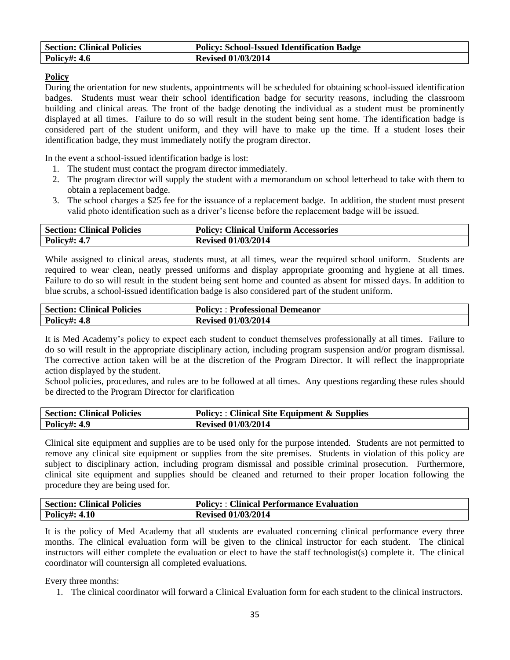| <b>Section: Clinical Policies</b> | <b>Policy: School-Issued Identification Badge</b> |
|-----------------------------------|---------------------------------------------------|
| <b>Policy#: 4.6</b>               | <b>Revised 01/03/2014</b>                         |

#### **Policy**

During the orientation for new students, appointments will be scheduled for obtaining school-issued identification badges. Students must wear their school identification badge for security reasons, including the classroom building and clinical areas. The front of the badge denoting the individual as a student must be prominently displayed at all times. Failure to do so will result in the student being sent home. The identification badge is considered part of the student uniform, and they will have to make up the time. If a student loses their identification badge, they must immediately notify the program director.

In the event a school-issued identification badge is lost:

- 1. The student must contact the program director immediately.
- 2. The program director will supply the student with a memorandum on school letterhead to take with them to obtain a replacement badge.
- 3. The school charges a \$25 fee for the issuance of a replacement badge. In addition, the student must present valid photo identification such as a driver's license before the replacement badge will be issued.

| <b>Section: Clinical Policies</b> | <b>Policy: Clinical Uniform Accessories</b> |
|-----------------------------------|---------------------------------------------|
| <b>Policy#: 4.7</b>               | <b>Revised 01/03/2014</b>                   |

While assigned to clinical areas, students must, at all times, wear the required school uniform. Students are required to wear clean, neatly pressed uniforms and display appropriate grooming and hygiene at all times. Failure to do so will result in the student being sent home and counted as absent for missed days. In addition to blue scrubs, a school-issued identification badge is also considered part of the student uniform.

| <b>Section: Clinical Policies</b> | <b>Policy:: Professional Demeanor</b> |
|-----------------------------------|---------------------------------------|
| <b>Policy#: 4.8</b>               | <b>Revised 01/03/2014</b>             |

It is Med Academy's policy to expect each student to conduct themselves professionally at all times. Failure to do so will result in the appropriate disciplinary action, including program suspension and/or program dismissal. The corrective action taken will be at the discretion of the Program Director. It will reflect the inappropriate action displayed by the student.

School policies, procedures, and rules are to be followed at all times. Any questions regarding these rules should be directed to the Program Director for clarification

| <b>Section: Clinical Policies</b> | <b>Policy:: Clinical Site Equipment &amp; Supplies</b> |
|-----------------------------------|--------------------------------------------------------|
| <b>Policy#: 4.9</b>               | <b>Revised 01/03/2014</b>                              |

Clinical site equipment and supplies are to be used only for the purpose intended. Students are not permitted to remove any clinical site equipment or supplies from the site premises. Students in violation of this policy are subject to disciplinary action, including program dismissal and possible criminal prosecution. Furthermore, clinical site equipment and supplies should be cleaned and returned to their proper location following the procedure they are being used for.

| <b>Section: Clinical Policies</b> | <b>Policy:: Clinical Performance Evaluation</b> |
|-----------------------------------|-------------------------------------------------|
| <b>Policy#: 4.10</b>              | <b>Revised 01/03/2014</b>                       |

It is the policy of Med Academy that all students are evaluated concerning clinical performance every three months. The clinical evaluation form will be given to the clinical instructor for each student. The clinical instructors will either complete the evaluation or elect to have the staff technologist(s) complete it. The clinical coordinator will countersign all completed evaluations.

Every three months:

1. The clinical coordinator will forward a Clinical Evaluation form for each student to the clinical instructors.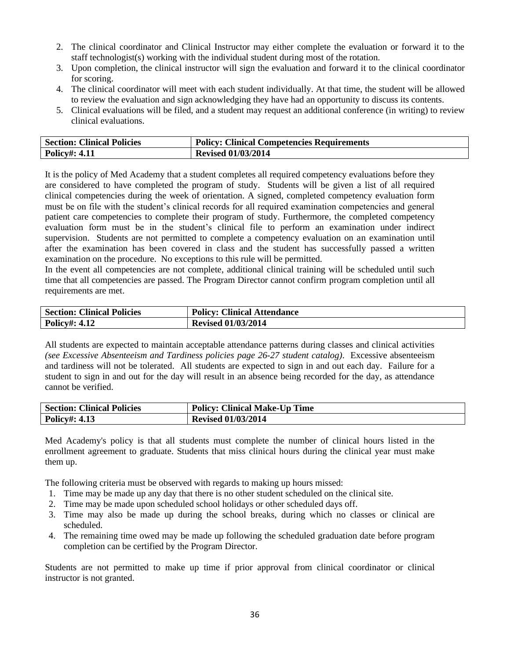- 2. The clinical coordinator and Clinical Instructor may either complete the evaluation or forward it to the staff technologist(s) working with the individual student during most of the rotation.
- 3. Upon completion, the clinical instructor will sign the evaluation and forward it to the clinical coordinator for scoring.
- 4. The clinical coordinator will meet with each student individually. At that time, the student will be allowed to review the evaluation and sign acknowledging they have had an opportunity to discuss its contents.
- 5. Clinical evaluations will be filed, and a student may request an additional conference (in writing) to review clinical evaluations.

| <b>Section: Clinical Policies</b> | <b>Policy: Clinical Competencies Requirements</b> |
|-----------------------------------|---------------------------------------------------|
| <b>Policy#: 4.11</b>              | <b>Revised 01/03/2014</b>                         |

It is the policy of Med Academy that a student completes all required competency evaluations before they are considered to have completed the program of study. Students will be given a list of all required clinical competencies during the week of orientation. A signed, completed competency evaluation form must be on file with the student's clinical records for all required examination competencies and general patient care competencies to complete their program of study. Furthermore, the completed competency evaluation form must be in the student's clinical file to perform an examination under indirect supervision. Students are not permitted to complete a competency evaluation on an examination until after the examination has been covered in class and the student has successfully passed a written examination on the procedure. No exceptions to this rule will be permitted.

In the event all competencies are not complete, additional clinical training will be scheduled until such time that all competencies are passed. The Program Director cannot confirm program completion until all requirements are met.

| <b>Section: Clinical Policies</b> | <b>Policy: Clinical Attendance</b> |
|-----------------------------------|------------------------------------|
| <b>Policy#: 4.12</b>              | <b>Revised 01/03/2014</b>          |

All students are expected to maintain acceptable attendance patterns during classes and clinical activities *(see Excessive Absenteeism and Tardiness policies page 26-27 student catalog)*. Excessive absenteeism and tardiness will not be tolerated. All students are expected to sign in and out each day. Failure for a student to sign in and out for the day will result in an absence being recorded for the day, as attendance cannot be verified.

| <b>Section: Clinical Policies</b> | <b>Policy: Clinical Make-Up Time</b> |
|-----------------------------------|--------------------------------------|
| <b>Policy#: 4.13</b>              | <b>Revised 01/03/2014</b>            |

Med Academy's policy is that all students must complete the number of clinical hours listed in the enrollment agreement to graduate. Students that miss clinical hours during the clinical year must make them up.

The following criteria must be observed with regards to making up hours missed:

- 1. Time may be made up any day that there is no other student scheduled on the clinical site.
- 2. Time may be made upon scheduled school holidays or other scheduled days off.
- 3. Time may also be made up during the school breaks, during which no classes or clinical are scheduled.
- 4. The remaining time owed may be made up following the scheduled graduation date before program completion can be certified by the Program Director.

Students are not permitted to make up time if prior approval from clinical coordinator or clinical instructor is not granted.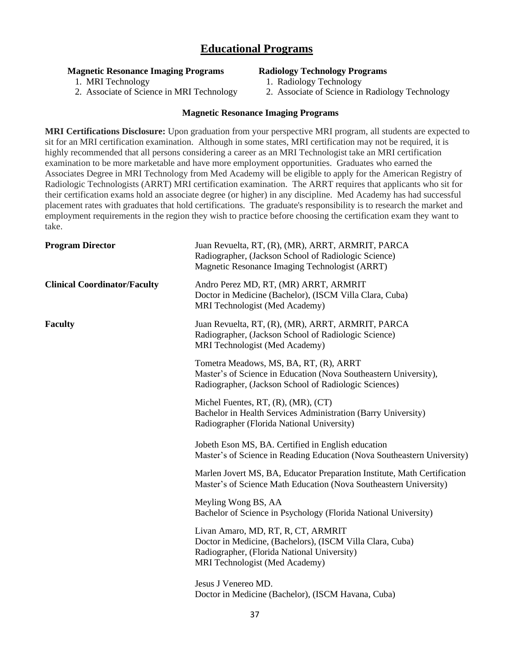#### **Educational Programs**

#### **Magnetic Resonance Imaging Programs**

#### **Radiology Technology Programs**

1. MRI Technology

- 1. Radiology Technology
- 2. Associate of Science in MRI Technology

## 2. Associate of Science in Radiology Technology

#### **Magnetic Resonance Imaging Programs**

**MRI Certifications Disclosure:** Upon graduation from your perspective MRI program, all students are expected to sit for an MRI certification examination. Although in some states, MRI certification may not be required, it is highly recommended that all persons considering a career as an MRI Technologist take an MRI certification examination to be more marketable and have more employment opportunities. Graduates who earned the Associates Degree in MRI Technology from Med Academy will be eligible to apply for the American Registry of Radiologic Technologists (ARRT) MRI certification examination. The ARRT requires that applicants who sit for their certification exams hold an associate degree (or higher) in any discipline. Med Academy has had successful placement rates with graduates that hold certifications. The graduate's responsibility is to research the market and employment requirements in the region they wish to practice before choosing the certification exam they want to take.

| <b>Program Director</b>             | Juan Revuelta, RT, (R), (MR), ARRT, ARMRIT, PARCA<br>Radiographer, (Jackson School of Radiologic Science)<br>Magnetic Resonance Imaging Technologist (ARRT)                      |
|-------------------------------------|----------------------------------------------------------------------------------------------------------------------------------------------------------------------------------|
| <b>Clinical Coordinator/Faculty</b> | Andro Perez MD, RT, (MR) ARRT, ARMRIT<br>Doctor in Medicine (Bachelor), (ISCM Villa Clara, Cuba)<br>MRI Technologist (Med Academy)                                               |
| <b>Faculty</b>                      | Juan Revuelta, RT, (R), (MR), ARRT, ARMRIT, PARCA<br>Radiographer, (Jackson School of Radiologic Science)<br>MRI Technologist (Med Academy)                                      |
|                                     | Tometra Meadows, MS, BA, RT, (R), ARRT<br>Master's of Science in Education (Nova Southeastern University),<br>Radiographer, (Jackson School of Radiologic Sciences)              |
|                                     | Michel Fuentes, RT, (R), (MR), (CT)<br>Bachelor in Health Services Administration (Barry University)<br>Radiographer (Florida National University)                               |
|                                     | Jobeth Eson MS, BA. Certified in English education<br>Master's of Science in Reading Education (Nova Southeastern University)                                                    |
|                                     | Marlen Jovert MS, BA, Educator Preparation Institute, Math Certification<br>Master's of Science Math Education (Nova Southeastern University)                                    |
|                                     | Meyling Wong BS, AA<br>Bachelor of Science in Psychology (Florida National University)                                                                                           |
|                                     | Livan Amaro, MD, RT, R, CT, ARMRIT<br>Doctor in Medicine, (Bachelors), (ISCM Villa Clara, Cuba)<br>Radiographer, (Florida National University)<br>MRI Technologist (Med Academy) |
|                                     | Jesus J Venereo MD.<br>Doctor in Medicine (Bachelor), (ISCM Havana, Cuba)                                                                                                        |
|                                     |                                                                                                                                                                                  |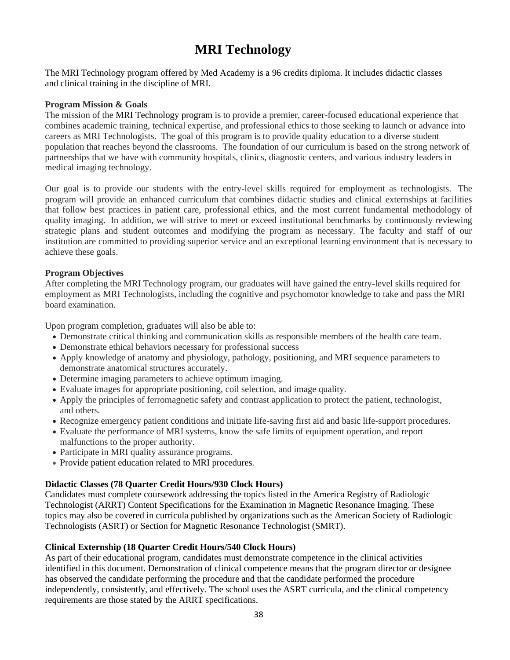## **MRI Technology**

The MRI Technology program offered by Med Academy is a 96 credits diploma. It includes didactic classes and clinical training in the discipline of MRI.

#### **Program Mission & Goals**

The mission of the MRI Technology program is to provide a premier, career-focused educational experience that combines academic training, technical expertise, and professional ethics to those seeking to launch or advance into careers as MRI Technologists. The goal of this program is to provide quality education to a diverse student population that reaches beyond the classrooms. The foundation of our curriculum is based on the strong network of partnerships that we have with community hospitals, clinics, diagnostic centers, and various industry leaders in medical imaging technology.

Our goal is to provide our students with the entry-level skills required for employment as technologists. The program will provide an enhanced curriculum that combines didactic studies and clinical externships at facilities that follow best practices in patient care, professional ethics, and the most current fundamental methodology of quality imaging. In addition, we will strive to meet or exceed institutional benchmarks by continuously reviewing strategic plans and student outcomes and modifying the program as necessary. The faculty and staff of our institution are committed to providing superior service and an exceptional learning environment that is necessary to achieve these goals.

#### **Program Objectives**

After completing the MRI Technology program, our graduates will have gained the entry-level skills required for employment as MRI Technologists, including the cognitive and psychomotor knowledge to take and pass the MRI board examination.

Upon program completion, graduates will also be able to:

- Demonstrate critical thinking and communication skills as responsible members of the health care team.
- Demonstrate ethical behaviors necessary for professional success
- Apply knowledge of anatomy and physiology, pathology, positioning, and MRI sequence parameters to demonstrate anatomical structures accurately.
- Determine imaging parameters to achieve optimum imaging.
- Evaluate images for appropriate positioning, coil selection, and image quality.
- Apply the principles of ferromagnetic safety and contrast application to protect the patient, technologist, and others.
- Recognize emergency patient conditions and initiate life-saving first aid and basic life-support procedures.
- Evaluate the performance of MRI systems, know the safe limits of equipment operation, and report malfunctions to the proper authority.
- Participate in MRI quality assurance programs.
- Provide patient education related to MRI procedures.

#### **Didactic Classes (78 Quarter Credit Hours/930 Clock Hours)**

Candidates must complete coursework addressing the topics listed in the America Registry of Radiologic Technologist (ARRT) Content Specifications for the Examination in Magnetic Resonance Imaging. These topics may also be covered in curricula published by organizations such as the American Society of Radiologic Technologists (ASRT) or Section for Magnetic Resonance Technologist (SMRT).

#### **Clinical Externship (18 Quarter Credit Hours/540 Clock Hours)**

As part of their educational program, candidates must demonstrate competence in the clinical activities identified in this document. Demonstration of clinical competence means that the program director or designee has observed the candidate performing the procedure and that the candidate performed the procedure independently, consistently, and effectively. The school uses the ASRT curricula, and the clinical competency requirements are those stated by the ARRT specifications.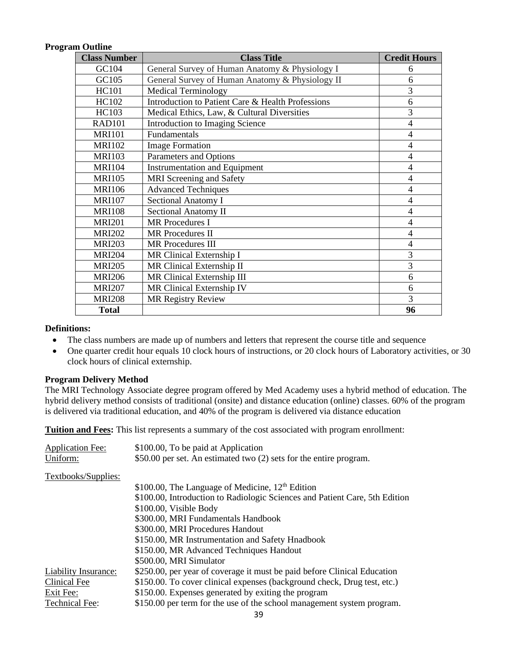#### **Program Outline**

| <b>Class Number</b> | <b>Class Title</b>                                | <b>Credit Hours</b> |
|---------------------|---------------------------------------------------|---------------------|
| GC104               | General Survey of Human Anatomy & Physiology I    | 6                   |
| GC105               | General Survey of Human Anatomy & Physiology II   | 6                   |
| <b>HC101</b>        | <b>Medical Terminology</b>                        | $\overline{3}$      |
| <b>HC102</b>        | Introduction to Patient Care & Health Professions | 6                   |
| HC103               | Medical Ethics, Law, & Cultural Diversities       | $\overline{3}$      |
| <b>RAD101</b>       | Introduction to Imaging Science                   | $\overline{4}$      |
| <b>MRI101</b>       | Fundamentals                                      | $\overline{4}$      |
| <b>MRI102</b>       | <b>Image Formation</b>                            | $\overline{4}$      |
| <b>MRI103</b>       | Parameters and Options                            | $\overline{4}$      |
| <b>MRI104</b>       | <b>Instrumentation and Equipment</b>              | $\overline{4}$      |
| <b>MRI105</b>       | <b>MRI</b> Screening and Safety                   | $\overline{4}$      |
| <b>MRI106</b>       | <b>Advanced Techniques</b>                        | $\overline{4}$      |
| <b>MRI107</b>       | Sectional Anatomy I                               | $\overline{4}$      |
| <b>MRI108</b>       | Sectional Anatomy II                              | $\overline{4}$      |
| <b>MRI201</b>       | <b>MR</b> Procedures I                            | $\overline{4}$      |
| <b>MRI202</b>       | <b>MR</b> Procedures II                           | $\overline{4}$      |
| <b>MRI203</b>       | <b>MR</b> Procedures III                          | $\overline{4}$      |
| <b>MRI204</b>       | MR Clinical Externship I                          | 3                   |
| <b>MRI205</b>       | MR Clinical Externship II                         | 3                   |
| <b>MRI206</b>       | MR Clinical Externship III                        | 6                   |
| <b>MRI207</b>       | MR Clinical Externship IV                         | 6                   |
| <b>MRI208</b>       | <b>MR Registry Review</b>                         | 3                   |
| <b>Total</b>        |                                                   | 96                  |

#### **Definitions:**

- The class numbers are made up of numbers and letters that represent the course title and sequence
- One quarter credit hour equals 10 clock hours of instructions, or 20 clock hours of Laboratory activities, or 30 clock hours of clinical externship.

#### **Program Delivery Method**

The MRI Technology Associate degree program offered by Med Academy uses a hybrid method of education. The hybrid delivery method consists of traditional (onsite) and distance education (online) classes. 60% of the program is delivered via traditional education, and 40% of the program is delivered via distance education

**Tuition and Fees:** This list represents a summary of the cost associated with program enrollment: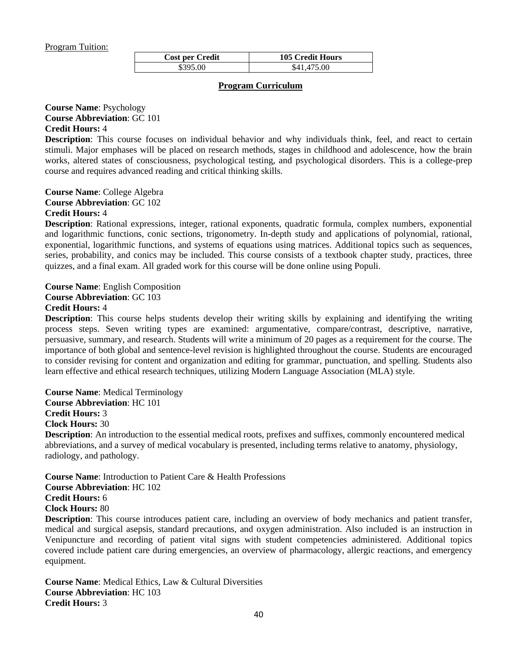#### Program Tuition:

| <b>Cost per Credit</b> | <b>105 Credit Hours</b> |
|------------------------|-------------------------|
| \$395.00               | \$41,475.00             |

#### **Program Curriculum**

#### **Course Name**: Psychology **Course Abbreviation**: GC 101 **Credit Hours:** 4

**Description**: This course focuses on individual behavior and why individuals think, feel, and react to certain stimuli. Major emphases will be placed on research methods, stages in childhood and adolescence, how the brain works, altered states of consciousness, psychological testing, and psychological disorders. This is a college-prep course and requires advanced reading and critical thinking skills.

**Course Name**: College Algebra **Course Abbreviation**: GC 102 **Credit Hours:** 4

**Description**: Rational expressions, integer, rational exponents, quadratic formula, complex numbers, exponential and logarithmic functions, conic sections, trigonometry. In-depth study and applications of polynomial, rational, exponential, logarithmic functions, and systems of equations using matrices. Additional topics such as sequences, series, probability, and conics may be included. This course consists of a textbook chapter study, practices, three quizzes, and a final exam. All graded work for this course will be done online using Populi.

**Course Name**: English Composition **Course Abbreviation**: GC 103 **Credit Hours:** 4

**Description**: This course helps students develop their writing skills by explaining and identifying the writing process steps. Seven writing types are examined: argumentative, compare/contrast, descriptive, narrative, persuasive, summary, and research. Students will write a minimum of 20 pages as a requirement for the course. The importance of both global and sentence-level revision is highlighted throughout the course. Students are encouraged to consider revising for content and organization and editing for grammar, punctuation, and spelling. Students also learn effective and ethical research techniques, utilizing Modern Language Association (MLA) style.

**Course Name**: Medical Terminology **Course Abbreviation**: HC 101 **Credit Hours:** 3

**Clock Hours:** 30

**Description**: An introduction to the essential medical roots, prefixes and suffixes, commonly encountered medical abbreviations, and a survey of medical vocabulary is presented, including terms relative to anatomy, physiology, radiology, and pathology.

**Course Name**: Introduction to Patient Care & Health Professions **Course Abbreviation**: HC 102

**Credit Hours:** 6

**Clock Hours:** 80

**Description**: This course introduces patient care, including an overview of body mechanics and patient transfer, medical and surgical asepsis, standard precautions, and oxygen administration. Also included is an instruction in Venipuncture and recording of patient vital signs with student competencies administered. Additional topics covered include patient care during emergencies, an overview of pharmacology, allergic reactions, and emergency equipment.

**Course Name**: Medical Ethics, Law & Cultural Diversities **Course Abbreviation**: HC 103 **Credit Hours:** 3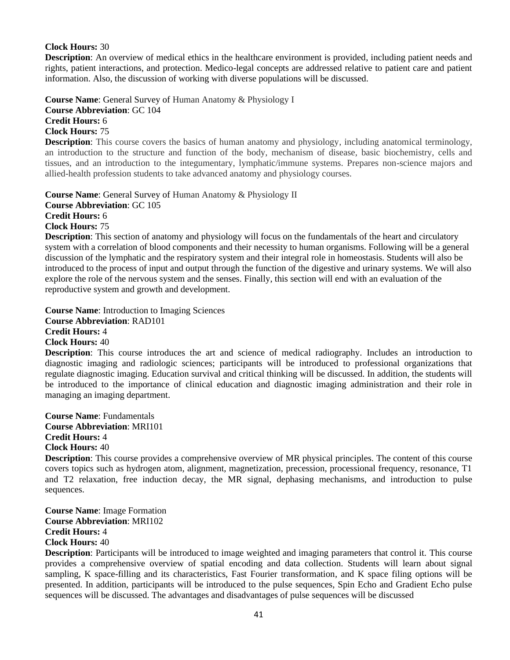#### **Clock Hours:** 30

**Description**: An overview of medical ethics in the healthcare environment is provided, including patient needs and rights, patient interactions, and protection. Medico-legal concepts are addressed relative to patient care and patient information. Also, the discussion of working with diverse populations will be discussed.

**Course Name**: General Survey of Human Anatomy & Physiology I **Course Abbreviation**: GC 104 **Credit Hours:** 6 **Clock Hours:** 75

**Description**: This course covers the basics of human anatomy and physiology, including anatomical terminology, an introduction to the structure and function of the body, mechanism of disease, basic biochemistry, cells and tissues, and an introduction to the integumentary, lymphatic/immune systems. Prepares non-science majors and allied-health profession students to take advanced anatomy and physiology courses.

**Course Name**: General Survey of Human Anatomy & Physiology II **Course Abbreviation**: GC 105 **Credit Hours:** 6 **Clock Hours:** 75

**Description**: This section of anatomy and physiology will focus on the fundamentals of the heart and circulatory system with a correlation of blood components and their necessity to human organisms. Following will be a general discussion of the lymphatic and the respiratory system and their integral role in homeostasis. Students will also be introduced to the process of input and output through the function of the digestive and urinary systems. We will also explore the role of the nervous system and the senses. Finally, this section will end with an evaluation of the reproductive system and growth and development.

**Course Name**: Introduction to Imaging Sciences

**Course Abbreviation**: RAD101 **Credit Hours:** 4

**Clock Hours:** 40

**Description**: This course introduces the art and science of medical radiography. Includes an introduction to diagnostic imaging and radiologic sciences; participants will be introduced to professional organizations that regulate diagnostic imaging. Education survival and critical thinking will be discussed. In addition, the students will be introduced to the importance of clinical education and diagnostic imaging administration and their role in managing an imaging department.

**Course Name**: Fundamentals **Course Abbreviation**: MRI101 **Credit Hours:** 4 **Clock Hours:** 40

**Description**: This course provides a comprehensive overview of MR physical principles. The content of this course covers topics such as hydrogen atom, alignment, magnetization, precession, processional frequency, resonance, T1 and T2 relaxation, free induction decay, the MR signal, dephasing mechanisms, and introduction to pulse sequences.

**Course Name**: Image Formation **Course Abbreviation**: MRI102 **Credit Hours:** 4 **Clock Hours:** 40

**Description**: Participants will be introduced to image weighted and imaging parameters that control it. This course provides a comprehensive overview of spatial encoding and data collection. Students will learn about signal sampling, K space-filling and its characteristics, Fast Fourier transformation, and K space filing options will be presented. In addition, participants will be introduced to the pulse sequences, Spin Echo and Gradient Echo pulse sequences will be discussed. The advantages and disadvantages of pulse sequences will be discussed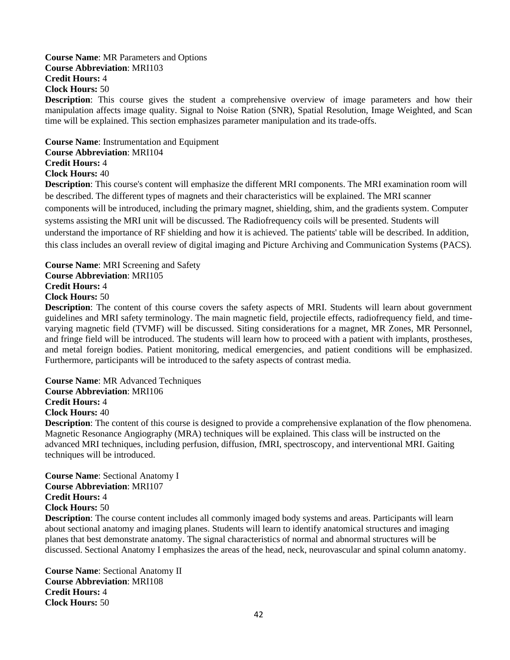**Course Name**: MR Parameters and Options **Course Abbreviation**: MRI103 **Credit Hours:** 4 **Clock Hours:** 50

**Description**: This course gives the student a comprehensive overview of image parameters and how their manipulation affects image quality. Signal to Noise Ration (SNR), Spatial Resolution, Image Weighted, and Scan time will be explained. This section emphasizes parameter manipulation and its trade-offs.

**Course Name**: Instrumentation and Equipment **Course Abbreviation**: MRI104 **Credit Hours:** 4

**Clock Hours:** 40

**Description**: This course's content will emphasize the different MRI components. The MRI examination room will be described. The different types of magnets and their characteristics will be explained. The MRI scanner components will be introduced, including the primary magnet, shielding, shim, and the gradients system. Computer systems assisting the MRI unit will be discussed. The Radiofrequency coils will be presented. Students will understand the importance of RF shielding and how it is achieved. The patients' table will be described. In addition, this class includes an overall review of digital imaging and Picture Archiving and Communication Systems (PACS).

**Course Name**: MRI Screening and Safety **Course Abbreviation**: MRI105 **Credit Hours:** 4 **Clock Hours:** 50

**Description**: The content of this course covers the safety aspects of MRI. Students will learn about government guidelines and MRI safety terminology. The main magnetic field, projectile effects, radiofrequency field, and timevarying magnetic field (TVMF) will be discussed. Siting considerations for a magnet, MR Zones, MR Personnel, and fringe field will be introduced. The students will learn how to proceed with a patient with implants, prostheses, and metal foreign bodies. Patient monitoring, medical emergencies, and patient conditions will be emphasized. Furthermore, participants will be introduced to the safety aspects of contrast media.

**Course Name**: MR Advanced Techniques **Course Abbreviation**: MRI106 **Credit Hours:** 4 **Clock Hours:** 40 **Description**: The content of this course is designed to provide a comprehensive explanation of the flow phenomena.

Magnetic Resonance Angiography (MRA) techniques will be explained. This class will be instructed on the advanced MRI techniques, including perfusion, diffusion, fMRI, spectroscopy, and interventional MRI. Gaiting techniques will be introduced.

**Course Name**: Sectional Anatomy I **Course Abbreviation**: MRI107 **Credit Hours:** 4 **Clock Hours:** 50

**Description**: The course content includes all commonly imaged body systems and areas. Participants will learn about sectional anatomy and imaging planes. Students will learn to identify anatomical structures and imaging planes that best demonstrate anatomy. The signal characteristics of normal and abnormal structures will be discussed. Sectional Anatomy I emphasizes the areas of the head, neck, neurovascular and spinal column anatomy.

**Course Name**: Sectional Anatomy II **Course Abbreviation**: MRI108 **Credit Hours:** 4 **Clock Hours:** 50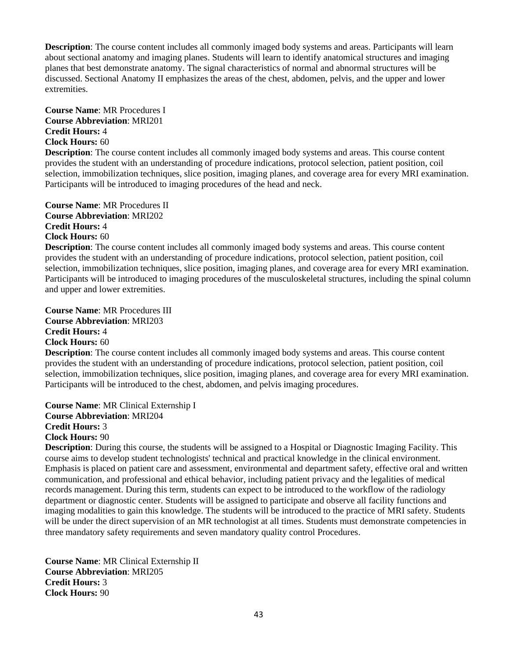**Description**: The course content includes all commonly imaged body systems and areas. Participants will learn about sectional anatomy and imaging planes. Students will learn to identify anatomical structures and imaging planes that best demonstrate anatomy. The signal characteristics of normal and abnormal structures will be discussed. Sectional Anatomy II emphasizes the areas of the chest, abdomen, pelvis, and the upper and lower extremities.

**Course Name**: MR Procedures I **Course Abbreviation**: MRI201 **Credit Hours:** 4 **Clock Hours:** 60

**Description**: The course content includes all commonly imaged body systems and areas. This course content provides the student with an understanding of procedure indications, protocol selection, patient position, coil selection, immobilization techniques, slice position, imaging planes, and coverage area for every MRI examination. Participants will be introduced to imaging procedures of the head and neck.

**Course Name**: MR Procedures II **Course Abbreviation**: MRI202 **Credit Hours:** 4 **Clock Hours:** 60

**Description**: The course content includes all commonly imaged body systems and areas. This course content provides the student with an understanding of procedure indications, protocol selection, patient position, coil selection, immobilization techniques, slice position, imaging planes, and coverage area for every MRI examination. Participants will be introduced to imaging procedures of the musculoskeletal structures, including the spinal column and upper and lower extremities.

**Course Name**: MR Procedures III **Course Abbreviation**: MRI203 **Credit Hours:** 4 **Clock Hours:** 60

**Description**: The course content includes all commonly imaged body systems and areas. This course content provides the student with an understanding of procedure indications, protocol selection, patient position, coil selection, immobilization techniques, slice position, imaging planes, and coverage area for every MRI examination. Participants will be introduced to the chest, abdomen, and pelvis imaging procedures.

**Course Name**: MR Clinical Externship I **Course Abbreviation**: MRI204 **Credit Hours:** 3 **Clock Hours:** 90

**Description**: During this course, the students will be assigned to a Hospital or Diagnostic Imaging Facility. This course aims to develop student technologists' technical and practical knowledge in the clinical environment. Emphasis is placed on patient care and assessment, environmental and department safety, effective oral and written communication, and professional and ethical behavior, including patient privacy and the legalities of medical records management. During this term, students can expect to be introduced to the workflow of the radiology department or diagnostic center. Students will be assigned to participate and observe all facility functions and imaging modalities to gain this knowledge. The students will be introduced to the practice of MRI safety. Students will be under the direct supervision of an MR technologist at all times. Students must demonstrate competencies in three mandatory safety requirements and seven mandatory quality control Procedures.

**Course Name**: MR Clinical Externship II **Course Abbreviation**: MRI205 **Credit Hours:** 3 **Clock Hours:** 90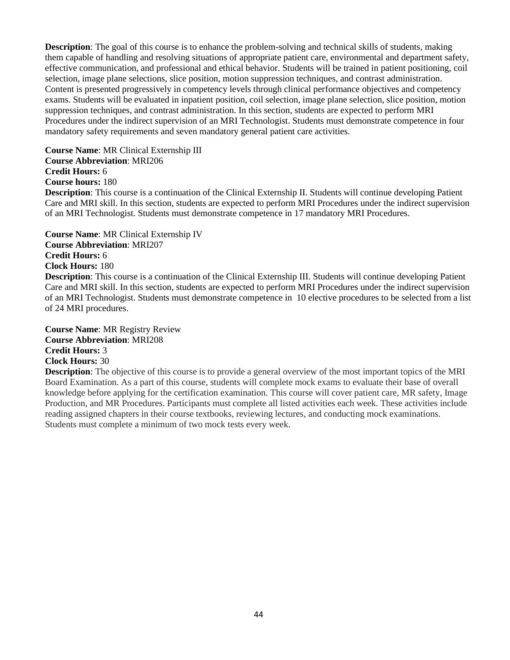**Description**: The goal of this course is to enhance the problem-solving and technical skills of students, making them capable of handling and resolving situations of appropriate patient care, environmental and department safety, effective communication, and professional and ethical behavior. Students will be trained in patient positioning, coil selection, image plane selections, slice position, motion suppression techniques, and contrast administration. Content is presented progressively in competency levels through clinical performance objectives and competency exams. Students will be evaluated in inpatient position, coil selection, image plane selection, slice position, motion suppression techniques, and contrast administration. In this section, students are expected to perform MRI Procedures under the indirect supervision of an MRI Technologist. Students must demonstrate competence in four mandatory safety requirements and seven mandatory general patient care activities.

**Course Name**: MR Clinical Externship III **Course Abbreviation**: MRI206 **Credit Hours:** 6 **Course hours:** 180

**Description**: This course is a continuation of the Clinical Externship II. Students will continue developing Patient Care and MRI skill. In this section, students are expected to perform MRI Procedures under the indirect supervision of an MRI Technologist. Students must demonstrate competence in 17 mandatory MRI Procedures.

**Course Name**: MR Clinical Externship IV **Course Abbreviation**: MRI207 **Credit Hours:** 6 **Clock Hours:** 180

**Description**: This course is a continuation of the Clinical Externship III. Students will continue developing Patient Care and MRI skill. In this section, students are expected to perform MRI Procedures under the indirect supervision of an MRI Technologist. Students must demonstrate competence in 10 elective procedures to be selected from a list of 24 MRI procedures.

**Course Name**: MR Registry Review **Course Abbreviation**: MRI208 **Credit Hours:** 3 **Clock Hours:** 30

**Description**: The objective of this course is to provide a general overview of the most important topics of the MRI Board Examination. As a part of this course, students will complete mock exams to evaluate their base of overall knowledge before applying for the certification examination. This course will cover patient care, MR safety, Image Production, and MR Procedures. Participants must complete all listed activities each week. These activities include reading assigned chapters in their course textbooks, reviewing lectures, and conducting mock examinations. Students must complete a minimum of two mock tests every week.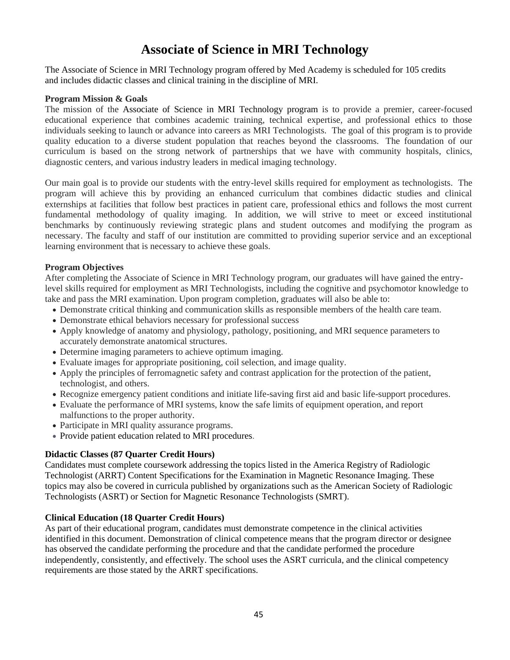## **Associate of Science in MRI Technology**

The Associate of Science in MRI Technology program offered by Med Academy is scheduled for 105 credits and includes didactic classes and clinical training in the discipline of MRI.

#### **Program Mission & Goals**

The mission of the Associate of Science in MRI Technology program is to provide a premier, career-focused educational experience that combines academic training, technical expertise, and professional ethics to those individuals seeking to launch or advance into careers as MRI Technologists. The goal of this program is to provide quality education to a diverse student population that reaches beyond the classrooms. The foundation of our curriculum is based on the strong network of partnerships that we have with community hospitals, clinics, diagnostic centers, and various industry leaders in medical imaging technology.

Our main goal is to provide our students with the entry-level skills required for employment as technologists. The program will achieve this by providing an enhanced curriculum that combines didactic studies and clinical externships at facilities that follow best practices in patient care, professional ethics and follows the most current fundamental methodology of quality imaging. In addition, we will strive to meet or exceed institutional benchmarks by continuously reviewing strategic plans and student outcomes and modifying the program as necessary. The faculty and staff of our institution are committed to providing superior service and an exceptional learning environment that is necessary to achieve these goals.

#### **Program Objectives**

After completing the Associate of Science in MRI Technology program, our graduates will have gained the entrylevel skills required for employment as MRI Technologists, including the cognitive and psychomotor knowledge to take and pass the MRI examination. Upon program completion, graduates will also be able to:

- Demonstrate critical thinking and communication skills as responsible members of the health care team.
- Demonstrate ethical behaviors necessary for professional success
- Apply knowledge of anatomy and physiology, pathology, positioning, and MRI sequence parameters to accurately demonstrate anatomical structures.
- Determine imaging parameters to achieve optimum imaging.
- Evaluate images for appropriate positioning, coil selection, and image quality.
- Apply the principles of ferromagnetic safety and contrast application for the protection of the patient, technologist, and others.
- Recognize emergency patient conditions and initiate life-saving first aid and basic life-support procedures.
- Evaluate the performance of MRI systems, know the safe limits of equipment operation, and report malfunctions to the proper authority.
- Participate in MRI quality assurance programs.
- Provide patient education related to MRI procedures.

#### **Didactic Classes (87 Quarter Credit Hours)**

Candidates must complete coursework addressing the topics listed in the America Registry of Radiologic Technologist (ARRT) Content Specifications for the Examination in Magnetic Resonance Imaging. These topics may also be covered in curricula published by organizations such as the American Society of Radiologic Technologists (ASRT) or Section for Magnetic Resonance Technologists (SMRT).

#### **Clinical Education (18 Quarter Credit Hours)**

As part of their educational program, candidates must demonstrate competence in the clinical activities identified in this document. Demonstration of clinical competence means that the program director or designee has observed the candidate performing the procedure and that the candidate performed the procedure independently, consistently, and effectively. The school uses the ASRT curricula, and the clinical competency requirements are those stated by the ARRT specifications.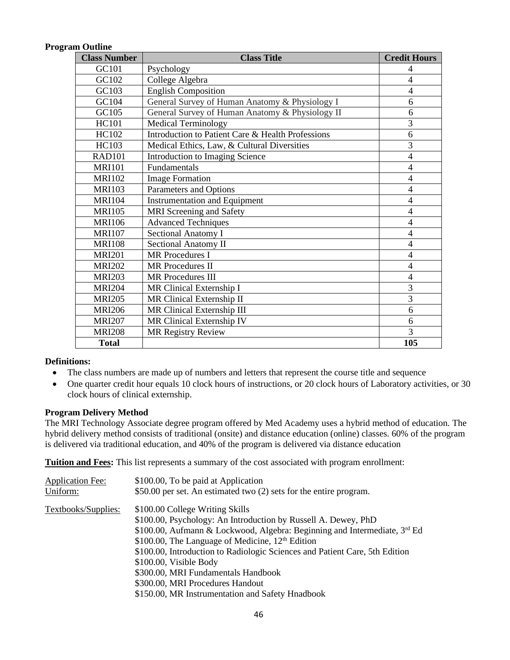#### **Program Outline**

| <b>Class Number</b> | <b>Class Title</b>                                | <b>Credit Hours</b> |
|---------------------|---------------------------------------------------|---------------------|
| GC101               | Psychology                                        | 4                   |
| GC102               | College Algebra                                   | 4                   |
| GC103               | <b>English Composition</b>                        | $\overline{4}$      |
| GC104               | General Survey of Human Anatomy & Physiology I    | 6                   |
| GC105               | General Survey of Human Anatomy & Physiology II   | 6                   |
| <b>HC101</b>        | <b>Medical Terminology</b>                        | $\overline{3}$      |
| <b>HC102</b>        | Introduction to Patient Care & Health Professions | 6                   |
| HC103               | Medical Ethics, Law, & Cultural Diversities       | $\overline{3}$      |
| <b>RAD101</b>       | Introduction to Imaging Science                   | $\overline{4}$      |
| <b>MRI101</b>       | Fundamentals                                      | $\overline{4}$      |
| <b>MRI102</b>       | <b>Image Formation</b>                            | $\overline{4}$      |
| <b>MRI103</b>       | Parameters and Options                            | 4                   |
| <b>MRI104</b>       | <b>Instrumentation and Equipment</b>              | $\overline{4}$      |
| <b>MRI105</b>       | <b>MRI</b> Screening and Safety                   | $\overline{4}$      |
| <b>MRI106</b>       | <b>Advanced Techniques</b>                        | 4                   |
| <b>MRI107</b>       | <b>Sectional Anatomy I</b>                        | $\overline{4}$      |
| <b>MRI108</b>       | <b>Sectional Anatomy II</b>                       | $\overline{4}$      |
| <b>MRI201</b>       | <b>MR</b> Procedures I                            | $\overline{4}$      |
| <b>MRI202</b>       | <b>MR</b> Procedures II                           | $\overline{4}$      |
| <b>MRI203</b>       | <b>MR</b> Procedures III                          | $\overline{4}$      |
| <b>MRI204</b>       | MR Clinical Externship I                          | $\overline{3}$      |
| <b>MRI205</b>       | MR Clinical Externship II                         | $\overline{3}$      |
| <b>MRI206</b>       | MR Clinical Externship III                        | 6                   |
| <b>MRI207</b>       | MR Clinical Externship IV                         | 6                   |
| <b>MRI208</b>       | <b>MR Registry Review</b>                         | 3                   |
| <b>Total</b>        |                                                   | 105                 |

#### **Definitions:**

- The class numbers are made up of numbers and letters that represent the course title and sequence
- One quarter credit hour equals 10 clock hours of instructions, or 20 clock hours of Laboratory activities, or 30 clock hours of clinical externship.

#### **Program Delivery Method**

The MRI Technology Associate degree program offered by Med Academy uses a hybrid method of education. The hybrid delivery method consists of traditional (onsite) and distance education (online) classes. 60% of the program is delivered via traditional education, and 40% of the program is delivered via distance education

**Tuition and Fees:** This list represents a summary of the cost associated with program enrollment:

| <b>Application Fee:</b> | \$100.00, To be paid at Application                                         |
|-------------------------|-----------------------------------------------------------------------------|
| Uniform:                | \$50.00 per set. An estimated two (2) sets for the entire program.          |
| Textbooks/Supplies:     | \$100.00 College Writing Skills                                             |
|                         | \$100.00, Psychology: An Introduction by Russell A. Dewey, PhD              |
|                         | \$100.00, Aufmann & Lockwood, Algebra: Beginning and Intermediate, 3rd Ed   |
|                         | \$100.00, The Language of Medicine, $12th$ Edition                          |
|                         | \$100.00, Introduction to Radiologic Sciences and Patient Care, 5th Edition |
|                         | \$100.00, Visible Body                                                      |
|                         | \$300.00, MRI Fundamentals Handbook                                         |
|                         | \$300.00, MRI Procedures Handout                                            |
|                         | \$150.00, MR Instrumentation and Safety Hnadbook                            |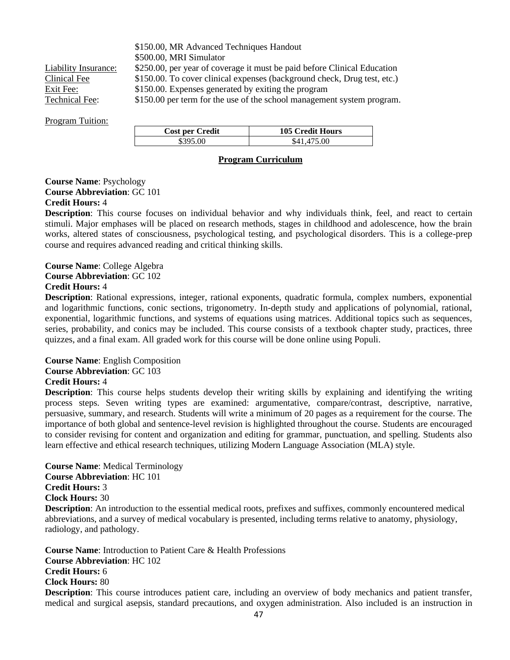\$150.00, MR Advanced Techniques Handout \$500.00, MRI Simulator Liability Insurance: \$250.00, per year of coverage it must be paid before Clinical Education Clinical Fee \$150.00. To cover clinical expenses (background check, Drug test, etc.) Exit Fee:  $$150.00$ . Expenses generated by exiting the program Technical Fee: \$150.00 per term for the use of the school management system program.

#### Program Tuition:

| <b>Cost per Credit</b> | <b>105 Credit Hours</b> |
|------------------------|-------------------------|
| \$395.00               | \$41,475.00             |

#### **Program Curriculum**

#### **Course Name**: Psychology **Course Abbreviation**: GC 101 **Credit Hours:** 4

**Description**: This course focuses on individual behavior and why individuals think, feel, and react to certain stimuli. Major emphases will be placed on research methods, stages in childhood and adolescence, how the brain works, altered states of consciousness, psychological testing, and psychological disorders. This is a college-prep course and requires advanced reading and critical thinking skills.

**Course Name**: College Algebra **Course Abbreviation**: GC 102 **Credit Hours:** 4

**Description**: Rational expressions, integer, rational exponents, quadratic formula, complex numbers, exponential and logarithmic functions, conic sections, trigonometry. In-depth study and applications of polynomial, rational, exponential, logarithmic functions, and systems of equations using matrices. Additional topics such as sequences, series, probability, and conics may be included. This course consists of a textbook chapter study, practices, three quizzes, and a final exam. All graded work for this course will be done online using Populi.

#### **Course Name**: English Composition **Course Abbreviation**: GC 103 **Credit Hours:** 4

**Description**: This course helps students develop their writing skills by explaining and identifying the writing process steps. Seven writing types are examined: argumentative, compare/contrast, descriptive, narrative, persuasive, summary, and research. Students will write a minimum of 20 pages as a requirement for the course. The importance of both global and sentence-level revision is highlighted throughout the course. Students are encouraged to consider revising for content and organization and editing for grammar, punctuation, and spelling. Students also learn effective and ethical research techniques, utilizing Modern Language Association (MLA) style.

**Course Name**: Medical Terminology **Course Abbreviation**: HC 101 **Credit Hours:** 3 **Clock Hours:** 30 **Description**: An introduction to the essential medical roots, prefixes and suffixes, commonly encountered medical abbreviations, and a survey of medical vocabulary is presented, including terms relative to anatomy, physiology, radiology, and pathology.

**Course Name**: Introduction to Patient Care & Health Professions **Course Abbreviation**: HC 102 **Credit Hours:** 6 **Clock Hours:** 80 **Description**: This course introduces patient care, including an overview of body mechanics and patient transfer, medical and surgical asepsis, standard precautions, and oxygen administration. Also included is an instruction in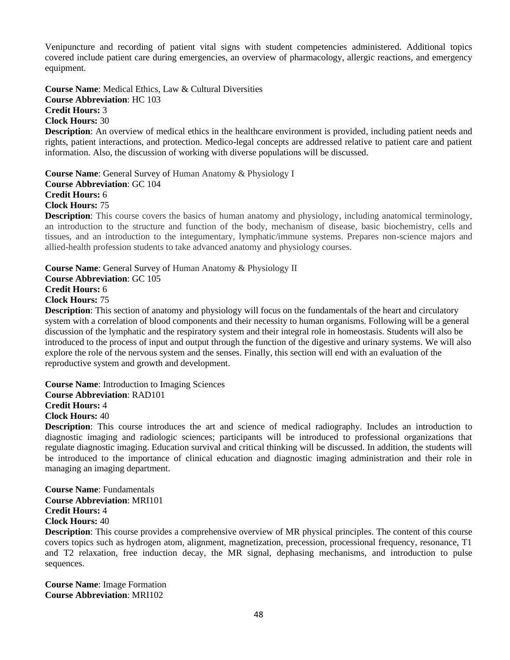Venipuncture and recording of patient vital signs with student competencies administered. Additional topics covered include patient care during emergencies, an overview of pharmacology, allergic reactions, and emergency equipment.

**Course Name**: Medical Ethics, Law & Cultural Diversities **Course Abbreviation**: HC 103 **Credit Hours:** 3 **Clock Hours:** 30

**Description**: An overview of medical ethics in the healthcare environment is provided, including patient needs and rights, patient interactions, and protection. Medico-legal concepts are addressed relative to patient care and patient information. Also, the discussion of working with diverse populations will be discussed.

**Course Name**: General Survey of Human Anatomy & Physiology I **Course Abbreviation**: GC 104 **Credit Hours:** 6 **Clock Hours:** 75

**Description**: This course covers the basics of human anatomy and physiology, including anatomical terminology, an introduction to the structure and function of the body, mechanism of disease, basic biochemistry, cells and tissues, and an introduction to the integumentary, lymphatic/immune systems. Prepares non-science majors and allied-health profession students to take advanced anatomy and physiology courses.

**Course Name**: General Survey of Human Anatomy & Physiology II **Course Abbreviation**: GC 105 **Credit Hours:** 6 **Clock Hours:** 75 **Description**: This section of anatomy and physiology will focus on the fundamentals of the heart and circulatory

system with a correlation of blood components and their necessity to human organisms. Following will be a general discussion of the lymphatic and the respiratory system and their integral role in homeostasis. Students will also be introduced to the process of input and output through the function of the digestive and urinary systems. We will also explore the role of the nervous system and the senses. Finally, this section will end with an evaluation of the reproductive system and growth and development.

**Course Name**: Introduction to Imaging Sciences **Course Abbreviation**: RAD101

**Credit Hours:** 4

**Clock Hours:** 40

**Description**: This course introduces the art and science of medical radiography. Includes an introduction to diagnostic imaging and radiologic sciences; participants will be introduced to professional organizations that regulate diagnostic imaging. Education survival and critical thinking will be discussed. In addition, the students will be introduced to the importance of clinical education and diagnostic imaging administration and their role in managing an imaging department.

**Course Name**: Fundamentals **Course Abbreviation**: MRI101 **Credit Hours:** 4 **Clock Hours:** 40

**Description**: This course provides a comprehensive overview of MR physical principles. The content of this course covers topics such as hydrogen atom, alignment, magnetization, precession, processional frequency, resonance, T1 and T2 relaxation, free induction decay, the MR signal, dephasing mechanisms, and introduction to pulse sequences.

**Course Name**: Image Formation **Course Abbreviation**: MRI102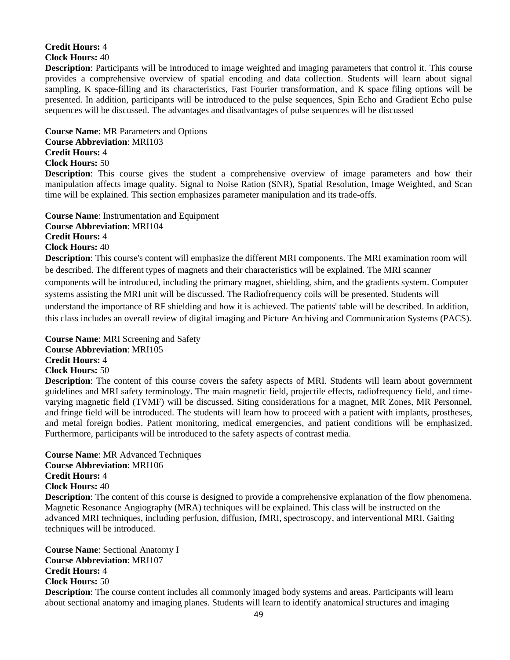#### **Credit Hours:** 4 **Clock Hours:** 40

**Description**: Participants will be introduced to image weighted and imaging parameters that control it. This course provides a comprehensive overview of spatial encoding and data collection. Students will learn about signal sampling, K space-filling and its characteristics, Fast Fourier transformation, and K space filing options will be presented. In addition, participants will be introduced to the pulse sequences, Spin Echo and Gradient Echo pulse sequences will be discussed. The advantages and disadvantages of pulse sequences will be discussed

#### **Course Name**: MR Parameters and Options **Course Abbreviation**: MRI103 **Credit Hours:** 4

**Clock Hours:** 50

**Description**: This course gives the student a comprehensive overview of image parameters and how their manipulation affects image quality. Signal to Noise Ration (SNR), Spatial Resolution, Image Weighted, and Scan time will be explained. This section emphasizes parameter manipulation and its trade-offs.

**Course Name**: Instrumentation and Equipment **Course Abbreviation**: MRI104 **Credit Hours:** 4 **Clock Hours:** 40 **Description**: This course's content will emphasize the different MRI components. The MRI examination room will

be described. The different types of magnets and their characteristics will be explained. The MRI scanner components will be introduced, including the primary magnet, shielding, shim, and the gradients system. Computer systems assisting the MRI unit will be discussed. The Radiofrequency coils will be presented. Students will understand the importance of RF shielding and how it is achieved. The patients' table will be described. In addition, this class includes an overall review of digital imaging and Picture Archiving and Communication Systems (PACS).

**Course Name**: MRI Screening and Safety

**Course Abbreviation**: MRI105

**Credit Hours:** 4

#### **Clock Hours:** 50

**Description**: The content of this course covers the safety aspects of MRI. Students will learn about government guidelines and MRI safety terminology. The main magnetic field, projectile effects, radiofrequency field, and timevarying magnetic field (TVMF) will be discussed. Siting considerations for a magnet, MR Zones, MR Personnel, and fringe field will be introduced. The students will learn how to proceed with a patient with implants, prostheses, and metal foreign bodies. Patient monitoring, medical emergencies, and patient conditions will be emphasized. Furthermore, participants will be introduced to the safety aspects of contrast media.

**Course Name**: MR Advanced Techniques **Course Abbreviation**: MRI106 **Credit Hours:** 4 **Clock Hours:** 40

**Description**: The content of this course is designed to provide a comprehensive explanation of the flow phenomena. Magnetic Resonance Angiography (MRA) techniques will be explained. This class will be instructed on the advanced MRI techniques, including perfusion, diffusion, fMRI, spectroscopy, and interventional MRI. Gaiting techniques will be introduced.

**Course Name**: Sectional Anatomy I **Course Abbreviation**: MRI107 **Credit Hours:** 4 **Clock Hours:** 50 **Description**: The course content includes all commonly imaged body systems and areas. Participants will learn about sectional anatomy and imaging planes. Students will learn to identify anatomical structures and imaging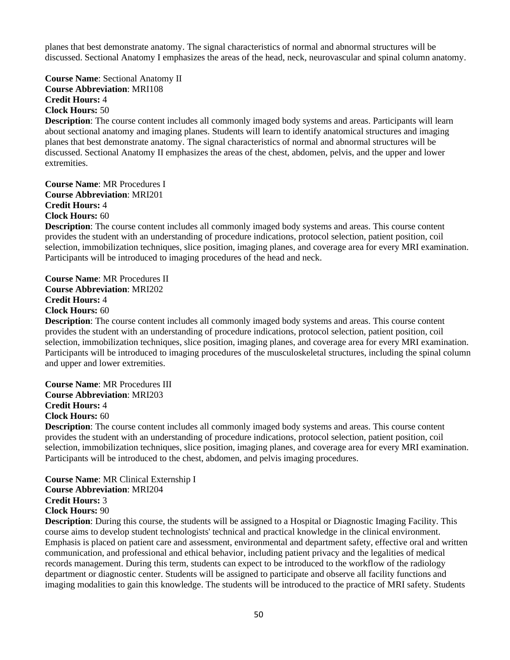planes that best demonstrate anatomy. The signal characteristics of normal and abnormal structures will be discussed. Sectional Anatomy I emphasizes the areas of the head, neck, neurovascular and spinal column anatomy.

**Course Name**: Sectional Anatomy II **Course Abbreviation**: MRI108 **Credit Hours:** 4 **Clock Hours:** 50

**Description**: The course content includes all commonly imaged body systems and areas. Participants will learn about sectional anatomy and imaging planes. Students will learn to identify anatomical structures and imaging planes that best demonstrate anatomy. The signal characteristics of normal and abnormal structures will be discussed. Sectional Anatomy II emphasizes the areas of the chest, abdomen, pelvis, and the upper and lower extremities.

**Course Name**: MR Procedures I **Course Abbreviation**: MRI201 **Credit Hours:** 4 **Clock Hours:** 60

**Description**: The course content includes all commonly imaged body systems and areas. This course content provides the student with an understanding of procedure indications, protocol selection, patient position, coil selection, immobilization techniques, slice position, imaging planes, and coverage area for every MRI examination. Participants will be introduced to imaging procedures of the head and neck.

**Course Name**: MR Procedures II **Course Abbreviation**: MRI202 **Credit Hours:** 4 **Clock Hours:** 60

**Description**: The course content includes all commonly imaged body systems and areas. This course content provides the student with an understanding of procedure indications, protocol selection, patient position, coil selection, immobilization techniques, slice position, imaging planes, and coverage area for every MRI examination. Participants will be introduced to imaging procedures of the musculoskeletal structures, including the spinal column and upper and lower extremities.

**Course Name**: MR Procedures III **Course Abbreviation**: MRI203 **Credit Hours:** 4 **Clock Hours:** 60

**Description**: The course content includes all commonly imaged body systems and areas. This course content provides the student with an understanding of procedure indications, protocol selection, patient position, coil selection, immobilization techniques, slice position, imaging planes, and coverage area for every MRI examination. Participants will be introduced to the chest, abdomen, and pelvis imaging procedures.

**Course Name**: MR Clinical Externship I **Course Abbreviation**: MRI204 **Credit Hours:** 3 **Clock Hours:** 90

**Description**: During this course, the students will be assigned to a Hospital or Diagnostic Imaging Facility. This course aims to develop student technologists' technical and practical knowledge in the clinical environment. Emphasis is placed on patient care and assessment, environmental and department safety, effective oral and written communication, and professional and ethical behavior, including patient privacy and the legalities of medical records management. During this term, students can expect to be introduced to the workflow of the radiology department or diagnostic center. Students will be assigned to participate and observe all facility functions and imaging modalities to gain this knowledge. The students will be introduced to the practice of MRI safety. Students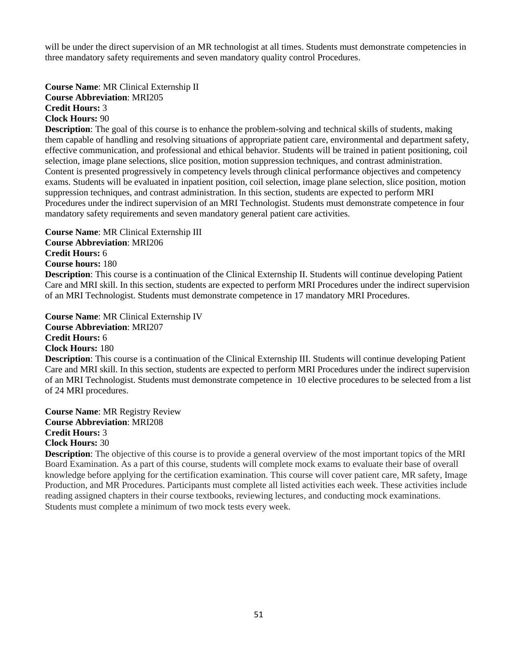will be under the direct supervision of an MR technologist at all times. Students must demonstrate competencies in three mandatory safety requirements and seven mandatory quality control Procedures.

**Course Name**: MR Clinical Externship II **Course Abbreviation**: MRI205 **Credit Hours:** 3 **Clock Hours:** 90

**Description**: The goal of this course is to enhance the problem-solving and technical skills of students, making them capable of handling and resolving situations of appropriate patient care, environmental and department safety, effective communication, and professional and ethical behavior. Students will be trained in patient positioning, coil selection, image plane selections, slice position, motion suppression techniques, and contrast administration. Content is presented progressively in competency levels through clinical performance objectives and competency exams. Students will be evaluated in inpatient position, coil selection, image plane selection, slice position, motion suppression techniques, and contrast administration. In this section, students are expected to perform MRI Procedures under the indirect supervision of an MRI Technologist. Students must demonstrate competence in four mandatory safety requirements and seven mandatory general patient care activities.

**Course Name**: MR Clinical Externship III **Course Abbreviation**: MRI206 **Credit Hours:** 6 **Course hours:** 180

**Description**: This course is a continuation of the Clinical Externship II. Students will continue developing Patient Care and MRI skill. In this section, students are expected to perform MRI Procedures under the indirect supervision of an MRI Technologist. Students must demonstrate competence in 17 mandatory MRI Procedures.

**Course Name**: MR Clinical Externship IV **Course Abbreviation**: MRI207 **Credit Hours:** 6 **Clock Hours:** 180

**Description**: This course is a continuation of the Clinical Externship III. Students will continue developing Patient Care and MRI skill. In this section, students are expected to perform MRI Procedures under the indirect supervision of an MRI Technologist. Students must demonstrate competence in 10 elective procedures to be selected from a list of 24 MRI procedures.

**Course Name**: MR Registry Review **Course Abbreviation**: MRI208 **Credit Hours:** 3 **Clock Hours:** 30

**Description**: The objective of this course is to provide a general overview of the most important topics of the MRI Board Examination. As a part of this course, students will complete mock exams to evaluate their base of overall knowledge before applying for the certification examination. This course will cover patient care, MR safety, Image Production, and MR Procedures. Participants must complete all listed activities each week. These activities include reading assigned chapters in their course textbooks, reviewing lectures, and conducting mock examinations. Students must complete a minimum of two mock tests every week.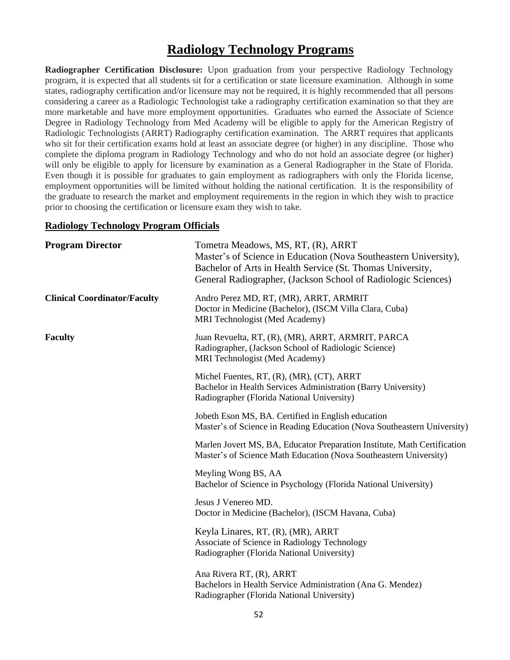## **Radiology Technology Programs**

**Radiographer Certification Disclosure:** Upon graduation from your perspective Radiology Technology program, it is expected that all students sit for a certification or state licensure examination. Although in some states, radiography certification and/or licensure may not be required, it is highly recommended that all persons considering a career as a Radiologic Technologist take a radiography certification examination so that they are more marketable and have more employment opportunities. Graduates who earned the Associate of Science Degree in Radiology Technology from Med Academy will be eligible to apply for the American Registry of Radiologic Technologists (ARRT) Radiography certification examination. The ARRT requires that applicants who sit for their certification exams hold at least an associate degree (or higher) in any discipline. Those who complete the diploma program in Radiology Technology and who do not hold an associate degree (or higher) will only be eligible to apply for licensure by examination as a General Radiographer in the State of Florida. Even though it is possible for graduates to gain employment as radiographers with only the Florida license, employment opportunities will be limited without holding the national certification. It is the responsibility of the graduate to research the market and employment requirements in the region in which they wish to practice prior to choosing the certification or licensure exam they wish to take.

#### **Radiology Technology Program Officials**

| <b>Program Director</b>             | Tometra Meadows, MS, RT, (R), ARRT<br>Master's of Science in Education (Nova Southeastern University),<br>Bachelor of Arts in Health Service (St. Thomas University,<br>General Radiographer, (Jackson School of Radiologic Sciences) |
|-------------------------------------|---------------------------------------------------------------------------------------------------------------------------------------------------------------------------------------------------------------------------------------|
| <b>Clinical Coordinator/Faculty</b> | Andro Perez MD, RT, (MR), ARRT, ARMRIT<br>Doctor in Medicine (Bachelor), (ISCM Villa Clara, Cuba)<br>MRI Technologist (Med Academy)                                                                                                   |
| <b>Faculty</b>                      | Juan Revuelta, RT, (R), (MR), ARRT, ARMRIT, PARCA<br>Radiographer, (Jackson School of Radiologic Science)<br>MRI Technologist (Med Academy)                                                                                           |
|                                     | Michel Fuentes, RT, (R), (MR), (CT), ARRT<br>Bachelor in Health Services Administration (Barry University)<br>Radiographer (Florida National University)                                                                              |
|                                     | Jobeth Eson MS, BA. Certified in English education<br>Master's of Science in Reading Education (Nova Southeastern University)                                                                                                         |
|                                     | Marlen Jovert MS, BA, Educator Preparation Institute, Math Certification<br>Master's of Science Math Education (Nova Southeastern University)                                                                                         |
|                                     | Meyling Wong BS, AA<br>Bachelor of Science in Psychology (Florida National University)                                                                                                                                                |
|                                     | Jesus J Venereo MD.<br>Doctor in Medicine (Bachelor), (ISCM Havana, Cuba)                                                                                                                                                             |
|                                     | Keyla Linares, RT, (R), (MR), ARRT<br>Associate of Science in Radiology Technology<br>Radiographer (Florida National University)                                                                                                      |
|                                     | Ana Rivera RT, (R), ARRT<br>Bachelors in Health Service Administration (Ana G. Mendez)<br>Radiographer (Florida National University)                                                                                                  |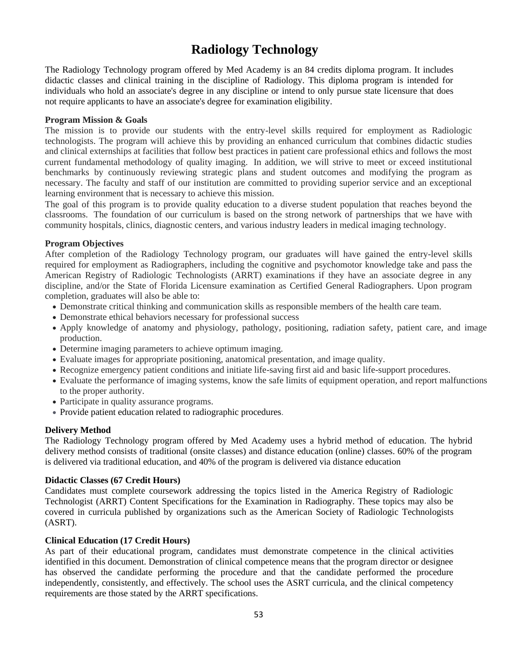## **Radiology Technology**

The Radiology Technology program offered by Med Academy is an 84 credits diploma program. It includes didactic classes and clinical training in the discipline of Radiology. This diploma program is intended for individuals who hold an associate's degree in any discipline or intend to only pursue state licensure that does not require applicants to have an associate's degree for examination eligibility.

#### **Program Mission & Goals**

The mission is to provide our students with the entry-level skills required for employment as Radiologic technologists. The program will achieve this by providing an enhanced curriculum that combines didactic studies and clinical externships at facilities that follow best practices in patient care professional ethics and follows the most current fundamental methodology of quality imaging. In addition, we will strive to meet or exceed institutional benchmarks by continuously reviewing strategic plans and student outcomes and modifying the program as necessary. The faculty and staff of our institution are committed to providing superior service and an exceptional learning environment that is necessary to achieve this mission.

The goal of this program is to provide quality education to a diverse student population that reaches beyond the classrooms. The foundation of our curriculum is based on the strong network of partnerships that we have with community hospitals, clinics, diagnostic centers, and various industry leaders in medical imaging technology.

#### **Program Objectives**

After completion of the Radiology Technology program, our graduates will have gained the entry-level skills required for employment as Radiographers, including the cognitive and psychomotor knowledge take and pass the American Registry of Radiologic Technologists (ARRT) examinations if they have an associate degree in any discipline, and/or the State of Florida Licensure examination as Certified General Radiographers. Upon program completion, graduates will also be able to:

- Demonstrate critical thinking and communication skills as responsible members of the health care team.
- Demonstrate ethical behaviors necessary for professional success
- Apply knowledge of anatomy and physiology, pathology, positioning, radiation safety, patient care, and image production.
- Determine imaging parameters to achieve optimum imaging.
- Evaluate images for appropriate positioning, anatomical presentation, and image quality.
- Recognize emergency patient conditions and initiate life-saving first aid and basic life-support procedures.
- Evaluate the performance of imaging systems, know the safe limits of equipment operation, and report malfunctions to the proper authority.
- Participate in quality assurance programs.
- Provide patient education related to radiographic procedures.

#### **Delivery Method**

The Radiology Technology program offered by Med Academy uses a hybrid method of education. The hybrid delivery method consists of traditional (onsite classes) and distance education (online) classes. 60% of the program is delivered via traditional education, and 40% of the program is delivered via distance education

#### **Didactic Classes (67 Credit Hours)**

Candidates must complete coursework addressing the topics listed in the America Registry of Radiologic Technologist (ARRT) Content Specifications for the Examination in Radiography. These topics may also be covered in curricula published by organizations such as the American Society of Radiologic Technologists (ASRT).

#### **Clinical Education (17 Credit Hours)**

As part of their educational program, candidates must demonstrate competence in the clinical activities identified in this document. Demonstration of clinical competence means that the program director or designee has observed the candidate performing the procedure and that the candidate performed the procedure independently, consistently, and effectively. The school uses the ASRT curricula, and the clinical competency requirements are those stated by the ARRT specifications.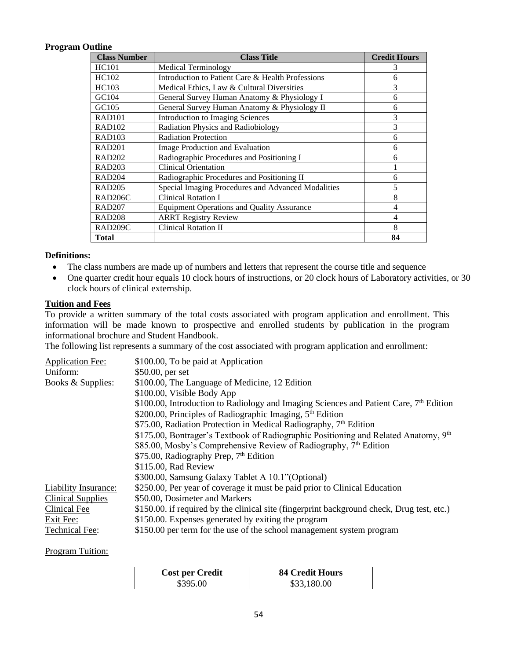#### **Program Outline**

| <b>Class Number</b>  | <b>Class Title</b>                                 | <b>Credit Hours</b> |
|----------------------|----------------------------------------------------|---------------------|
| HC <sub>101</sub>    | <b>Medical Terminology</b>                         | 3                   |
| HC102                | Introduction to Patient Care & Health Professions  | 6                   |
| HC103                | Medical Ethics, Law & Cultural Diversities         | 3                   |
| GCl <sub>04</sub>    | General Survey Human Anatomy & Physiology I        | 6                   |
| GC105                | General Survey Human Anatomy & Physiology II       | 6                   |
| <b>RAD101</b>        | Introduction to Imaging Sciences                   | 3                   |
| <b>RAD102</b>        | Radiation Physics and Radiobiology                 | 3                   |
| <b>RAD103</b>        | <b>Radiation Protection</b>                        | 6                   |
| <b>RAD201</b>        | Image Production and Evaluation                    | 6                   |
| RAD202               | Radiographic Procedures and Positioning I          | 6                   |
| RAD203               | <b>Clinical Orientation</b>                        |                     |
| <b>RAD204</b>        | Radiographic Procedures and Positioning II         | 6                   |
| RAD <sub>205</sub>   | Special Imaging Procedures and Advanced Modalities | 5                   |
| RAD <sub>206</sub> C | <b>Clinical Rotation I</b>                         | 8                   |
| <b>RAD207</b>        | <b>Equipment Operations and Quality Assurance</b>  | 4                   |
| <b>RAD208</b>        | <b>ARRT Registry Review</b>                        | 4                   |
| RAD <sub>209</sub> C | <b>Clinical Rotation II</b>                        | 8                   |
| Total                |                                                    | 84                  |

#### **Definitions:**

- The class numbers are made up of numbers and letters that represent the course title and sequence
- One quarter credit hour equals 10 clock hours of instructions, or 20 clock hours of Laboratory activities, or 30 clock hours of clinical externship.

#### **Tuition and Fees**

To provide a written summary of the total costs associated with program application and enrollment. This information will be made known to prospective and enrolled students by publication in the program informational brochure and Student Handbook.

The following list represents a summary of the cost associated with program application and enrollment:

| <b>Application Fee:</b>  | \$100.00, To be paid at Application                                                        |
|--------------------------|--------------------------------------------------------------------------------------------|
| Uniform:                 | $$50.00$ , per set                                                                         |
| Books & Supplies:        | \$100.00, The Language of Medicine, 12 Edition                                             |
|                          | \$100.00, Visible Body App                                                                 |
|                          | \$100.00, Introduction to Radiology and Imaging Sciences and Patient Care, $7th$ Edition   |
|                          | \$200.00, Principles of Radiographic Imaging, 5 <sup>th</sup> Edition                      |
|                          | \$75.00, Radiation Protection in Medical Radiography, 7 <sup>th</sup> Edition              |
|                          | \$175.00, Bontrager's Textbook of Radiographic Positioning and Related Anatomy, 9th        |
|                          | \$85.00, Mosby's Comprehensive Review of Radiography, 7 <sup>th</sup> Edition              |
|                          | \$75.00, Radiography Prep, 7 <sup>th</sup> Edition                                         |
|                          | \$115.00, Rad Review                                                                       |
|                          | \$300.00, Samsung Galaxy Tablet A 10.1"(Optional)                                          |
| Liability Insurance:     | \$250.00, Per year of coverage it must be paid prior to Clinical Education                 |
| <b>Clinical Supplies</b> | \$50.00, Dosimeter and Markers                                                             |
| Clinical Fee             | \$150.00. if required by the clinical site (fingerprint background check, Drug test, etc.) |
| Exit Fee:                | \$150.00. Expenses generated by exiting the program                                        |
| <b>Technical Fee:</b>    | \$150.00 per term for the use of the school management system program                      |

#### Program Tuition:

| <b>Cost per Credit</b> | <b>84 Credit Hours</b> |
|------------------------|------------------------|
| \$395.00               | \$33,180.00            |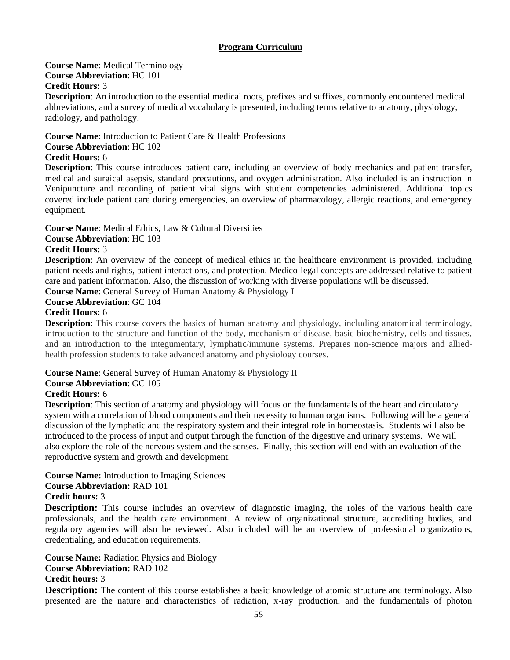#### **Program Curriculum**

#### **Course Name**: Medical Terminology **Course Abbreviation**: HC 101 **Credit Hours:** 3

**Description**: An introduction to the essential medical roots, prefixes and suffixes, commonly encountered medical abbreviations, and a survey of medical vocabulary is presented, including terms relative to anatomy, physiology, radiology, and pathology.

**Course Name**: Introduction to Patient Care & Health Professions

#### **Course Abbreviation**: HC 102

#### **Credit Hours:** 6

**Description**: This course introduces patient care, including an overview of body mechanics and patient transfer, medical and surgical asepsis, standard precautions, and oxygen administration. Also included is an instruction in Venipuncture and recording of patient vital signs with student competencies administered. Additional topics covered include patient care during emergencies, an overview of pharmacology, allergic reactions, and emergency equipment.

#### **Course Name**: Medical Ethics, Law & Cultural Diversities

**Course Abbreviation**: HC 103

#### **Credit Hours:** 3

**Description**: An overview of the concept of medical ethics in the healthcare environment is provided, including patient needs and rights, patient interactions, and protection. Medico-legal concepts are addressed relative to patient care and patient information. Also, the discussion of working with diverse populations will be discussed.

**Course Name**: General Survey of Human Anatomy & Physiology I

#### **Course Abbreviation**: GC 104

#### **Credit Hours:** 6

**Description**: This course covers the basics of human anatomy and physiology, including anatomical terminology, introduction to the structure and function of the body, mechanism of disease, basic biochemistry, cells and tissues, and an introduction to the integumentary, lymphatic/immune systems. Prepares non-science majors and alliedhealth profession students to take advanced anatomy and physiology courses.

#### **Course Name**: General Survey of Human Anatomy & Physiology II **Course Abbreviation**: GC 105

#### **Credit Hours:** 6

**Description**: This section of anatomy and physiology will focus on the fundamentals of the heart and circulatory system with a correlation of blood components and their necessity to human organisms. Following will be a general discussion of the lymphatic and the respiratory system and their integral role in homeostasis. Students will also be introduced to the process of input and output through the function of the digestive and urinary systems. We will also explore the role of the nervous system and the senses. Finally, this section will end with an evaluation of the reproductive system and growth and development.

#### **Course Name:** Introduction to Imaging Sciences

#### **Course Abbreviation:** RAD 101

#### **Credit hours:** 3

**Description:** This course includes an overview of diagnostic imaging, the roles of the various health care professionals, and the health care environment. A review of organizational structure, accrediting bodies, and regulatory agencies will also be reviewed. Also included will be an overview of professional organizations, credentialing, and education requirements.

**Course Name:** Radiation Physics and Biology **Course Abbreviation:** RAD 102 **Credit hours:** 3

**Description:** The content of this course establishes a basic knowledge of atomic structure and terminology. Also presented are the nature and characteristics of radiation, x-ray production, and the fundamentals of photon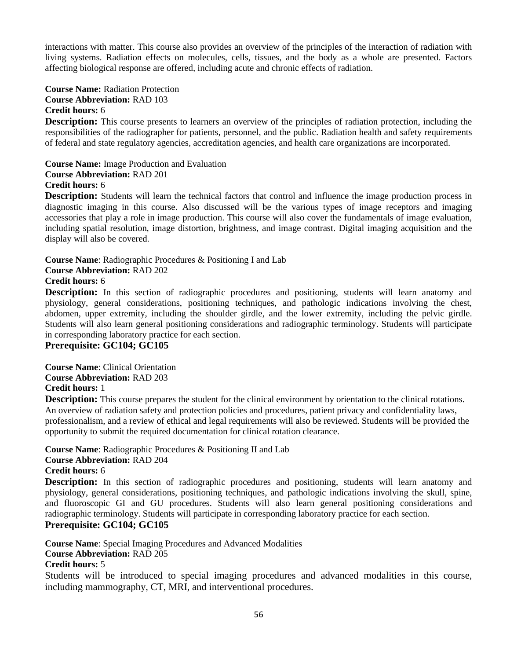interactions with matter. This course also provides an overview of the principles of the interaction of radiation with living systems. Radiation effects on molecules, cells, tissues, and the body as a whole are presented. Factors affecting biological response are offered, including acute and chronic effects of radiation.

#### **Course Name:** Radiation Protection **Course Abbreviation:** RAD 103 **Credit hours:** 6

**Description:** This course presents to learners an overview of the principles of radiation protection, including the responsibilities of the radiographer for patients, personnel, and the public. Radiation health and safety requirements of federal and state regulatory agencies, accreditation agencies, and health care organizations are incorporated.

**Course Name:** Image Production and Evaluation **Course Abbreviation:** RAD 201 **Credit hours:** 6

**Description:** Students will learn the technical factors that control and influence the image production process in diagnostic imaging in this course. Also discussed will be the various types of image receptors and imaging accessories that play a role in image production. This course will also cover the fundamentals of image evaluation, including spatial resolution, image distortion, brightness, and image contrast. Digital imaging acquisition and the display will also be covered.

**Course Name**: Radiographic Procedures & Positioning I and Lab **Course Abbreviation:** RAD 202

#### **Credit hours:** 6

**Description:** In this section of radiographic procedures and positioning, students will learn anatomy and physiology, general considerations, positioning techniques, and pathologic indications involving the chest, abdomen, upper extremity, including the shoulder girdle, and the lower extremity, including the pelvic girdle. Students will also learn general positioning considerations and radiographic terminology. Students will participate in corresponding laboratory practice for each section.

#### **Prerequisite: GC104; GC105**

**Course Name**: Clinical Orientation **Course Abbreviation:** RAD 203 **Credit hours:** 1

**Description:** This course prepares the student for the clinical environment by orientation to the clinical rotations. An overview of radiation safety and protection policies and procedures, patient privacy and confidentiality laws, professionalism, and a review of ethical and legal requirements will also be reviewed. Students will be provided the opportunity to submit the required documentation for clinical rotation clearance.

**Course Name**: Radiographic Procedures & Positioning II and Lab **Course Abbreviation:** RAD 204 **Credit hours:** 6

**Description:** In this section of radiographic procedures and positioning, students will learn anatomy and physiology, general considerations, positioning techniques, and pathologic indications involving the skull, spine, and fluoroscopic GI and GU procedures. Students will also learn general positioning considerations and radiographic terminology. Students will participate in corresponding laboratory practice for each section. **Prerequisite: GC104; GC105**

**Course Name**: Special Imaging Procedures and Advanced Modalities **Course Abbreviation:** RAD 205

#### **Credit hours:** 5

Students will be introduced to special imaging procedures and advanced modalities in this course, including mammography, CT, MRI, and interventional procedures.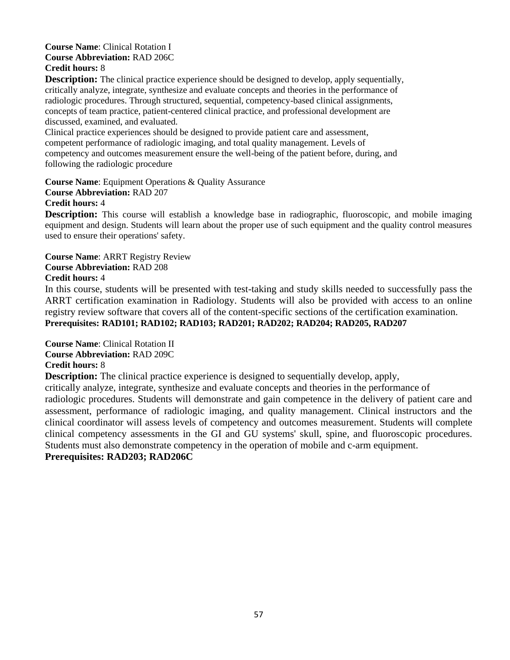#### **Course Name**: Clinical Rotation I **Course Abbreviation:** RAD 206C **Credit hours:** 8

**Description:** The clinical practice experience should be designed to develop, apply sequentially, critically analyze, integrate, synthesize and evaluate concepts and theories in the performance of radiologic procedures. Through structured, sequential, competency-based clinical assignments, concepts of team practice, patient-centered clinical practice, and professional development are discussed, examined, and evaluated.

Clinical practice experiences should be designed to provide patient care and assessment, competent performance of radiologic imaging, and total quality management. Levels of competency and outcomes measurement ensure the well-being of the patient before, during, and following the radiologic procedure

**Course Name**: Equipment Operations & Quality Assurance **Course Abbreviation:** RAD 207

#### **Credit hours:** 4

**Description:** This course will establish a knowledge base in radiographic, fluoroscopic, and mobile imaging equipment and design. Students will learn about the proper use of such equipment and the quality control measures used to ensure their operations' safety.

**Course Name**: ARRT Registry Review **Course Abbreviation:** RAD 208 **Credit hours:** 4

In this course, students will be presented with test-taking and study skills needed to successfully pass the ARRT certification examination in Radiology. Students will also be provided with access to an online registry review software that covers all of the content-specific sections of the certification examination. **Prerequisites: RAD101; RAD102; RAD103; RAD201; RAD202; RAD204; RAD205, RAD207**

**Course Name**: Clinical Rotation II **Course Abbreviation:** RAD 209C **Credit hours:** 8

**Description:** The clinical practice experience is designed to sequentially develop, apply,

critically analyze, integrate, synthesize and evaluate concepts and theories in the performance of radiologic procedures. Students will demonstrate and gain competence in the delivery of patient care and assessment, performance of radiologic imaging, and quality management. Clinical instructors and the clinical coordinator will assess levels of competency and outcomes measurement. Students will complete clinical competency assessments in the GI and GU systems' skull, spine, and fluoroscopic procedures. Students must also demonstrate competency in the operation of mobile and c-arm equipment.

**Prerequisites: RAD203; RAD206C**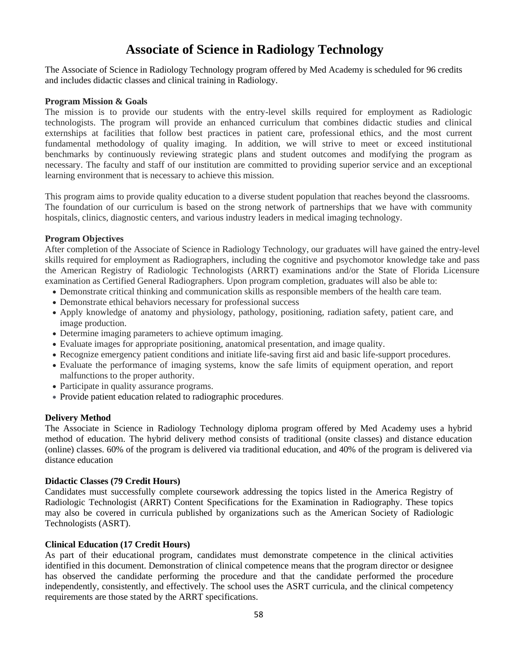## **Associate of Science in Radiology Technology**

The Associate of Science in Radiology Technology program offered by Med Academy is scheduled for 96 credits and includes didactic classes and clinical training in Radiology.

#### **Program Mission & Goals**

The mission is to provide our students with the entry-level skills required for employment as Radiologic technologists. The program will provide an enhanced curriculum that combines didactic studies and clinical externships at facilities that follow best practices in patient care, professional ethics, and the most current fundamental methodology of quality imaging. In addition, we will strive to meet or exceed institutional benchmarks by continuously reviewing strategic plans and student outcomes and modifying the program as necessary. The faculty and staff of our institution are committed to providing superior service and an exceptional learning environment that is necessary to achieve this mission.

This program aims to provide quality education to a diverse student population that reaches beyond the classrooms. The foundation of our curriculum is based on the strong network of partnerships that we have with community hospitals, clinics, diagnostic centers, and various industry leaders in medical imaging technology.

#### **Program Objectives**

After completion of the Associate of Science in Radiology Technology, our graduates will have gained the entry-level skills required for employment as Radiographers, including the cognitive and psychomotor knowledge take and pass the American Registry of Radiologic Technologists (ARRT) examinations and/or the State of Florida Licensure examination as Certified General Radiographers. Upon program completion, graduates will also be able to:

- Demonstrate critical thinking and communication skills as responsible members of the health care team.
- Demonstrate ethical behaviors necessary for professional success
- Apply knowledge of anatomy and physiology, pathology, positioning, radiation safety, patient care, and image production.
- Determine imaging parameters to achieve optimum imaging.
- Evaluate images for appropriate positioning, anatomical presentation, and image quality.
- Recognize emergency patient conditions and initiate life-saving first aid and basic life-support procedures.
- Evaluate the performance of imaging systems, know the safe limits of equipment operation, and report malfunctions to the proper authority.
- Participate in quality assurance programs.
- Provide patient education related to radiographic procedures.

#### **Delivery Method**

The Associate in Science in Radiology Technology diploma program offered by Med Academy uses a hybrid method of education. The hybrid delivery method consists of traditional (onsite classes) and distance education (online) classes. 60% of the program is delivered via traditional education, and 40% of the program is delivered via distance education

#### **Didactic Classes (79 Credit Hours)**

Candidates must successfully complete coursework addressing the topics listed in the America Registry of Radiologic Technologist (ARRT) Content Specifications for the Examination in Radiography. These topics may also be covered in curricula published by organizations such as the American Society of Radiologic Technologists (ASRT).

#### **Clinical Education (17 Credit Hours)**

As part of their educational program, candidates must demonstrate competence in the clinical activities identified in this document. Demonstration of clinical competence means that the program director or designee has observed the candidate performing the procedure and that the candidate performed the procedure independently, consistently, and effectively. The school uses the ASRT curricula, and the clinical competency requirements are those stated by the ARRT specifications.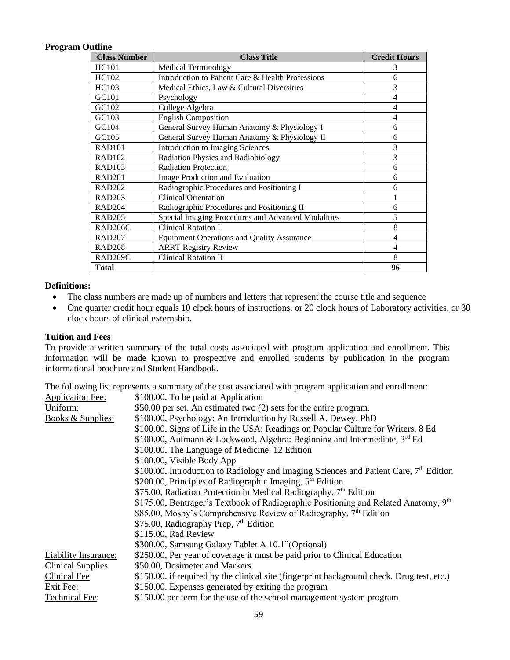#### **Program Outline**

| <b>Class Number</b>  | <b>Class Title</b>                                 | <b>Credit Hours</b> |
|----------------------|----------------------------------------------------|---------------------|
| <b>HC101</b>         | Medical Terminology                                | 3                   |
| HC102                | Introduction to Patient Care & Health Professions  | 6                   |
| HC103                | Medical Ethics, Law & Cultural Diversities         | 3                   |
| GC101                | Psychology                                         | 4                   |
| GC102                | College Algebra                                    | $\overline{4}$      |
| GC103                | <b>English Composition</b>                         | 4                   |
| GC104                | General Survey Human Anatomy & Physiology I        | 6                   |
| GC105                | General Survey Human Anatomy & Physiology II       | 6                   |
| <b>RAD101</b>        | <b>Introduction to Imaging Sciences</b>            | 3                   |
| <b>RAD102</b>        | Radiation Physics and Radiobiology                 | 3                   |
| <b>RAD103</b>        | <b>Radiation Protection</b>                        | 6                   |
| <b>RAD201</b>        | Image Production and Evaluation                    | 6                   |
| <b>RAD202</b>        | Radiographic Procedures and Positioning I          | 6                   |
| <b>RAD203</b>        | <b>Clinical Orientation</b>                        |                     |
| <b>RAD204</b>        | Radiographic Procedures and Positioning II         | 6                   |
| <b>RAD205</b>        | Special Imaging Procedures and Advanced Modalities | 5                   |
| RAD <sub>206</sub> C | <b>Clinical Rotation I</b>                         | 8                   |
| <b>RAD207</b>        | <b>Equipment Operations and Quality Assurance</b>  | 4                   |
| <b>RAD208</b>        | <b>ARRT Registry Review</b>                        | 4                   |
| RAD <sub>209</sub> C | <b>Clinical Rotation II</b>                        | 8                   |
| <b>Total</b>         |                                                    | 96                  |

#### **Definitions:**

- The class numbers are made up of numbers and letters that represent the course title and sequence
- One quarter credit hour equals 10 clock hours of instructions, or 20 clock hours of Laboratory activities, or 30 clock hours of clinical externship.

#### **Tuition and Fees**

To provide a written summary of the total costs associated with program application and enrollment. This information will be made known to prospective and enrolled students by publication in the program informational brochure and Student Handbook.

The following list represents a summary of the cost associated with program application and enrollment:

| <b>Application Fee:</b>      | \$100.00, To be paid at Application                                                        |
|------------------------------|--------------------------------------------------------------------------------------------|
| Uniform:                     | \$50.00 per set. An estimated two (2) sets for the entire program.                         |
| <b>Books &amp; Supplies:</b> | \$100.00, Psychology: An Introduction by Russell A. Dewey, PhD                             |
|                              | \$100.00, Signs of Life in the USA: Readings on Popular Culture for Writers. 8 Ed          |
|                              | \$100.00, Aufmann & Lockwood, Algebra: Beginning and Intermediate, 3rd Ed                  |
|                              | \$100.00, The Language of Medicine, 12 Edition                                             |
|                              | \$100.00, Visible Body App                                                                 |
|                              | \$100.00, Introduction to Radiology and Imaging Sciences and Patient Care, $7th$ Edition   |
|                              | \$200.00, Principles of Radiographic Imaging, 5 <sup>th</sup> Edition                      |
|                              | \$75.00, Radiation Protection in Medical Radiography, $7th$ Edition                        |
|                              | \$175.00, Bontrager's Textbook of Radiographic Positioning and Related Anatomy, 9th        |
|                              | \$85.00, Mosby's Comprehensive Review of Radiography, 7 <sup>th</sup> Edition              |
|                              | \$75.00, Radiography Prep, 7 <sup>th</sup> Edition                                         |
|                              | \$115.00, Rad Review                                                                       |
|                              | \$300.00, Samsung Galaxy Tablet A 10.1" (Optional)                                         |
| <b>Liability Insurance:</b>  | \$250.00, Per year of coverage it must be paid prior to Clinical Education                 |
| <b>Clinical Supplies</b>     | \$50.00, Dosimeter and Markers                                                             |
| Clinical Fee                 | \$150.00. if required by the clinical site (fingerprint background check, Drug test, etc.) |
| Exit Fee:                    | \$150.00. Expenses generated by exiting the program                                        |
| <b>Technical Fee:</b>        | \$150.00 per term for the use of the school management system program                      |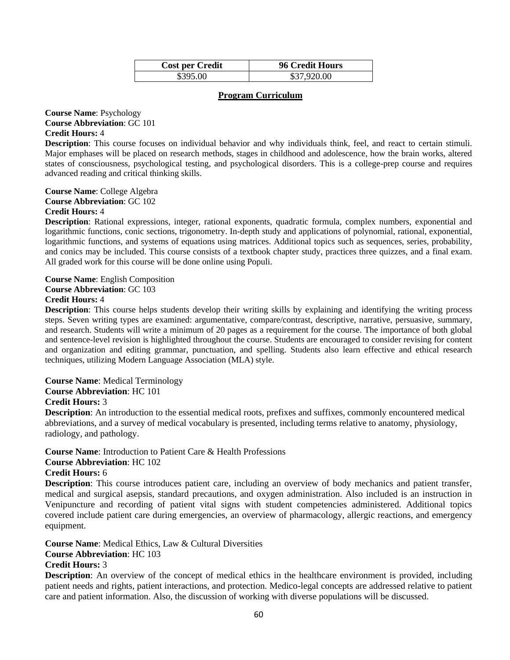| <b>Cost per Credit</b> | <b>96 Credit Hours</b> |
|------------------------|------------------------|
| \$395.00               | \$37,920.00            |

#### **Program Curriculum**

**Course Name**: Psychology **Course Abbreviation**: GC 101 **Credit Hours:** 4

**Description**: This course focuses on individual behavior and why individuals think, feel, and react to certain stimuli. Major emphases will be placed on research methods, stages in childhood and adolescence, how the brain works, altered states of consciousness, psychological testing, and psychological disorders. This is a college-prep course and requires advanced reading and critical thinking skills.

**Course Name**: College Algebra **Course Abbreviation**: GC 102 **Credit Hours:** 4

**Description**: Rational expressions, integer, rational exponents, quadratic formula, complex numbers, exponential and logarithmic functions, conic sections, trigonometry. In-depth study and applications of polynomial, rational, exponential, logarithmic functions, and systems of equations using matrices. Additional topics such as sequences, series, probability, and conics may be included. This course consists of a textbook chapter study, practices three quizzes, and a final exam. All graded work for this course will be done online using Populi.

**Course Name**: English Composition **Course Abbreviation**: GC 103 **Credit Hours:** 4

**Description**: This course helps students develop their writing skills by explaining and identifying the writing process steps. Seven writing types are examined: argumentative, compare/contrast, descriptive, narrative, persuasive, summary, and research. Students will write a minimum of 20 pages as a requirement for the course. The importance of both global and sentence-level revision is highlighted throughout the course. Students are encouraged to consider revising for content and organization and editing grammar, punctuation, and spelling. Students also learn effective and ethical research techniques, utilizing Modern Language Association (MLA) style.

#### **Course Name**: Medical Terminology

**Course Abbreviation**: HC 101

#### **Credit Hours:** 3

**Description**: An introduction to the essential medical roots, prefixes and suffixes, commonly encountered medical abbreviations, and a survey of medical vocabulary is presented, including terms relative to anatomy, physiology, radiology, and pathology.

**Course Name**: Introduction to Patient Care & Health Professions

#### **Course Abbreviation**: HC 102

**Credit Hours:** 6

**Description**: This course introduces patient care, including an overview of body mechanics and patient transfer, medical and surgical asepsis, standard precautions, and oxygen administration. Also included is an instruction in Venipuncture and recording of patient vital signs with student competencies administered. Additional topics covered include patient care during emergencies, an overview of pharmacology, allergic reactions, and emergency equipment.

**Course Name**: Medical Ethics, Law & Cultural Diversities

**Course Abbreviation**: HC 103

#### **Credit Hours:** 3

**Description**: An overview of the concept of medical ethics in the healthcare environment is provided, including patient needs and rights, patient interactions, and protection. Medico-legal concepts are addressed relative to patient care and patient information. Also, the discussion of working with diverse populations will be discussed.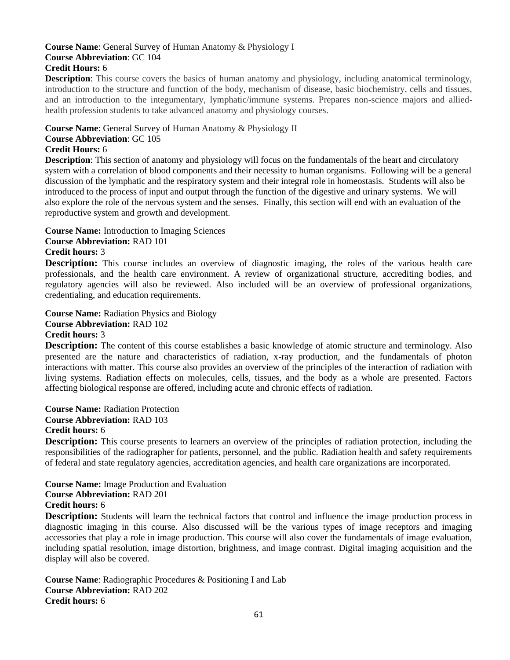#### **Course Name**: General Survey of Human Anatomy & Physiology I **Course Abbreviation**: GC 104 **Credit Hours:** 6

**Description**: This course covers the basics of human anatomy and physiology, including anatomical terminology, introduction to the structure and function of the body, mechanism of disease, basic biochemistry, cells and tissues, and an introduction to the integumentary, lymphatic/immune systems. Prepares non-science majors and alliedhealth profession students to take advanced anatomy and physiology courses.

#### **Course Name**: General Survey of Human Anatomy & Physiology II

#### **Course Abbreviation**: GC 105

#### **Credit Hours:** 6

**Description**: This section of anatomy and physiology will focus on the fundamentals of the heart and circulatory system with a correlation of blood components and their necessity to human organisms. Following will be a general discussion of the lymphatic and the respiratory system and their integral role in homeostasis. Students will also be introduced to the process of input and output through the function of the digestive and urinary systems. We will also explore the role of the nervous system and the senses. Finally, this section will end with an evaluation of the reproductive system and growth and development.

**Course Name:** Introduction to Imaging Sciences

#### **Course Abbreviation:** RAD 101

#### **Credit hours:** 3

**Description:** This course includes an overview of diagnostic imaging, the roles of the various health care professionals, and the health care environment. A review of organizational structure, accrediting bodies, and regulatory agencies will also be reviewed. Also included will be an overview of professional organizations, credentialing, and education requirements.

**Course Name:** Radiation Physics and Biology **Course Abbreviation:** RAD 102 **Credit hours:** 3

**Description:** The content of this course establishes a basic knowledge of atomic structure and terminology. Also presented are the nature and characteristics of radiation, x-ray production, and the fundamentals of photon interactions with matter. This course also provides an overview of the principles of the interaction of radiation with living systems. Radiation effects on molecules, cells, tissues, and the body as a whole are presented. Factors affecting biological response are offered, including acute and chronic effects of radiation.

**Course Name:** Radiation Protection **Course Abbreviation:** RAD 103 **Credit hours:** 6

**Description:** This course presents to learners an overview of the principles of radiation protection, including the responsibilities of the radiographer for patients, personnel, and the public. Radiation health and safety requirements of federal and state regulatory agencies, accreditation agencies, and health care organizations are incorporated.

**Course Name:** Image Production and Evaluation **Course Abbreviation:** RAD 201 **Credit hours:** 6

**Description:** Students will learn the technical factors that control and influence the image production process in diagnostic imaging in this course. Also discussed will be the various types of image receptors and imaging accessories that play a role in image production. This course will also cover the fundamentals of image evaluation, including spatial resolution, image distortion, brightness, and image contrast. Digital imaging acquisition and the display will also be covered.

**Course Name**: Radiographic Procedures & Positioning I and Lab **Course Abbreviation:** RAD 202 **Credit hours:** 6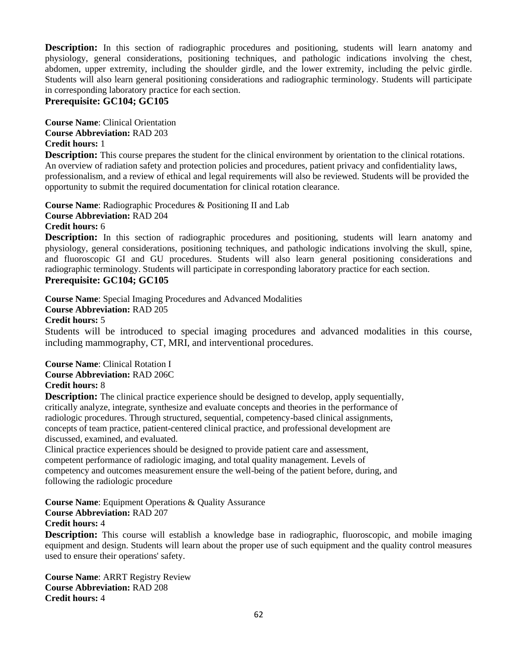**Description:** In this section of radiographic procedures and positioning, students will learn anatomy and physiology, general considerations, positioning techniques, and pathologic indications involving the chest, abdomen, upper extremity, including the shoulder girdle, and the lower extremity, including the pelvic girdle. Students will also learn general positioning considerations and radiographic terminology. Students will participate in corresponding laboratory practice for each section.

#### **Prerequisite: GC104; GC105**

**Course Name**: Clinical Orientation **Course Abbreviation:** RAD 203 **Credit hours:** 1

**Description:** This course prepares the student for the clinical environment by orientation to the clinical rotations. An overview of radiation safety and protection policies and procedures, patient privacy and confidentiality laws, professionalism, and a review of ethical and legal requirements will also be reviewed. Students will be provided the opportunity to submit the required documentation for clinical rotation clearance.

**Course Name**: Radiographic Procedures & Positioning II and Lab **Course Abbreviation:** RAD 204 **Credit hours:** 6

**Description:** In this section of radiographic procedures and positioning, students will learn anatomy and physiology, general considerations, positioning techniques, and pathologic indications involving the skull, spine, and fluoroscopic GI and GU procedures. Students will also learn general positioning considerations and radiographic terminology. Students will participate in corresponding laboratory practice for each section.

#### **Prerequisite: GC104; GC105**

**Course Name**: Special Imaging Procedures and Advanced Modalities

**Course Abbreviation:** RAD 205

**Credit hours:** 5

Students will be introduced to special imaging procedures and advanced modalities in this course, including mammography, CT, MRI, and interventional procedures.

**Course Name**: Clinical Rotation I **Course Abbreviation:** RAD 206C **Credit hours:** 8

**Description:** The clinical practice experience should be designed to develop, apply sequentially, critically analyze, integrate, synthesize and evaluate concepts and theories in the performance of radiologic procedures. Through structured, sequential, competency-based clinical assignments, concepts of team practice, patient-centered clinical practice, and professional development are discussed, examined, and evaluated.

Clinical practice experiences should be designed to provide patient care and assessment, competent performance of radiologic imaging, and total quality management. Levels of competency and outcomes measurement ensure the well-being of the patient before, during, and following the radiologic procedure

**Course Name**: Equipment Operations & Quality Assurance

**Course Abbreviation:** RAD 207

#### **Credit hours:** 4

**Description:** This course will establish a knowledge base in radiographic, fluoroscopic, and mobile imaging equipment and design. Students will learn about the proper use of such equipment and the quality control measures used to ensure their operations' safety.

**Course Name**: ARRT Registry Review **Course Abbreviation:** RAD 208 **Credit hours:** 4